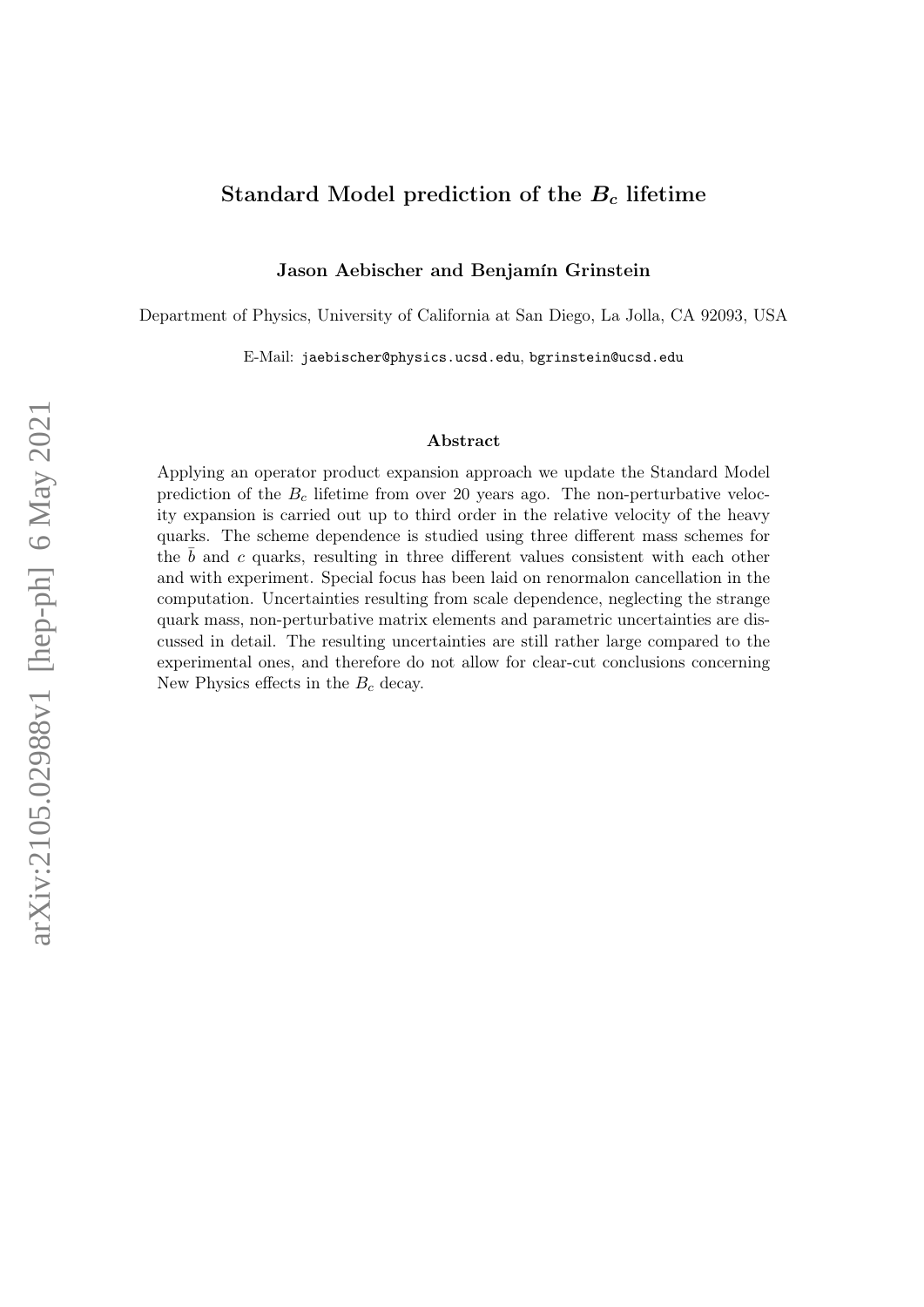## Standard Model prediction of the  $B<sub>c</sub>$  lifetime

Jason Aebischer and Benjamín Grinstein

Department of Physics, University of California at San Diego, La Jolla, CA 92093, USA

E-Mail: jaebischer@physics.ucsd.edu, bgrinstein@ucsd.edu

#### Abstract

Applying an operator product expansion approach we update the Standard Model prediction of the  $B<sub>c</sub>$  lifetime from over 20 years ago. The non-perturbative velocity expansion is carried out up to third order in the relative velocity of the heavy quarks. The scheme dependence is studied using three different mass schemes for the  $b$  and  $c$  quarks, resulting in three different values consistent with each other and with experiment. Special focus has been laid on renormalon cancellation in the computation. Uncertainties resulting from scale dependence, neglecting the strange quark mass, non-perturbative matrix elements and parametric uncertainties are discussed in detail. The resulting uncertainties are still rather large compared to the experimental ones, and therefore do not allow for clear-cut conclusions concerning New Physics effects in the  $B_c$  decay.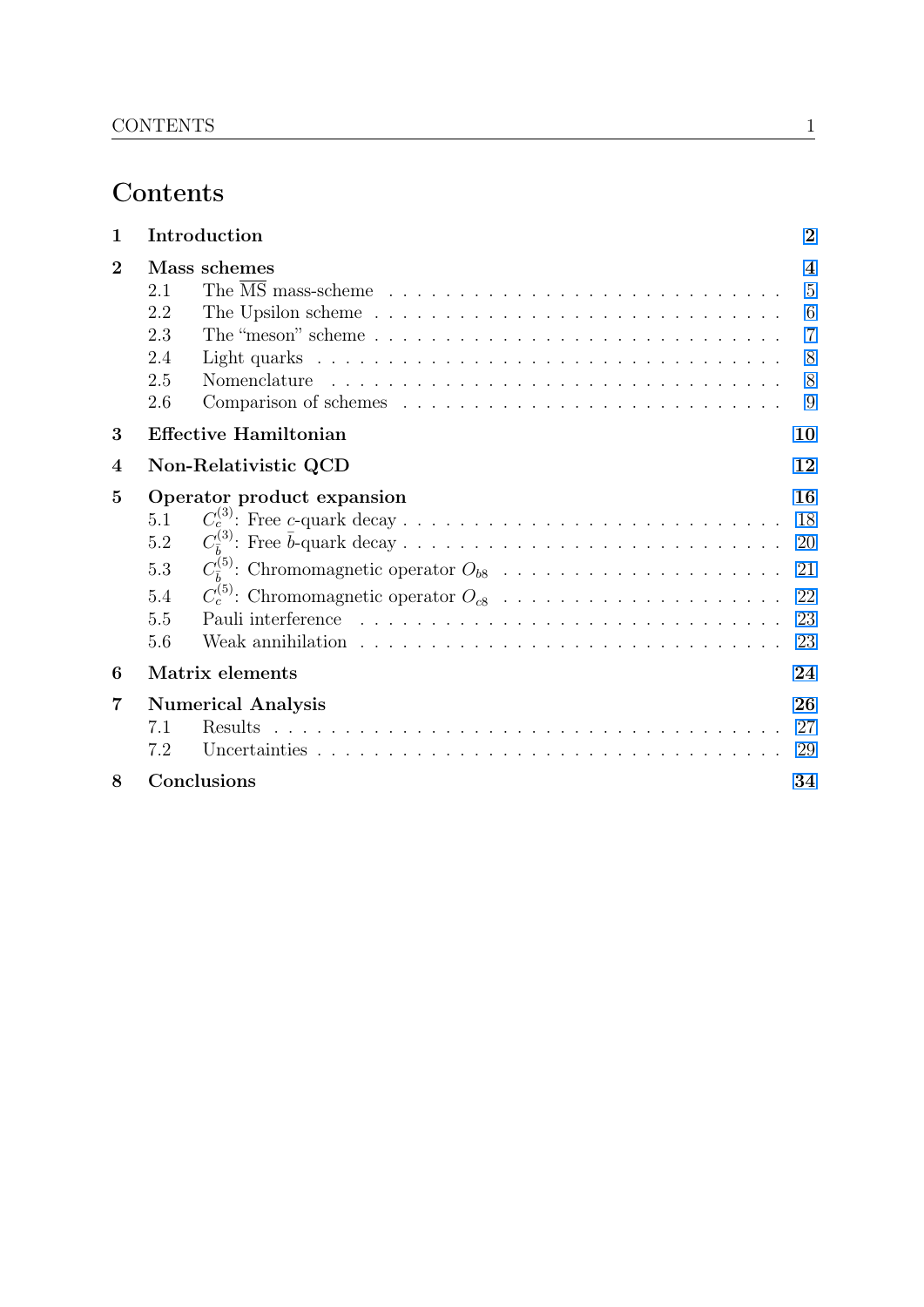# Contents

| $\mathbf{1}$   | Introduction                                                                                                                                                                                                                                   | $\overline{2}$                               |
|----------------|------------------------------------------------------------------------------------------------------------------------------------------------------------------------------------------------------------------------------------------------|----------------------------------------------|
| $\overline{2}$ | Mass schemes<br>2.1<br>The Upsilon scheme $\ldots \ldots \ldots \ldots \ldots \ldots \ldots \ldots \ldots \ldots$<br>2.2<br>2.3<br>2.4<br>2.5<br>Comparison of schemes $\ldots \ldots \ldots \ldots \ldots \ldots \ldots \ldots \ldots$<br>2.6 | $\boldsymbol{4}$<br>5<br>$\overline{7}$<br>8 |
| 3              | <b>Effective Hamiltonian</b>                                                                                                                                                                                                                   | 10                                           |
| 4              | Non-Relativistic QCD                                                                                                                                                                                                                           | 12                                           |
| 5              | Operator product expansion<br>5.1<br>5.2<br>5.3<br>5.4<br>5.5<br>5.6<br>Weak annihilation $\ldots$ , $\ldots$ , $\ldots$ , $\ldots$ , $\ldots$ , $\ldots$ , $\ldots$ , $\ldots$ , $\ldots$ , $\ldots$                                          | 16<br>23                                     |
| 6              | Matrix elements                                                                                                                                                                                                                                | 24                                           |
| 7              | <b>Numerical Analysis</b><br>7.1<br>7.2                                                                                                                                                                                                        | 26<br>27<br>29                               |
| 8              | Conclusions                                                                                                                                                                                                                                    | 34                                           |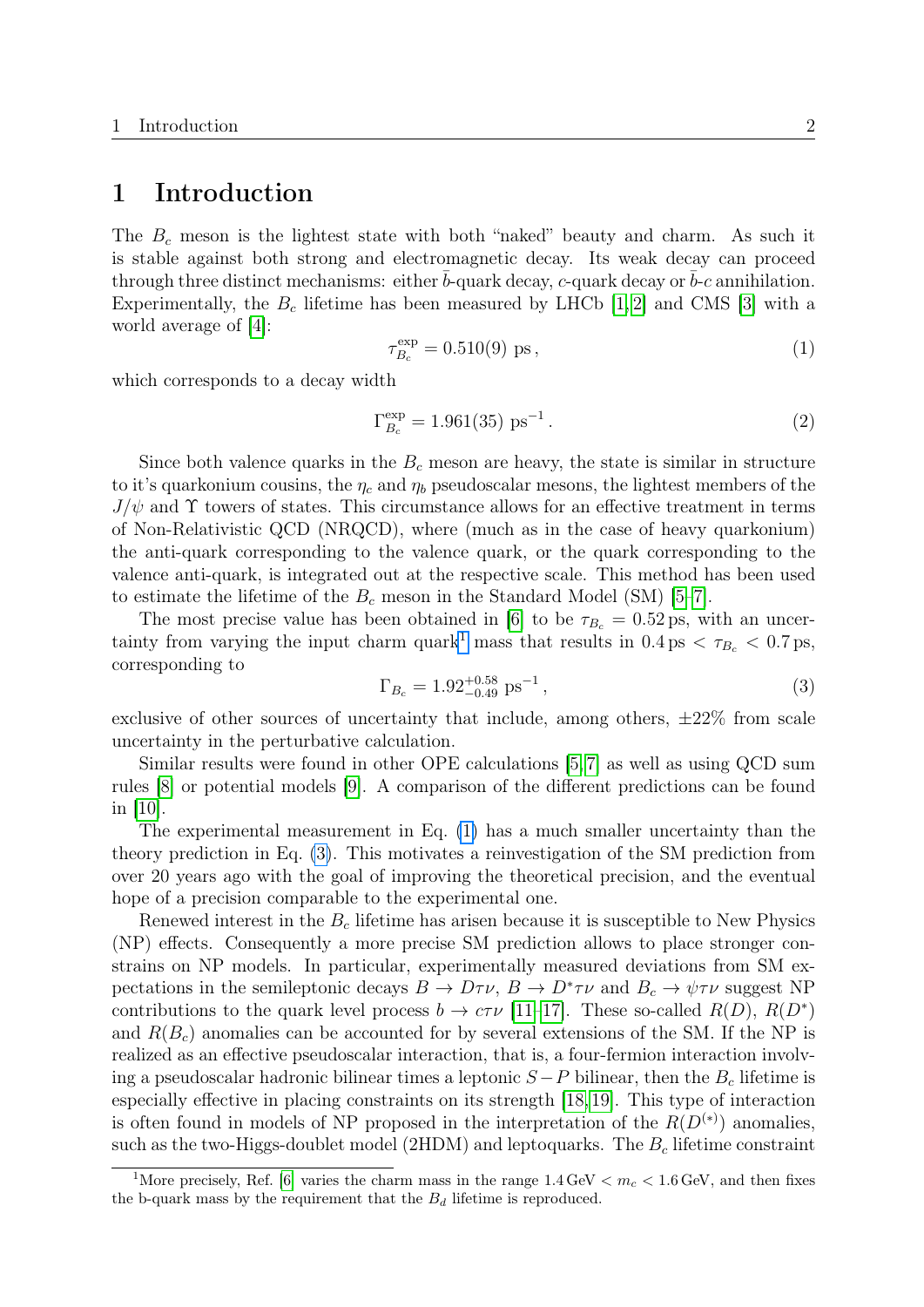## <span id="page-2-0"></span>1 Introduction

The  $B_c$  meson is the lightest state with both "naked" beauty and charm. As such it is stable against both strong and electromagnetic decay. Its weak decay can proceed through three distinct mechanisms: either b-quark decay, c-quark decay or  $b$ -c annihilation. Experimentally, the  $B_c$  lifetime has been measured by LHCb [\[1,](#page-36-0) [2\]](#page-37-0) and CMS [\[3\]](#page-37-1) with a world average of [\[4\]](#page-37-2):

<span id="page-2-2"></span>
$$
\tau_{B_c}^{\text{exp}} = 0.510(9) \text{ ps},\tag{1}
$$

which corresponds to a decay width

$$
\Gamma_{B_c}^{\text{exp}} = 1.961(35) \text{ ps}^{-1}.
$$
 (2)

Since both valence quarks in the  $B<sub>c</sub>$  meson are heavy, the state is similar in structure to it's quarkonium cousins, the  $\eta_c$  and  $\eta_b$  pseudoscalar mesons, the lightest members of the  $J/\psi$  and  $\Upsilon$  towers of states. This circumstance allows for an effective treatment in terms of Non-Relativistic QCD (NRQCD), where (much as in the case of heavy quarkonium) the anti-quark corresponding to the valence quark, or the quark corresponding to the valence anti-quark, is integrated out at the respective scale. This method has been used to estimate the lifetime of the  $B_c$  meson in the Standard Model (SM) [\[5–](#page-37-3)[7\]](#page-37-4).

The most precise value has been obtained in [\[6\]](#page-37-5) to be  $\tau_{B_c} = 0.52 \text{ ps}$ , with an uncer-tainty from varying the input charm quark<sup>[1](#page-2-1)</sup> mass that results in  $0.4 \text{ ps} < \tau_{B_c} < 0.7 \text{ ps}$ , corresponding to

<span id="page-2-3"></span>
$$
\Gamma_{B_c} = 1.92^{+0.58}_{-0.49} \text{ ps}^{-1},\tag{3}
$$

exclusive of other sources of uncertainty that include, among others,  $\pm 22\%$  from scale uncertainty in the perturbative calculation.

Similar results were found in other OPE calculations [\[5,](#page-37-3) [7\]](#page-37-4) as well as using QCD sum rules [\[8\]](#page-37-6) or potential models [\[9\]](#page-37-7). A comparison of the different predictions can be found in [\[10\]](#page-37-8).

The experimental measurement in Eq. [\(1\)](#page-2-2) has a much smaller uncertainty than the theory prediction in Eq. [\(3\)](#page-2-3). This motivates a reinvestigation of the SM prediction from over 20 years ago with the goal of improving the theoretical precision, and the eventual hope of a precision comparable to the experimental one.

Renewed interest in the  $B_c$  lifetime has arisen because it is susceptible to New Physics (NP) effects. Consequently a more precise SM prediction allows to place stronger constrains on NP models. In particular, experimentally measured deviations from SM expectations in the semileptonic decays  $B \to D\tau\nu$ ,  $B \to D^*\tau\nu$  and  $B_c \to \psi\tau\nu$  suggest NP contributions to the quark level process  $b \to c\tau\nu$  [\[11–](#page-37-9)[17\]](#page-38-0). These so-called  $R(D)$ ,  $R(D^*)$ and  $R(B<sub>c</sub>)$  anomalies can be accounted for by several extensions of the SM. If the NP is realized as an effective pseudoscalar interaction, that is, a four-fermion interaction involving a pseudoscalar hadronic bilinear times a leptonic  $S-P$  bilinear, then the  $B<sub>c</sub>$  lifetime is especially effective in placing constraints on its strength [\[18,](#page-38-1)[19\]](#page-38-2). This type of interaction is often found in models of NP proposed in the interpretation of the  $R(D<sup>(*)</sup>)$  anomalies, such as the two-Higgs-doublet model (2HDM) and leptoquarks. The  $B<sub>c</sub>$  lifetime constraint

<span id="page-2-1"></span><sup>&</sup>lt;sup>1</sup>More precisely, Ref. [\[6\]](#page-37-5) varies the charm mass in the range  $1.4 \text{ GeV} < m_c < 1.6 \text{ GeV}$ , and then fixes the b-quark mass by the requirement that the  $B_d$  lifetime is reproduced.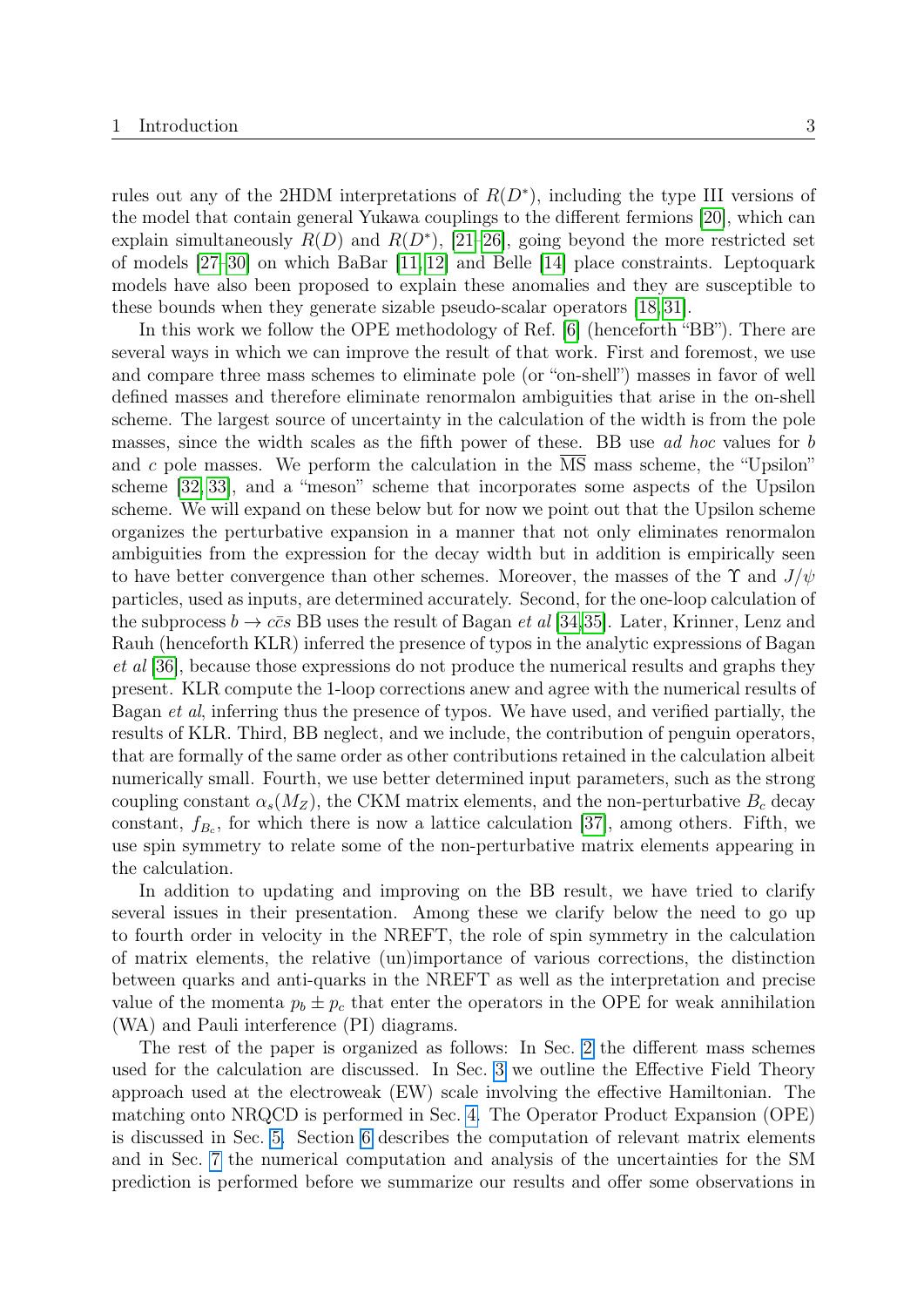rules out any of the 2HDM interpretations of  $R(D^*)$ , including the type III versions of the model that contain general Yukawa couplings to the different fermions [\[20\]](#page-38-3), which can explain simultaneously  $R(D)$  and  $R(D^*)$ , [\[21](#page-38-4)[–26\]](#page-38-5), going beyond the more restricted set of models [\[27–](#page-38-6)[30\]](#page-39-0) on which BaBar [\[11,](#page-37-9) [12\]](#page-37-10) and Belle [\[14\]](#page-37-11) place constraints. Leptoquark models have also been proposed to explain these anomalies and they are susceptible to these bounds when they generate sizable pseudo-scalar operators [\[18,](#page-38-1) [31\]](#page-39-1).

In this work we follow the OPE methodology of Ref. [\[6\]](#page-37-5) (henceforth "BB"). There are several ways in which we can improve the result of that work. First and foremost, we use and compare three mass schemes to eliminate pole (or "on-shell") masses in favor of well defined masses and therefore eliminate renormalon ambiguities that arise in the on-shell scheme. The largest source of uncertainty in the calculation of the width is from the pole masses, since the width scales as the fifth power of these. BB use ad hoc values for b and c pole masses. We perform the calculation in the MS mass scheme, the "Upsilon" scheme [\[32,](#page-39-2) [33\]](#page-39-3), and a "meson" scheme that incorporates some aspects of the Upsilon scheme. We will expand on these below but for now we point out that the Upsilon scheme organizes the perturbative expansion in a manner that not only eliminates renormalon ambiguities from the expression for the decay width but in addition is empirically seen to have better convergence than other schemes. Moreover, the masses of the  $\Upsilon$  and  $J/\psi$ particles, used as inputs, are determined accurately. Second, for the one-loop calculation of the subprocess  $b \to c\bar{c}s$  BB uses the result of Bagan *et al* [\[34](#page-39-4)[,35\]](#page-39-5). Later, Krinner, Lenz and Rauh (henceforth KLR) inferred the presence of typos in the analytic expressions of Bagan et al [\[36\]](#page-39-6), because those expressions do not produce the numerical results and graphs they present. KLR compute the 1-loop corrections anew and agree with the numerical results of Bagan et al, inferring thus the presence of typos. We have used, and verified partially, the results of KLR. Third, BB neglect, and we include, the contribution of penguin operators, that are formally of the same order as other contributions retained in the calculation albeit numerically small. Fourth, we use better determined input parameters, such as the strong coupling constant  $\alpha_s(M_Z)$ , the CKM matrix elements, and the non-perturbative  $B_c$  decay constant,  $f_{B_c}$ , for which there is now a lattice calculation [\[37\]](#page-39-7), among others. Fifth, we use spin symmetry to relate some of the non-perturbative matrix elements appearing in the calculation.

In addition to updating and improving on the BB result, we have tried to clarify several issues in their presentation. Among these we clarify below the need to go up to fourth order in velocity in the NREFT, the role of spin symmetry in the calculation of matrix elements, the relative (un)importance of various corrections, the distinction between quarks and anti-quarks in the NREFT as well as the interpretation and precise value of the momenta  $p_b \pm p_c$  that enter the operators in the OPE for weak annihilation (WA) and Pauli interference (PI) diagrams.

The rest of the paper is organized as follows: In Sec. [2](#page-4-0) the different mass schemes used for the calculation are discussed. In Sec. [3](#page-10-0) we outline the Effective Field Theory approach used at the electroweak (EW) scale involving the effective Hamiltonian. The matching onto NRQCD is performed in Sec. [4.](#page-12-0) The Operator Product Expansion (OPE) is discussed in Sec. [5.](#page-16-0) Section [6](#page-24-0) describes the computation of relevant matrix elements and in Sec. [7](#page-26-0) the numerical computation and analysis of the uncertainties for the SM prediction is performed before we summarize our results and offer some observations in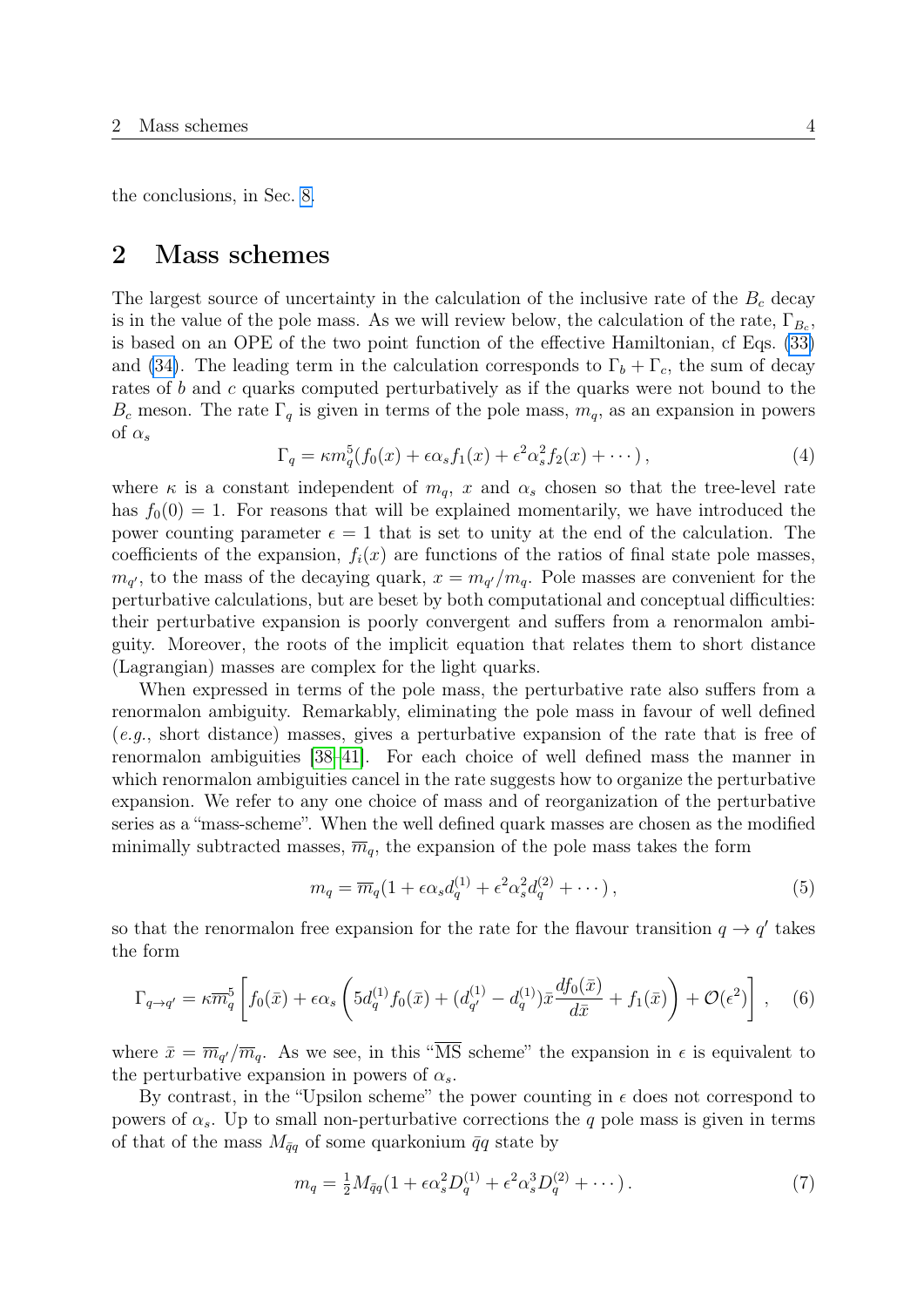the conclusions, in Sec. [8.](#page-34-0)

## <span id="page-4-0"></span>2 Mass schemes

The largest source of uncertainty in the calculation of the inclusive rate of the  $B<sub>c</sub>$  decay is in the value of the pole mass. As we will review below, the calculation of the rate,  $\Gamma_{B_c}$ , is based on an OPE of the two point function of the effective Hamiltonian, cf Eqs. [\(33\)](#page-16-1) and [\(34\)](#page-16-2). The leading term in the calculation corresponds to  $\Gamma_b + \Gamma_c$ , the sum of decay rates of b and c quarks computed perturbatively as if the quarks were not bound to the  $B_c$  meson. The rate  $\Gamma_q$  is given in terms of the pole mass,  $m_q$ , as an expansion in powers of  $\alpha_s$ 

<span id="page-4-2"></span>
$$
\Gamma_q = \kappa m_q^5 (f_0(x) + \epsilon \alpha_s f_1(x) + \epsilon^2 \alpha_s^2 f_2(x) + \cdots), \tag{4}
$$

where  $\kappa$  is a constant independent of  $m_q$ , x and  $\alpha_s$  chosen so that the tree-level rate has  $f_0(0) = 1$ . For reasons that will be explained momentarily, we have introduced the power counting parameter  $\epsilon = 1$  that is set to unity at the end of the calculation. The coefficients of the expansion,  $f_i(x)$  are functions of the ratios of final state pole masses,  $m_{q'}$ , to the mass of the decaying quark,  $x = m_{q'}/m_q$ . Pole masses are convenient for the perturbative calculations, but are beset by both computational and conceptual difficulties: their perturbative expansion is poorly convergent and suffers from a renormalon ambiguity. Moreover, the roots of the implicit equation that relates them to short distance (Lagrangian) masses are complex for the light quarks.

When expressed in terms of the pole mass, the perturbative rate also suffers from a renormalon ambiguity. Remarkably, eliminating the pole mass in favour of well defined (e.g., short distance) masses, gives a perturbative expansion of the rate that is free of renormalon ambiguities [\[38](#page-39-8)[–41\]](#page-39-9). For each choice of well defined mass the manner in which renormalon ambiguities cancel in the rate suggests how to organize the perturbative expansion. We refer to any one choice of mass and of reorganization of the perturbative series as a "mass-scheme". When the well defined quark masses are chosen as the modified minimally subtracted masses,  $\overline{m}_q$ , the expansion of the pole mass takes the form

<span id="page-4-1"></span>
$$
m_q = \overline{m}_q \left( 1 + \epsilon \alpha_s d_q^{(1)} + \epsilon^2 \alpha_s^2 d_q^{(2)} + \cdots \right),\tag{5}
$$

so that the renormalon free expansion for the rate for the flavour transition  $q \to q'$  takes the form

$$
\Gamma_{q \to q'} = \kappa \overline{m}_q^5 \left[ f_0(\bar{x}) + \epsilon \alpha_s \left( 5d_q^{(1)} f_0(\bar{x}) + (d_{q'}^{(1)} - d_q^{(1)}) \bar{x} \frac{df_0(\bar{x})}{d\bar{x}} + f_1(\bar{x}) \right) + \mathcal{O}(\epsilon^2) \right], \quad (6)
$$

where  $\bar{x} = \overline{m}_{q'}/\overline{m}_{q}$ . As we see, in this "MS scheme" the expansion in  $\epsilon$  is equivalent to the perturbative expansion in powers of  $\alpha_s$ .

By contrast, in the "Upsilon scheme" the power counting in  $\epsilon$  does not correspond to powers of  $\alpha_s$ . Up to small non-perturbative corrections the q pole mass is given in terms of that of the mass  $M_{\bar{q}q}$  of some quarkonium  $\bar{q}q$  state by

<span id="page-4-3"></span>
$$
m_q = \frac{1}{2} M_{\bar{q}q} (1 + \epsilon \alpha_s^2 D_q^{(1)} + \epsilon^2 \alpha_s^3 D_q^{(2)} + \cdots).
$$
 (7)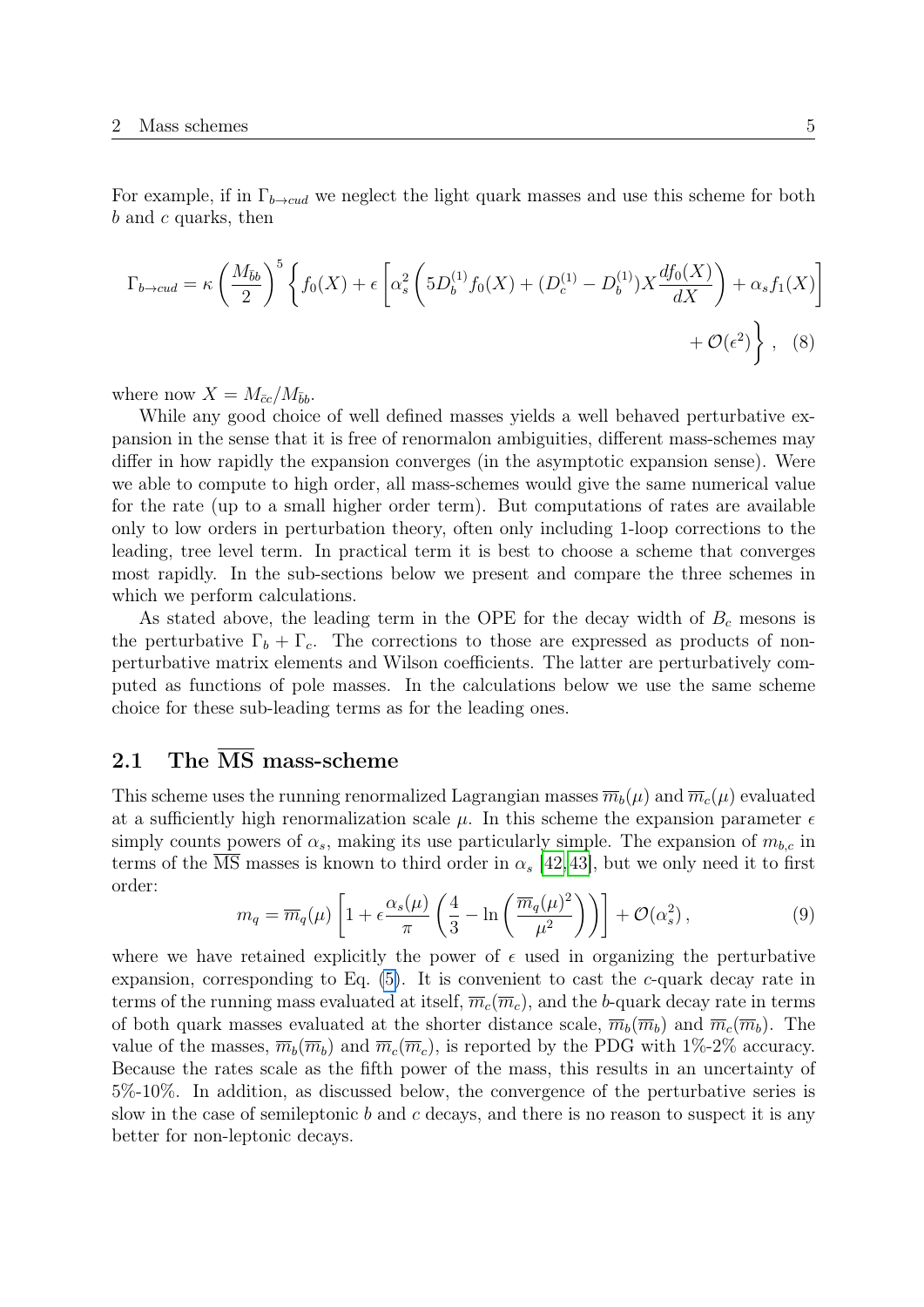For example, if in  $\Gamma_{b\to cud}$  we neglect the light quark masses and use this scheme for both  $b$  and  $c$  quarks, then

<span id="page-5-1"></span>
$$
\Gamma_{b \to cud} = \kappa \left( \frac{M_{\bar{b}b}}{2} \right)^5 \left\{ f_0(X) + \epsilon \left[ \alpha_s^2 \left( 5D_b^{(1)} f_0(X) + (D_c^{(1)} - D_b^{(1)}) X \frac{df_0(X)}{dX} \right) + \alpha_s f_1(X) \right] + \mathcal{O}(\epsilon^2) \right\}, \quad (8)
$$

where now  $X = M_{\bar{c}c} / M_{\bar{b}b}$ .

While any good choice of well defined masses yields a well behaved perturbative expansion in the sense that it is free of renormalon ambiguities, different mass-schemes may differ in how rapidly the expansion converges (in the asymptotic expansion sense). Were we able to compute to high order, all mass-schemes would give the same numerical value for the rate (up to a small higher order term). But computations of rates are available only to low orders in perturbation theory, often only including 1-loop corrections to the leading, tree level term. In practical term it is best to choose a scheme that converges most rapidly. In the sub-sections below we present and compare the three schemes in which we perform calculations.

As stated above, the leading term in the OPE for the decay width of  $B<sub>c</sub>$  mesons is the perturbative  $\Gamma_b + \Gamma_c$ . The corrections to those are expressed as products of nonperturbative matrix elements and Wilson coefficients. The latter are perturbatively computed as functions of pole masses. In the calculations below we use the same scheme choice for these sub-leading terms as for the leading ones.

## <span id="page-5-0"></span>2.1 The  $\overline{\text{MS}}$  mass-scheme

This scheme uses the running renormalized Lagrangian masses  $\overline{m}_b(\mu)$  and  $\overline{m}_c(\mu)$  evaluated at a sufficiently high renormalization scale  $\mu$ . In this scheme the expansion parameter  $\epsilon$ simply counts powers of  $\alpha_s$ , making its use particularly simple. The expansion of  $m_{b,c}$  in terms of the MS masses is known to third order in  $\alpha_s$  [\[42,](#page-39-10)[43\]](#page-39-11), but we only need it to first order:

<span id="page-5-2"></span>
$$
m_q = \overline{m}_q(\mu) \left[ 1 + \epsilon \frac{\alpha_s(\mu)}{\pi} \left( \frac{4}{3} - \ln \left( \frac{\overline{m}_q(\mu)^2}{\mu^2} \right) \right) \right] + \mathcal{O}(\alpha_s^2), \tag{9}
$$

where we have retained explicitly the power of  $\epsilon$  used in organizing the perturbative expansion, corresponding to Eq.  $(5)$ . It is convenient to cast the c-quark decay rate in terms of the running mass evaluated at itself,  $\overline{m}_c(\overline{m}_c)$ , and the b-quark decay rate in terms of both quark masses evaluated at the shorter distance scale,  $\overline{m}_b(\overline{m}_b)$  and  $\overline{m}_c(\overline{m}_b)$ . The value of the masses,  $\overline{m}_b(\overline{m}_b)$  and  $\overline{m}_c(\overline{m}_c)$ , is reported by the PDG with 1%-2% accuracy. Because the rates scale as the fifth power of the mass, this results in an uncertainty of 5%-10%. In addition, as discussed below, the convergence of the perturbative series is slow in the case of semileptonic b and c decays, and there is no reason to suspect it is any better for non-leptonic decays.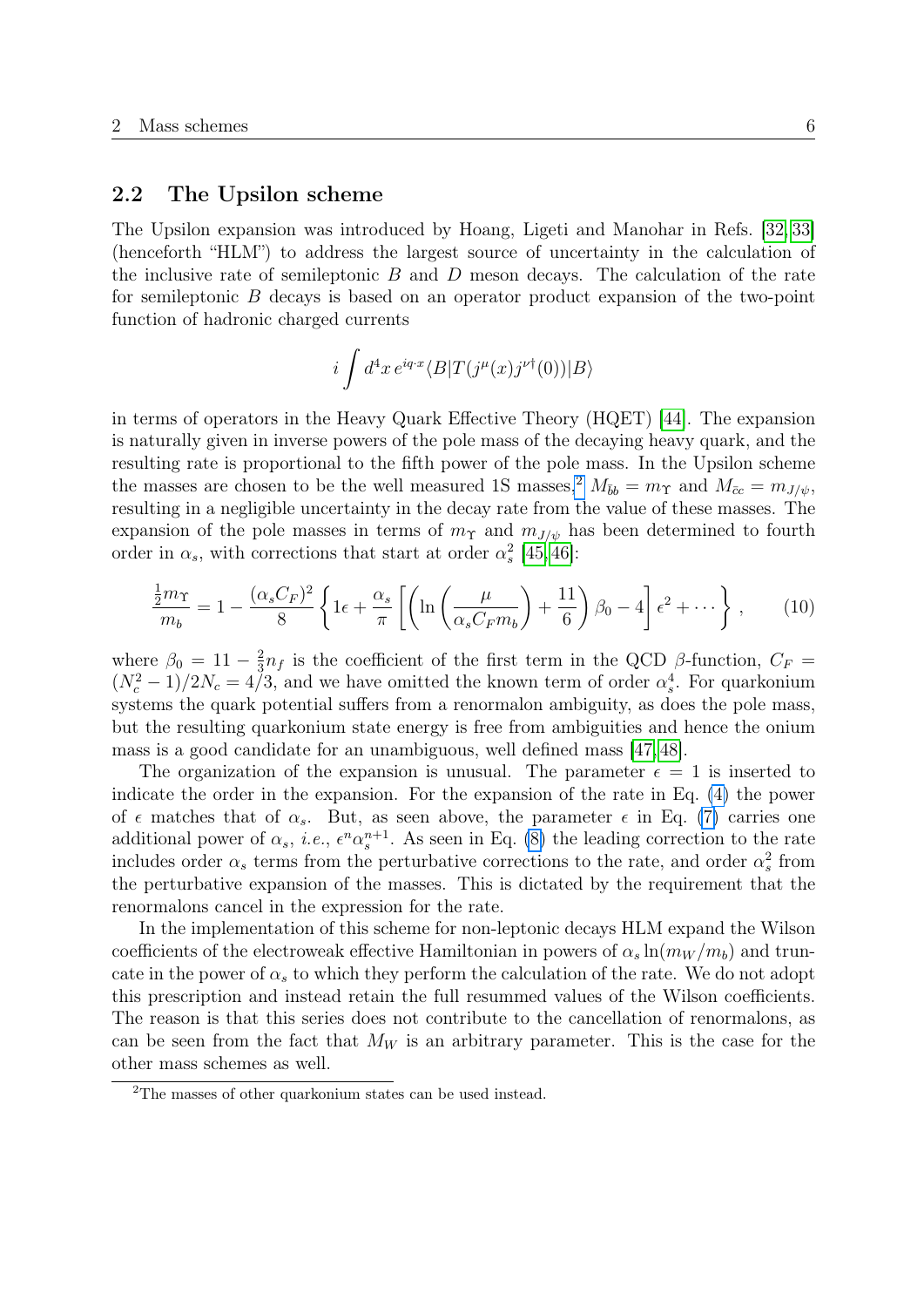## <span id="page-6-0"></span>2.2 The Upsilon scheme

The Upsilon expansion was introduced by Hoang, Ligeti and Manohar in Refs. [\[32,](#page-39-2) [33\]](#page-39-3) (henceforth "HLM") to address the largest source of uncertainty in the calculation of the inclusive rate of semileptonic  $B$  and  $D$  meson decays. The calculation of the rate for semileptonic B decays is based on an operator product expansion of the two-point function of hadronic charged currents

$$
i \int d^4x \, e^{iq \cdot x} \langle B|T(j^{\mu}(x)j^{\nu \dagger}(0))|B\rangle
$$

in terms of operators in the Heavy Quark Effective Theory (HQET) [\[44\]](#page-40-0). The expansion is naturally given in inverse powers of the pole mass of the decaying heavy quark, and the resulting rate is proportional to the fifth power of the pole mass. In the Upsilon scheme the masses are chosen to be the well measured 1S masses,<sup>[2](#page-6-1)</sup>  $M_{\bar{b}b} = m_{\Upsilon}$  and  $M_{\bar{c}c} = m_{J/\psi}$ , resulting in a negligible uncertainty in the decay rate from the value of these masses. The expansion of the pole masses in terms of  $m<sub>\Upsilon</sub>$  and  $m<sub>J/\psi</sub>$  has been determined to fourth order in  $\alpha_s$ , with corrections that start at order  $\alpha_s^2$  [\[45,](#page-40-1)46]:

$$
\frac{\frac{1}{2}m_{\Upsilon}}{m_b} = 1 - \frac{(\alpha_s C_F)^2}{8} \left\{ 1\epsilon + \frac{\alpha_s}{\pi} \left[ \left( \ln \left( \frac{\mu}{\alpha_s C_F m_b} \right) + \frac{11}{6} \right) \beta_0 - 4 \right] \epsilon^2 + \cdots \right\},\qquad(10)
$$

where  $\beta_0 = 11 - \frac{2}{3}$  $\frac{2}{3}n_f$  is the coefficient of the first term in the QCD  $\beta$ -function,  $C_F =$  $(N_c^2 - 1)/2N_c = 4/3$ , and we have omitted the known term of order  $\alpha_s^4$ . For quarkonium systems the quark potential suffers from a renormalon ambiguity, as does the pole mass, but the resulting quarkonium state energy is free from ambiguities and hence the onium mass is a good candidate for an unambiguous, well defined mass [\[47,](#page-40-3) [48\]](#page-40-4).

The organization of the expansion is unusual. The parameter  $\epsilon = 1$  is inserted to indicate the order in the expansion. For the expansion of the rate in Eq. [\(4\)](#page-4-2) the power of  $\epsilon$  matches that of  $\alpha_s$ . But, as seen above, the parameter  $\epsilon$  in Eq. [\(7\)](#page-4-3) carries one additional power of  $\alpha_s$ , *i.e.*,  $\epsilon^n \alpha_s^{n+1}$ . As seen in Eq. [\(8\)](#page-5-1) the leading correction to the rate includes order  $\alpha_s$  terms from the perturbative corrections to the rate, and order  $\alpha_s^2$  from the perturbative expansion of the masses. This is dictated by the requirement that the renormalons cancel in the expression for the rate.

In the implementation of this scheme for non-leptonic decays HLM expand the Wilson coefficients of the electroweak effective Hamiltonian in powers of  $\alpha_s \ln(m_W / m_b)$  and truncate in the power of  $\alpha_s$  to which they perform the calculation of the rate. We do not adopt this prescription and instead retain the full resummed values of the Wilson coefficients. The reason is that this series does not contribute to the cancellation of renormalons, as can be seen from the fact that  $M_W$  is an arbitrary parameter. This is the case for the other mass schemes as well.

<span id="page-6-1"></span><sup>2</sup>The masses of other quarkonium states can be used instead.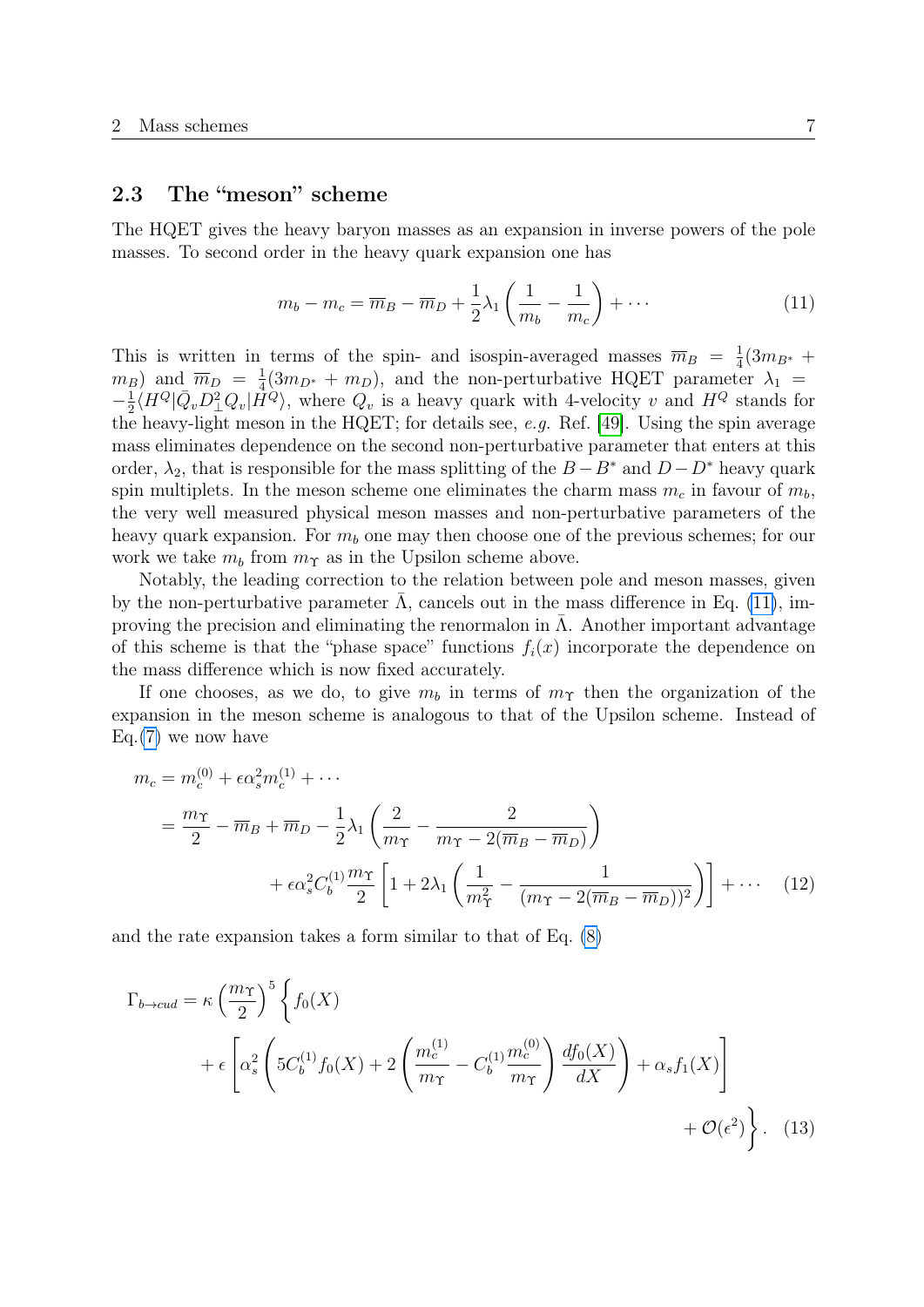### <span id="page-7-0"></span>2.3 The "meson" scheme

The HQET gives the heavy baryon masses as an expansion in inverse powers of the pole masses. To second order in the heavy quark expansion one has

<span id="page-7-1"></span>
$$
m_b - m_c = \overline{m}_B - \overline{m}_D + \frac{1}{2}\lambda_1 \left(\frac{1}{m_b} - \frac{1}{m_c}\right) + \cdots
$$
 (11)

This is written in terms of the spin- and isospin-averaged masses  $\overline{m}_B = \frac{1}{4}$  $\frac{1}{4}(3m_{B^*} +$  $(m_B)$  and  $\overline{m}_D = \frac{1}{4}$  $\frac{1}{4}(3m_{D^*} + m_D)$ , and the non-perturbative HQET parameter  $\lambda_1 =$  $-\frac{1}{2}$  $\frac{1}{2} \langle H^Q | \bar{Q}_v D_\perp^2 Q_v | \vec{H}^Q \rangle$ , where  $Q_v$  is a heavy quark with 4-velocity v and  $H^Q$  stands for the heavy-light meson in the HQET; for details see, e.g. Ref. [\[49\]](#page-40-5). Using the spin average mass eliminates dependence on the second non-perturbative parameter that enters at this order,  $\lambda_2$ , that is responsible for the mass splitting of the  $B - B^*$  and  $D - D^*$  heavy quark spin multiplets. In the meson scheme one eliminates the charm mass  $m_c$  in favour of  $m_b$ , the very well measured physical meson masses and non-perturbative parameters of the heavy quark expansion. For  $m_b$  one may then choose one of the previous schemes; for our work we take  $m_b$  from  $m_{\Upsilon}$  as in the Upsilon scheme above.

Notably, the leading correction to the relation between pole and meson masses, given by the non-perturbative parameter  $\bar{\Lambda}$ , cancels out in the mass difference in Eq. [\(11\)](#page-7-1), improving the precision and eliminating the renormalon in  $\overline{\Lambda}$ . Another important advantage of this scheme is that the "phase space" functions  $f_i(x)$  incorporate the dependence on the mass difference which is now fixed accurately.

If one chooses, as we do, to give  $m_b$  in terms of  $m_{\Upsilon}$  then the organization of the expansion in the meson scheme is analogous to that of the Upsilon scheme. Instead of Eq. $(7)$  we now have

$$
m_c = m_c^{(0)} + \epsilon \alpha_s^2 m_c^{(1)} + \cdots
$$
  
=  $\frac{m_{\Upsilon}}{2} - \overline{m}_B + \overline{m}_D - \frac{1}{2} \lambda_1 \left( \frac{2}{m_{\Upsilon}} - \frac{2}{m_{\Upsilon} - 2(\overline{m}_B - \overline{m}_D)} \right)$   
+  $\epsilon \alpha_s^2 C_b^{(1)} \frac{m_{\Upsilon}}{2} \left[ 1 + 2 \lambda_1 \left( \frac{1}{m_{\Upsilon}^2} - \frac{1}{(m_{\Upsilon} - 2(\overline{m}_B - \overline{m}_D))^2} \right) \right] + \cdots$  (12)

and the rate expansion takes a form similar to that of Eq. [\(8\)](#page-5-1)

$$
\Gamma_{b\to cud} = \kappa \left(\frac{m_{\Upsilon}}{2}\right)^5 \left\{ f_0(X) + \epsilon \left[ \alpha_s^2 \left( 5C_b^{(1)} f_0(X) + 2 \left( \frac{m_c^{(1)}}{m_{\Upsilon}} - C_b^{(1)} \frac{m_c^{(0)}}{m_{\Upsilon}} \right) \frac{df_0(X)}{dX} \right) + \alpha_s f_1(X) \right] + \mathcal{O}(\epsilon^2) \right\}. \tag{13}
$$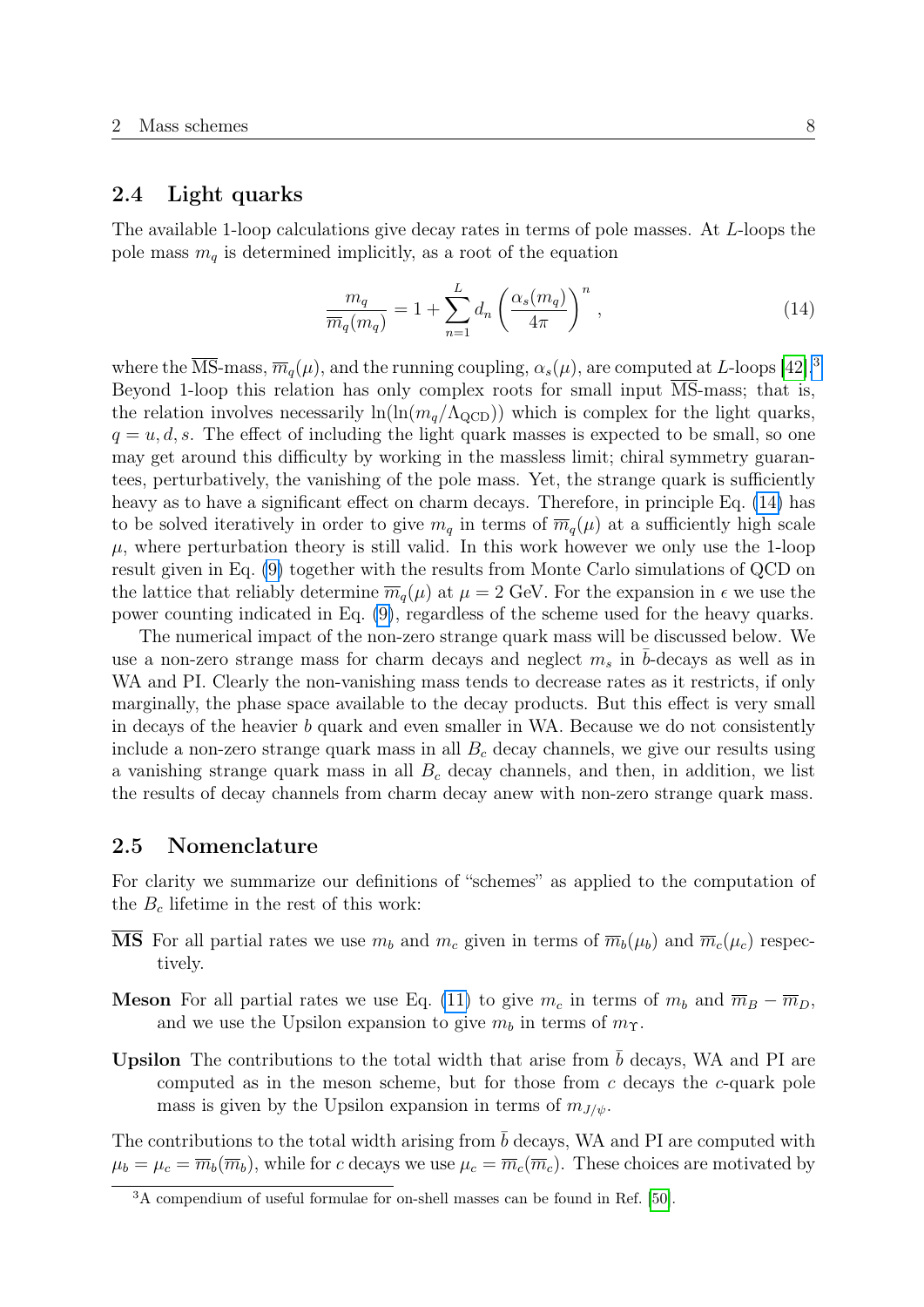## <span id="page-8-0"></span>2.4 Light quarks

The available 1-loop calculations give decay rates in terms of pole masses. At L-loops the pole mass  $m_q$  is determined implicitly, as a root of the equation

<span id="page-8-3"></span>
$$
\frac{m_q}{\overline{m}_q(m_q)} = 1 + \sum_{n=1}^{L} d_n \left(\frac{\alpha_s(m_q)}{4\pi}\right)^n,
$$
\n(14)

where the  $\overline{\text{MS}}$ -mass,  $\overline{m}_q(\mu)$ , and the running coupling,  $\alpha_s(\mu)$ , are computed at L-loops [\[42\]](#page-39-10).<sup>[3](#page-8-2)</sup> Beyond 1-loop this relation has only complex roots for small input MS-mass; that is, the relation involves necessarily  $\ln(\ln(m_q/\Lambda_{\rm QCD}))$  which is complex for the light quarks,  $q = u, d, s$ . The effect of including the light quark masses is expected to be small, so one may get around this difficulty by working in the massless limit; chiral symmetry guarantees, perturbatively, the vanishing of the pole mass. Yet, the strange quark is sufficiently heavy as to have a significant effect on charm decays. Therefore, in principle Eq.  $(14)$  has to be solved iteratively in order to give  $m_q$  in terms of  $\overline{m}_q(\mu)$  at a sufficiently high scale  $\mu$ , where perturbation theory is still valid. In this work however we only use the 1-loop result given in Eq. [\(9\)](#page-5-2) together with the results from Monte Carlo simulations of QCD on the lattice that reliably determine  $\overline{m}_q(\mu)$  at  $\mu = 2$  GeV. For the expansion in  $\epsilon$  we use the power counting indicated in Eq. [\(9\)](#page-5-2), regardless of the scheme used for the heavy quarks.

The numerical impact of the non-zero strange quark mass will be discussed below. We use a non-zero strange mass for charm decays and neglect  $m_s$  in b-decays as well as in WA and PI. Clearly the non-vanishing mass tends to decrease rates as it restricts, if only marginally, the phase space available to the decay products. But this effect is very small in decays of the heavier b quark and even smaller in WA. Because we do not consistently include a non-zero strange quark mass in all  $B<sub>c</sub>$  decay channels, we give our results using a vanishing strange quark mass in all  $B<sub>c</sub>$  decay channels, and then, in addition, we list the results of decay channels from charm decay anew with non-zero strange quark mass.

### <span id="page-8-1"></span>2.5 Nomenclature

For clarity we summarize our definitions of "schemes" as applied to the computation of the  $B_c$  lifetime in the rest of this work:

- **MS** For all partial rates we use  $m_b$  and  $m_c$  given in terms of  $\overline{m}_b(\mu_b)$  and  $\overline{m}_c(\mu_c)$  respectively.
- **Meson** For all partial rates we use Eq. [\(11\)](#page-7-1) to give  $m_c$  in terms of  $m_b$  and  $\overline{m}_B \overline{m}_D$ , and we use the Upsilon expansion to give  $m_b$  in terms of  $m_{\Upsilon}$ .
- **Upsilon** The contributions to the total width that arise from  $\bar{b}$  decays, WA and PI are computed as in the meson scheme, but for those from  $c$  decays the  $c$ -quark pole mass is given by the Upsilon expansion in terms of  $m_{J/\psi}$ .

The contributions to the total width arising from  $\bar{b}$  decays, WA and PI are computed with  $\mu_b = \mu_c = \overline{m}_b(\overline{m}_b)$ , while for c decays we use  $\mu_c = \overline{m}_c(\overline{m}_c)$ . These choices are motivated by

<span id="page-8-2"></span><sup>3</sup>A compendium of useful formulae for on-shell masses can be found in Ref. [\[50\]](#page-40-6).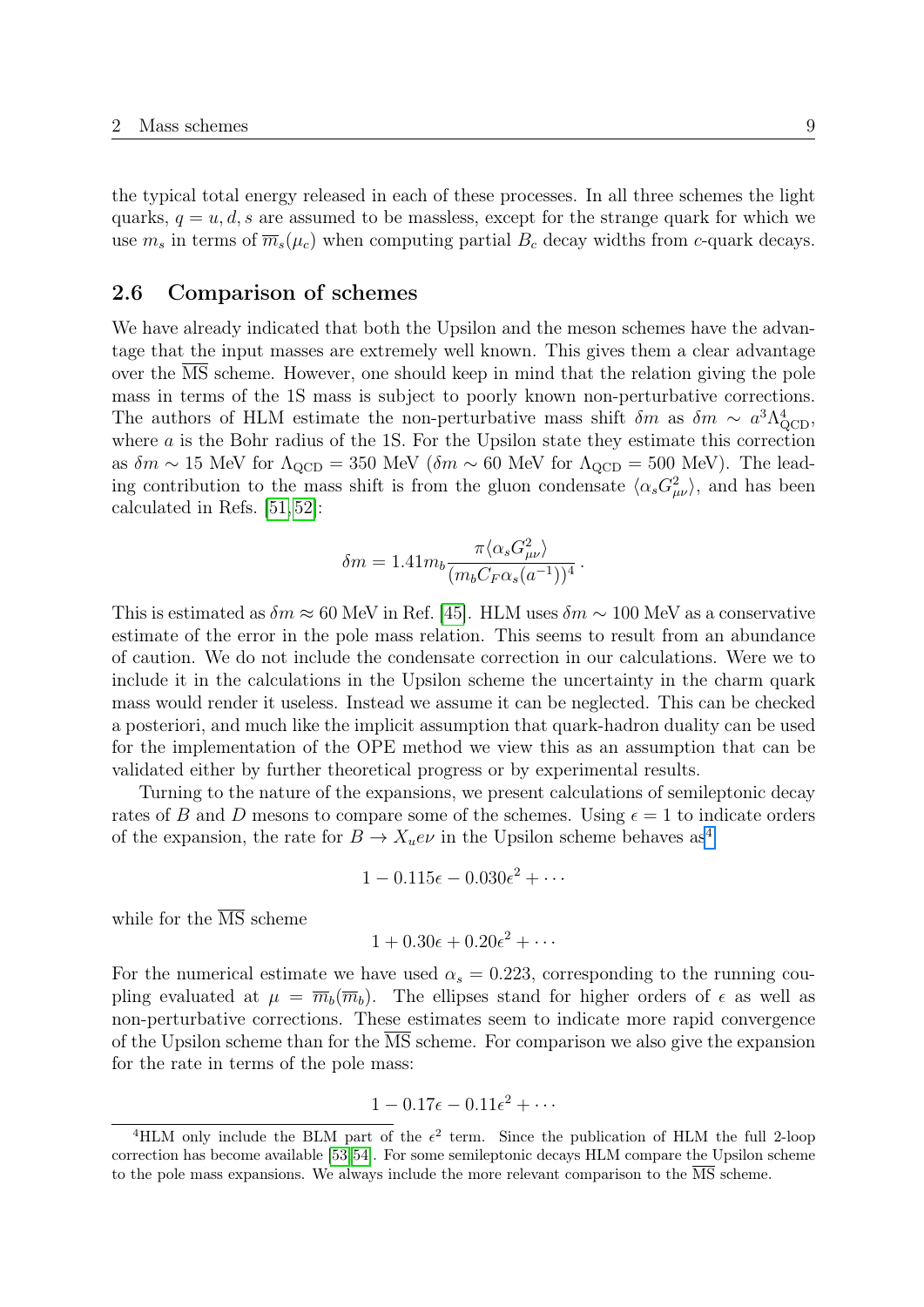the typical total energy released in each of these processes. In all three schemes the light quarks,  $q = u, d, s$  are assumed to be massless, except for the strange quark for which we use  $m_s$  in terms of  $\overline{m}_s(\mu_c)$  when computing partial  $B_c$  decay widths from c-quark decays.

## <span id="page-9-0"></span>2.6 Comparison of schemes

We have already indicated that both the Upsilon and the meson schemes have the advantage that the input masses are extremely well known. This gives them a clear advantage over the MS scheme. However, one should keep in mind that the relation giving the pole mass in terms of the 1S mass is subject to poorly known non-perturbative corrections. The authors of HLM estimate the non-perturbative mass shift  $\delta m$  as  $\delta m \sim a^3 \Lambda_{\text{QCD}}^4$ , where a is the Bohr radius of the 1S. For the Upsilon state they estimate this correction as  $\delta m \sim 15$  MeV for  $\Lambda_{\text{QCD}} = 350$  MeV  $(\delta m \sim 60$  MeV for  $\Lambda_{\text{QCD}} = 500$  MeV). The leading contribution to the mass shift is from the gluon condensate  $\langle \alpha_s G_{\mu\nu}^2 \rangle$ , and has been calculated in Refs. [\[51,](#page-40-7) [52\]](#page-40-8):

$$
\delta m = 1.41 m_b \frac{\pi \langle \alpha_s G_{\mu\nu}^2 \rangle}{(m_b C_F \alpha_s (a^{-1}))^4}.
$$

This is estimated as  $\delta m \approx 60$  MeV in Ref. [\[45\]](#page-40-1). HLM uses  $\delta m \sim 100$  MeV as a conservative estimate of the error in the pole mass relation. This seems to result from an abundance of caution. We do not include the condensate correction in our calculations. Were we to include it in the calculations in the Upsilon scheme the uncertainty in the charm quark mass would render it useless. Instead we assume it can be neglected. This can be checked a posteriori, and much like the implicit assumption that quark-hadron duality can be used for the implementation of the OPE method we view this as an assumption that can be validated either by further theoretical progress or by experimental results.

Turning to the nature of the expansions, we present calculations of semileptonic decay rates of B and D mesons to compare some of the schemes. Using  $\epsilon = 1$  to indicate orders of the expansion, the rate for  $B \to X_u e \nu$  in the Upsilon scheme behaves as<sup>[4](#page-9-1)</sup>

$$
1 - 0.115\epsilon - 0.030\epsilon^2 + \cdots
$$

while for the  $\overline{\text{MS}}$  scheme

$$
1 + 0.30\epsilon + 0.20\epsilon^2 + \cdots
$$

For the numerical estimate we have used  $\alpha_s = 0.223$ , corresponding to the running coupling evaluated at  $\mu = \overline{m}_b(\overline{m}_b)$ . The ellipses stand for higher orders of  $\epsilon$  as well as non-perturbative corrections. These estimates seem to indicate more rapid convergence of the Upsilon scheme than for the MS scheme. For comparison we also give the expansion for the rate in terms of the pole mass:

$$
1 - 0.17\epsilon - 0.11\epsilon^2 + \cdots
$$

<span id="page-9-1"></span><sup>&</sup>lt;sup>4</sup>HLM only include the BLM part of the  $\epsilon^2$  term. Since the publication of HLM the full 2-loop correction has become available [\[53,](#page-40-9)[54\]](#page-40-10). For some semileptonic decays HLM compare the Upsilon scheme to the pole mass expansions. We always include the more relevant comparison to the  $\overline{\text{MS}}$  scheme.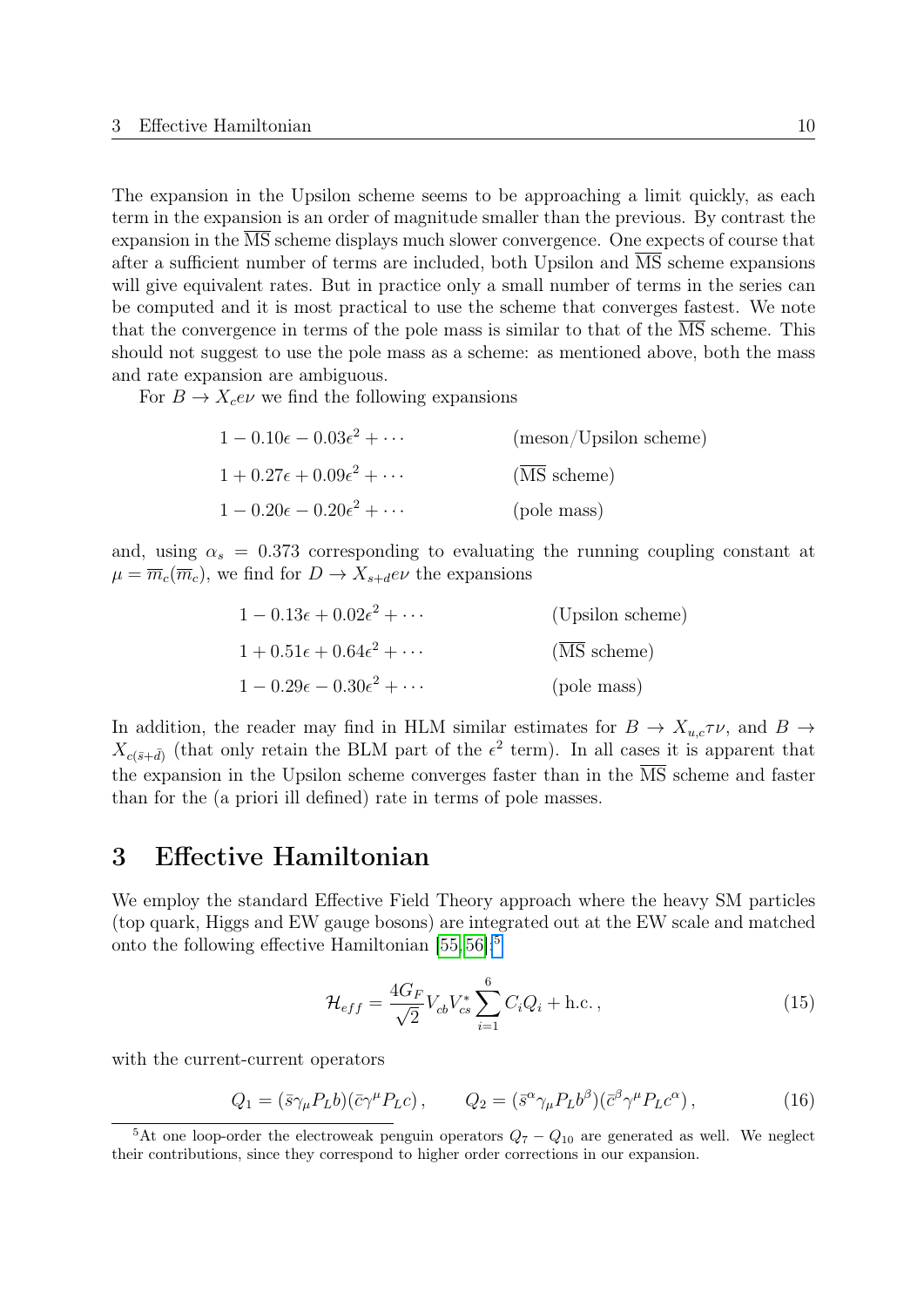The expansion in the Upsilon scheme seems to be approaching a limit quickly, as each term in the expansion is an order of magnitude smaller than the previous. By contrast the expansion in the MS scheme displays much slower convergence. One expects of course that after a sufficient number of terms are included, both Upsilon and MS scheme expansions will give equivalent rates. But in practice only a small number of terms in the series can be computed and it is most practical to use the scheme that converges fastest. We note that the convergence in terms of the pole mass is similar to that of the MS scheme. This should not suggest to use the pole mass as a scheme: as mentioned above, both the mass and rate expansion are ambiguous.

For  $B \to X_c e\nu$  we find the following expansions

| $1 - 0.10\epsilon - 0.03\epsilon^2 + \cdots$ | $(meson/Upsilon$ scheme) |
|----------------------------------------------|--------------------------|
| $1+0.27\epsilon+0.09\epsilon^2+\cdots$       | (MS scheme)              |
| $1 - 0.20\epsilon - 0.20\epsilon^2 + \cdots$ | (pole mass)              |

and, using  $\alpha_s = 0.373$  corresponding to evaluating the running coupling constant at  $\mu = \overline{m}_c(\overline{m}_c)$ , we find for  $D \to X_{s+d}e\nu$  the expansions

| $1 - 0.13\epsilon + 0.02\epsilon^2 + \cdots$ | (Upsilon scheme)                        |
|----------------------------------------------|-----------------------------------------|
| $1+0.51\epsilon+0.64\epsilon^2+\cdots$       | $(\overline{\text{MS}} \text{ scheme})$ |
| $1 - 0.29\epsilon - 0.30\epsilon^2 + \cdots$ | (pole mass)                             |

In addition, the reader may find in HLM similar estimates for  $B \to X_{u,c} \tau \nu$ , and  $B \to$  $X_{c(\bar{s}+\bar{d})}$  (that only retain the BLM part of the  $\epsilon^2$  term). In all cases it is apparent that the expansion in the Upsilon scheme converges faster than in the  $\overline{\text{MS}}$  scheme and faster than for the (a priori ill defined) rate in terms of pole masses.

## <span id="page-10-0"></span>3 Effective Hamiltonian

We employ the standard Effective Field Theory approach where the heavy SM particles (top quark, Higgs and EW gauge bosons) are integrated out at the EW scale and matched onto the following effective Hamiltonian [\[55,](#page-40-11) [56\]](#page-40-12):<sup>[5](#page-10-1)</sup>

<span id="page-10-2"></span>
$$
\mathcal{H}_{eff} = \frac{4G_F}{\sqrt{2}} V_{cb} V_{cs}^* \sum_{i=1}^6 C_i Q_i + \text{h.c.} \,, \tag{15}
$$

with the current-current operators

$$
Q_1 = (\bar{s}\gamma_\mu P_L b)(\bar{c}\gamma^\mu P_L c), \qquad Q_2 = (\bar{s}^\alpha \gamma_\mu P_L b^\beta)(\bar{c}^\beta \gamma^\mu P_L c^\alpha), \qquad (16)
$$

<span id="page-10-1"></span><sup>&</sup>lt;sup>5</sup>At one loop-order the electroweak penguin operators  $Q_7 - Q_{10}$  are generated as well. We neglect their contributions, since they correspond to higher order corrections in our expansion.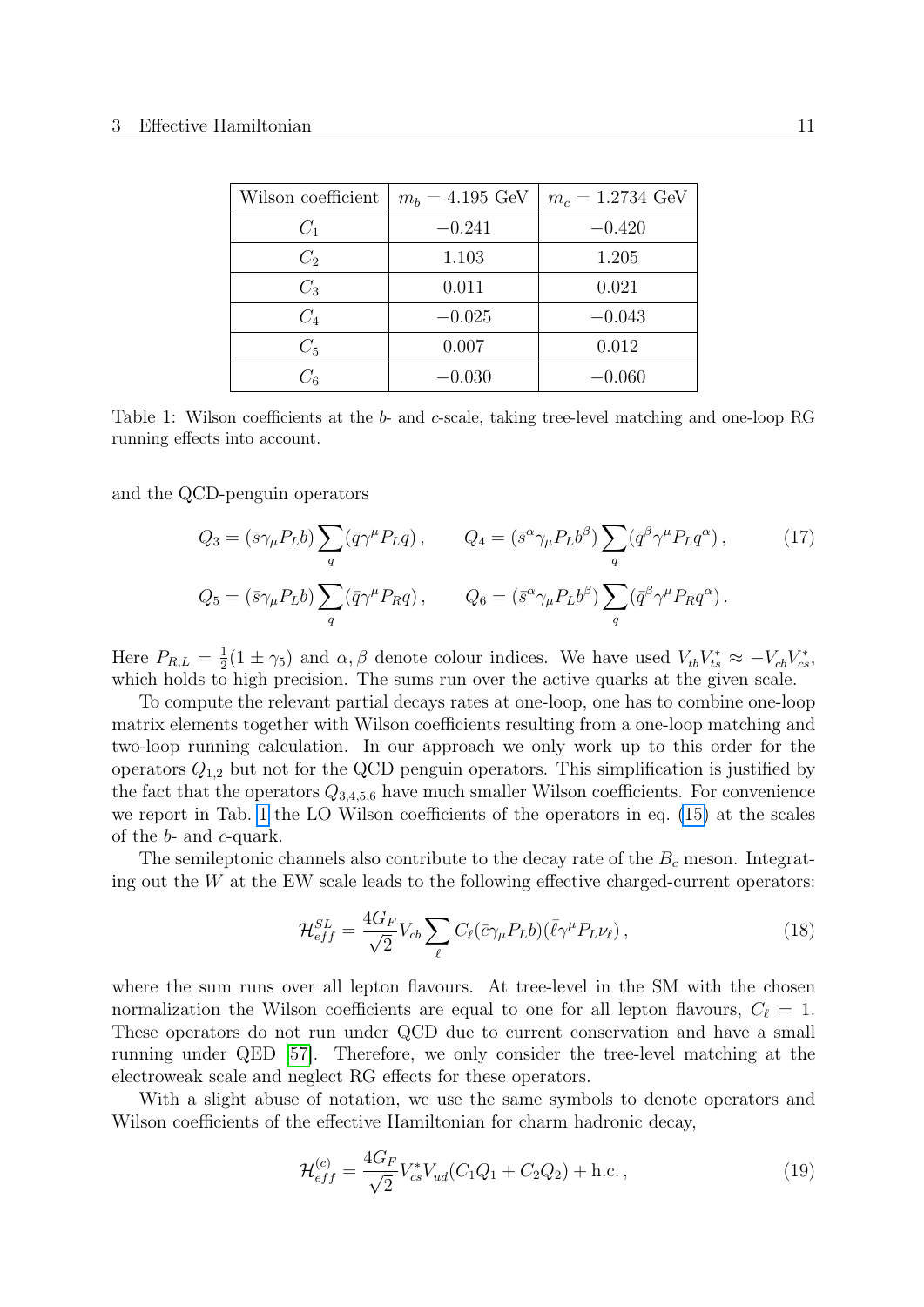<span id="page-11-0"></span>

| Wilson coefficient | $m_b = 4.195 \text{ GeV}$ | $m_c = 1.2734 \text{ GeV}$ |
|--------------------|---------------------------|----------------------------|
| $C_1$              | $-0.241$                  | $-0.420$                   |
| $C_2$              | 1.103                     | 1.205                      |
| $C_3$              | 0.011                     | 0.021                      |
| $C_4$              | $-0.025$                  | $-0.043$                   |
| $C_5$              | 0.007                     | 0.012                      |
| $C_{6}$            | $-0.030$                  | $-0.060$                   |

Table 1: Wilson coefficients at the b- and c-scale, taking tree-level matching and one-loop RG running effects into account.

and the QCD-penguin operators

$$
Q_3 = (\bar{s}\gamma_\mu P_L b) \sum_q (\bar{q}\gamma^\mu P_L q) , \qquad Q_4 = (\bar{s}^\alpha \gamma_\mu P_L b^\beta) \sum_q (\bar{q}^\beta \gamma^\mu P_L q^\alpha) , \qquad (17)
$$
  

$$
Q_5 = (\bar{s}\gamma_\mu P_L b) \sum_q (\bar{q}\gamma^\mu P_R q) , \qquad Q_6 = (\bar{s}^\alpha \gamma_\mu P_L b^\beta) \sum_q (\bar{q}^\beta \gamma^\mu P_R q^\alpha) .
$$

Here  $P_{R,L} = \frac{1}{2}$  $\frac{1}{2}(1 \pm \gamma_5)$  and  $\alpha, \beta$  denote colour indices. We have used  $V_{tb}V_{ts}^* \approx -V_{cb}V_{cs}^*$ , which holds to high precision. The sums run over the active quarks at the given scale.

To compute the relevant partial decays rates at one-loop, one has to combine one-loop matrix elements together with Wilson coefficients resulting from a one-loop matching and two-loop running calculation. In our approach we only work up to this order for the operators  $Q_{1,2}$  but not for the QCD penguin operators. This simplification is justified by the fact that the operators  $Q_{3,4,5,6}$  have much smaller Wilson coefficients. For convenience we report in Tab. [1](#page-11-0) the LO Wilson coefficients of the operators in eq. [\(15\)](#page-10-2) at the scales of the b- and c-quark.

The semileptonic channels also contribute to the decay rate of the  $B<sub>c</sub>$  meson. Integrating out the  $W$  at the EW scale leads to the following effective charged-current operators:

<span id="page-11-1"></span>
$$
\mathcal{H}_{eff}^{SL} = \frac{4G_F}{\sqrt{2}} V_{cb} \sum_{\ell} C_{\ell} (\bar{c} \gamma_{\mu} P_L b) (\bar{\ell} \gamma^{\mu} P_L \nu_{\ell}), \qquad (18)
$$

where the sum runs over all lepton flavours. At tree-level in the SM with the chosen normalization the Wilson coefficients are equal to one for all lepton flavours,  $C_{\ell} = 1$ . These operators do not run under QCD due to current conservation and have a small running under QED [\[57\]](#page-40-13). Therefore, we only consider the tree-level matching at the electroweak scale and neglect RG effects for these operators.

With a slight abuse of notation, we use the same symbols to denote operators and Wilson coefficients of the effective Hamiltonian for charm hadronic decay,

<span id="page-11-2"></span>
$$
\mathcal{H}_{eff}^{(c)} = \frac{4G_F}{\sqrt{2}} V_{cs}^* V_{ud} (C_1 Q_1 + C_2 Q_2) + \text{h.c.}\,,\tag{19}
$$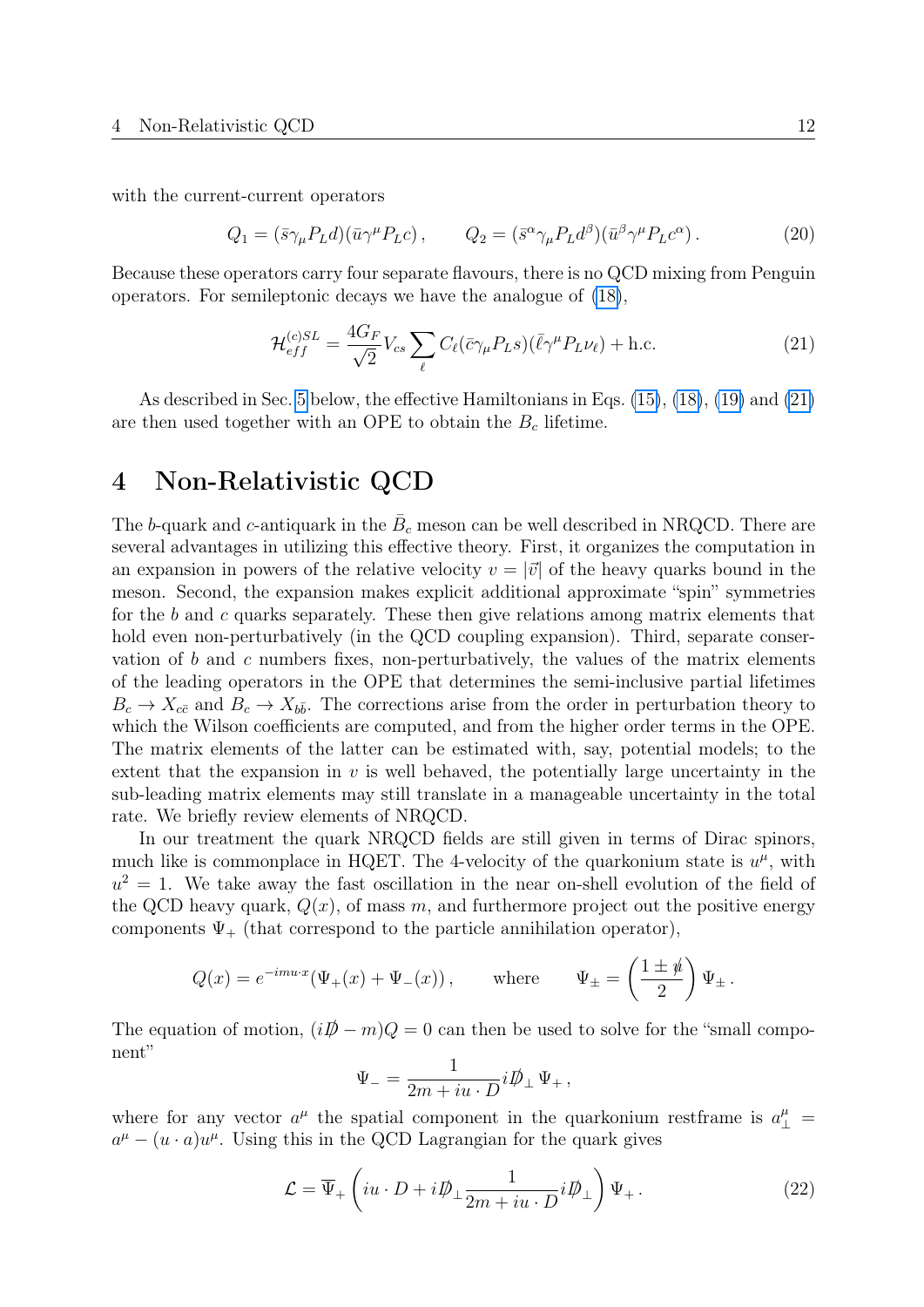with the current-current operators

$$
Q_1 = (\bar{s}\gamma_\mu P_L d)(\bar{u}\gamma^\mu P_L c), \qquad Q_2 = (\bar{s}^\alpha \gamma_\mu P_L d^\beta)(\bar{u}^\beta \gamma^\mu P_L c^\alpha). \tag{20}
$$

Because these operators carry four separate flavours, there is no QCD mixing from Penguin operators. For semileptonic decays we have the analogue of [\(18\)](#page-11-1),

<span id="page-12-1"></span>
$$
\mathcal{H}_{eff}^{(c)SL} = \frac{4G_F}{\sqrt{2}} V_{cs} \sum_{\ell} C_{\ell} (\bar{c} \gamma_{\mu} P_L s) (\bar{\ell} \gamma^{\mu} P_L \nu_{\ell}) + \text{h.c.}
$$
\n(21)

As described in Sec. [5](#page-16-0) below, the effective Hamiltonians in Eqs. [\(15\)](#page-10-2), [\(18\)](#page-11-1), [\(19\)](#page-11-2) and [\(21\)](#page-12-1) are then used together with an OPE to obtain the  $B<sub>c</sub>$  lifetime.

## <span id="page-12-0"></span>4 Non-Relativistic QCD

The b-quark and c-antiquark in the  $B_c$  meson can be well described in NRQCD. There are several advantages in utilizing this effective theory. First, it organizes the computation in an expansion in powers of the relative velocity  $v = |\vec{v}|$  of the heavy quarks bound in the meson. Second, the expansion makes explicit additional approximate "spin" symmetries for the  $b$  and  $c$  quarks separately. These then give relations among matrix elements that hold even non-perturbatively (in the QCD coupling expansion). Third, separate conservation of  $b$  and  $c$  numbers fixes, non-perturbatively, the values of the matrix elements of the leading operators in the OPE that determines the semi-inclusive partial lifetimes  $B_c \to X_{c\bar{c}}$  and  $B_c \to X_{b\bar{b}}$ . The corrections arise from the order in perturbation theory to which the Wilson coefficients are computed, and from the higher order terms in the OPE. The matrix elements of the latter can be estimated with, say, potential models; to the extent that the expansion in  $v$  is well behaved, the potentially large uncertainty in the sub-leading matrix elements may still translate in a manageable uncertainty in the total rate. We briefly review elements of NRQCD.

In our treatment the quark NRQCD fields are still given in terms of Dirac spinors, much like is commonplace in HQET. The 4-velocity of the quarkonium state is  $u^{\mu}$ , with  $u^2 = 1$ . We take away the fast oscillation in the near on-shell evolution of the field of the QCD heavy quark,  $Q(x)$ , of mass m, and furthermore project out the positive energy components  $\Psi_{+}$  (that correspond to the particle annihilation operator),

$$
Q(x) = e^{-imu \cdot x} (\Psi_+(x) + \Psi_-(x)), \quad \text{where} \quad \Psi_\pm = \left(\frac{1 \pm \psi}{2}\right) \Psi_\pm.
$$

The equation of motion,  $(iD \hspace{-1.2mm}/ - m)Q = 0$  can then be used to solve for the "small component"

$$
\Psi_- = \frac{1}{2m+iu\cdot D}i\rlap{\,/}D_\perp\Psi_+\,,
$$

where for any vector  $a^{\mu}$  the spatial component in the quarkonium restframe is  $a^{\mu}_{\perp}$  =  $a^{\mu} - (u \cdot a)u^{\mu}$ . Using this in the QCD Lagrangian for the quark gives

<span id="page-12-2"></span>
$$
\mathcal{L} = \overline{\Psi}_{+} \left( iu \cdot D + i \rlap{\,/}D_{\perp} \frac{1}{2m + iu \cdot D} i \rlap{\,/}D_{\perp} \right) \Psi_{+}.
$$
\n(22)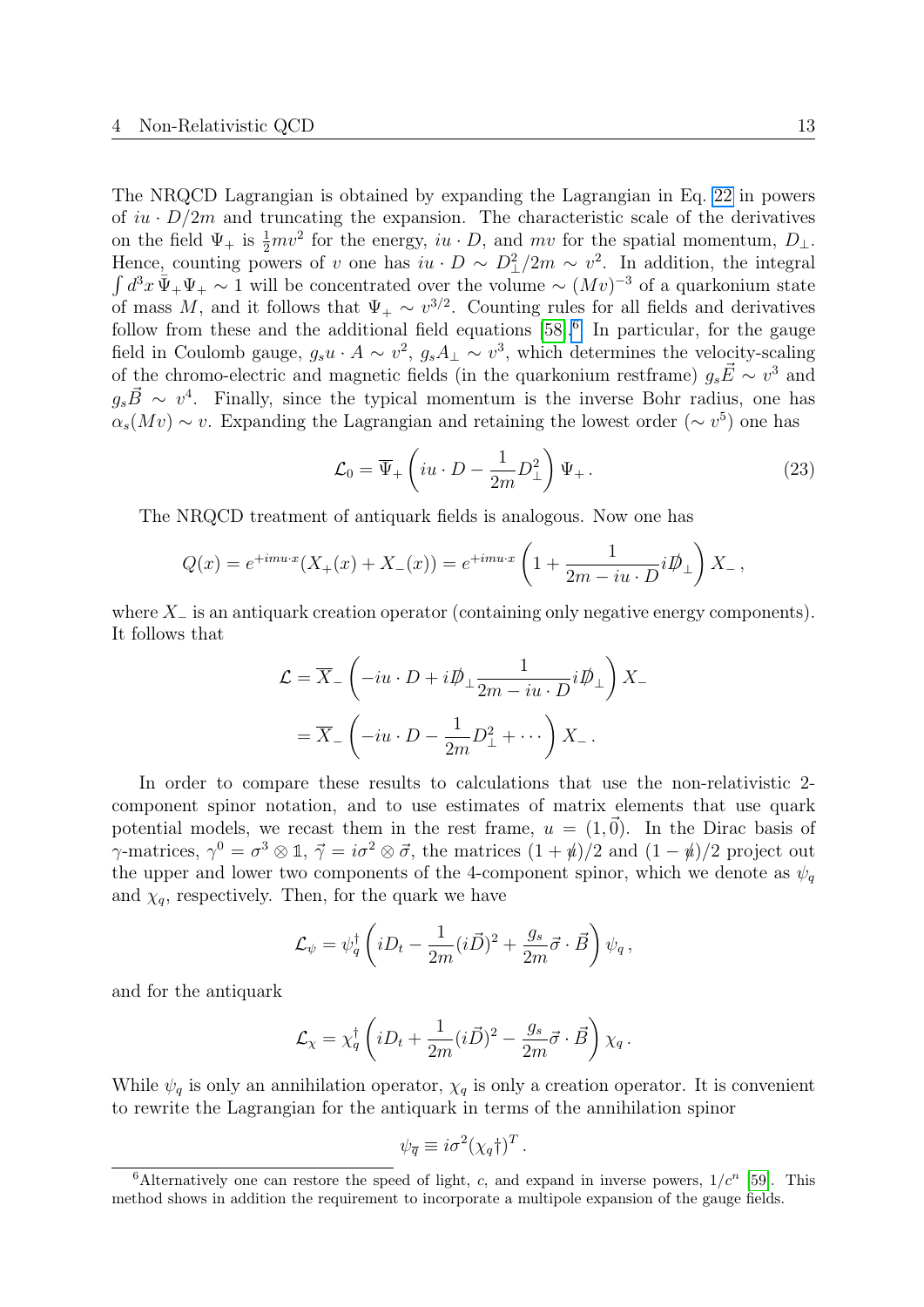The NRQCD Lagrangian is obtained by expanding the Lagrangian in Eq. [22](#page-12-2) in powers of  $iu \cdot D/2m$  and truncating the expansion. The characteristic scale of the derivatives on the field  $\Psi_+$  is  $\frac{1}{2}mv^2$  for the energy,  $iu \cdot D$ , and  $mv$  for the spatial momentum,  $D_{\perp}$ . Hence, counting powers of v one has  $iu \cdot D \sim D_{\perp}^2/2m \sim v^2$ . In addition, the integral  $\int d^3x \, \bar{\Psi}_+ \Psi_+ \sim 1$  will be concentrated over the volume  $\sim (Mv)^{-3}$  of a quarkonium state of mass M, and it follows that  $\Psi_+ \sim v^{3/2}$ . Counting rules for all fields and derivatives follow from these and the additional field equations  $[58]$ .<sup>[6](#page-13-0)</sup> In particular, for the gauge field in Coulomb gauge,  $g_s u \cdot A \sim v^2$ ,  $g_s A_{\perp} \sim v^3$ , which determines the velocity-scaling of the chromo-electric and magnetic fields (in the quarkonium restframe)  $g_s \vec{E} \sim v^3$  and  $g_s \vec{B} \sim v^4$ . Finally, since the typical momentum is the inverse Bohr radius, one has  $\alpha_s(Mv) \sim v$ . Expanding the Lagrangian and retaining the lowest order ( $\sim v^5$ ) one has

<span id="page-13-1"></span>
$$
\mathcal{L}_0 = \overline{\Psi}_+ \left( iu \cdot D - \frac{1}{2m} D_\perp^2 \right) \Psi_+ \,. \tag{23}
$$

The NRQCD treatment of antiquark fields is analogous. Now one has

$$
Q(x) = e^{+imu \cdot x} (X_+(x) + X_-(x)) = e^{+imu \cdot x} \left( 1 + \frac{1}{2m - iu \cdot D} i \not{D}_\perp \right) X_-,
$$

where  $X_-\,$  is an antiquark creation operator (containing only negative energy components). It follows that

$$
\mathcal{L} = \overline{X}_{-} \left( -iu \cdot D + i \not{D}_{\perp} \frac{1}{2m - iu \cdot D} i \not{D}_{\perp} \right) X_{-}
$$

$$
= \overline{X}_{-} \left( -iu \cdot D - \frac{1}{2m} D_{\perp}^{2} + \cdots \right) X_{-}.
$$

In order to compare these results to calculations that use the non-relativistic 2 component spinor notation, and to use estimates of matrix elements that use quark potential models, we recast them in the rest frame,  $u = (1, \vec{0})$ . In the Dirac basis of  $\gamma$ -matrices,  $\gamma^0 = \sigma^3 \otimes \mathbb{1}, \ \vec{\gamma} = i\sigma^2 \otimes \vec{\sigma}$ , the matrices  $(1 + \psi)/2$  and  $(1 - \psi)/2$  project out the upper and lower two components of the 4-component spinor, which we denote as  $\psi_q$ and  $\chi_q$ , respectively. Then, for the quark we have

$$
\mathcal{L}_{\psi} = \psi_q^{\dagger} \left( i D_t - \frac{1}{2m} (i \vec{D})^2 + \frac{g_s}{2m} \vec{\sigma} \cdot \vec{B} \right) \psi_q ,
$$

and for the antiquark

$$
\mathcal{L}_{\chi} = \chi_q^{\dagger} \left( i D_t + \frac{1}{2m} (i \vec{D})^2 - \frac{g_s}{2m} \vec{\sigma} \cdot \vec{B} \right) \chi_q \,.
$$

While  $\psi_q$  is only an annihilation operator,  $\chi_q$  is only a creation operator. It is convenient to rewrite the Lagrangian for the antiquark in terms of the annihilation spinor

$$
\psi_{\overline{q}} \equiv i\sigma^2 (\chi_q \dagger)^T.
$$

<span id="page-13-0"></span><sup>&</sup>lt;sup>6</sup>Alternatively one can restore the speed of light, c, and expand in inverse powers,  $1/c^n$  [\[59\]](#page-40-15). This method shows in addition the requirement to incorporate a multipole expansion of the gauge fields.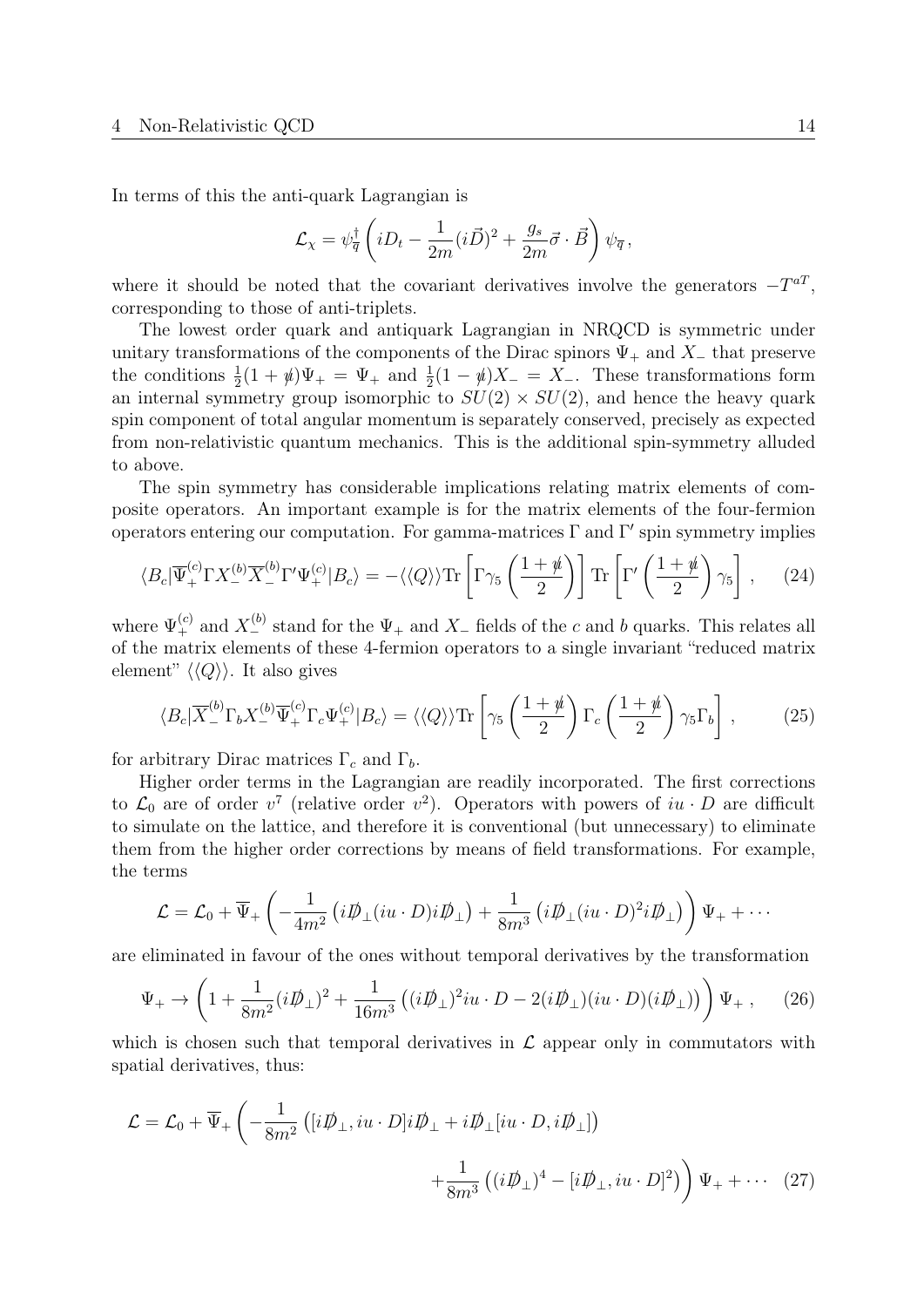In terms of this the anti-quark Lagrangian is

$$
\mathcal{L}_{\chi} = \psi_{\overline{q}}^{\dagger} \left( i D_t - \frac{1}{2m} (i \vec{D})^2 + \frac{g_s}{2m} \vec{\sigma} \cdot \vec{B} \right) \psi_{\overline{q}},
$$

where it should be noted that the covariant derivatives involve the generators  $-T^{aT}$ , corresponding to those of anti-triplets.

The lowest order quark and antiquark Lagrangian in NRQCD is symmetric under unitary transformations of the components of the Dirac spinors  $\Psi_+$  and  $X_-\$  that preserve the conditions  $\frac{1}{2}(1 + \psi)\Psi_+ = \Psi_+$  and  $\frac{1}{2}(1 - \psi)X_- = X_-$ . These transformations form an internal symmetry group isomorphic to  $SU(2) \times SU(2)$ , and hence the heavy quark spin component of total angular momentum is separately conserved, precisely as expected from non-relativistic quantum mechanics. This is the additional spin-symmetry alluded to above.

The spin symmetry has considerable implications relating matrix elements of composite operators. An important example is for the matrix elements of the four-fermion operators entering our computation. For gamma-matrices  $\Gamma$  and  $\Gamma'$  spin symmetry implies

<span id="page-14-2"></span>
$$
\langle B_c | \overline{\Psi}^{(c)}_+ \Gamma X^{(b)}_- \overline{X}^{(b)}_- \Gamma' \Psi^{(c)}_+ | B_c \rangle = - \langle \langle Q \rangle \rangle \text{Tr} \left[ \Gamma \gamma_5 \left( \frac{1 + \psi}{2} \right) \right] \text{Tr} \left[ \Gamma' \left( \frac{1 + \psi}{2} \right) \gamma_5 \right], \quad (24)
$$

where  $\Psi_{+}^{(c)}$  and  $X_{-}^{(b)}$  stand for the  $\Psi_{+}$  and  $X_{-}$  fields of the c and b quarks. This relates all of the matrix elements of these 4-fermion operators to a single invariant "reduced matrix element"  $\langle \langle Q \rangle \rangle$ . It also gives

<span id="page-14-3"></span>
$$
\langle B_c | \overline{X}^{(b)}_- \Gamma_b X^{(b)}_- \overline{\Psi}^{(c)}_+ \Gamma_c \Psi^{(c)}_+ | B_c \rangle = \langle \langle Q \rangle \rangle \text{Tr} \left[ \gamma_5 \left( \frac{1 + \psi}{2} \right) \Gamma_c \left( \frac{1 + \psi}{2} \right) \gamma_5 \Gamma_b \right] , \tag{25}
$$

for arbitrary Dirac matrices  $\Gamma_c$  and  $\Gamma_b$ .

Higher order terms in the Lagrangian are readily incorporated. The first corrections to  $\mathcal{L}_0$  are of order  $v^7$  (relative order  $v^2$ ). Operators with powers of  $iu \cdot D$  are difficult to simulate on the lattice, and therefore it is conventional (but unnecessary) to eliminate them from the higher order corrections by means of field transformations. For example, the terms

$$
\mathcal{L} = \mathcal{L}_0 + \overline{\Psi}_+ \left( -\frac{1}{4m^2} \left( i \not{D}_\perp (i u \cdot D) i \not{D}_\perp \right) + \frac{1}{8m^3} \left( i \not{D}_\perp (i u \cdot D)^2 i \not{D}_\perp \right) \right) \Psi_+ + \cdots
$$

are eliminated in favour of the ones without temporal derivatives by the transformation

<span id="page-14-1"></span>
$$
\Psi_+ \to \left(1 + \frac{1}{8m^2} (i\rlap{\,/}D_\perp)^2 + \frac{1}{16m^3} \left( (i\rlap{\,/}D_\perp)^2 iu \cdot D - 2(i\rlap{\,/}D_\perp) (iu \cdot D)(i\rlap{\,/}D_\perp) \right) \Psi_+ \,, \tag{26}
$$

which is chosen such that temporal derivatives in  $\mathcal L$  appear only in commutators with spatial derivatives, thus:

<span id="page-14-0"></span>
$$
\mathcal{L} = \mathcal{L}_0 + \overline{\Psi}_+ \left( -\frac{1}{8m^2} \left( [i\mathcal{D}_\perp, iu \cdot D] i\mathcal{D}_\perp + i\mathcal{D}_\perp [iu \cdot D, i\mathcal{D}_\perp] \right) \right. \\
\left. + \frac{1}{8m^3} \left( (i\mathcal{D}_\perp)^4 - [i\mathcal{D}_\perp, iu \cdot D]^2 \right) \right) \Psi_+ + \cdots \tag{27}
$$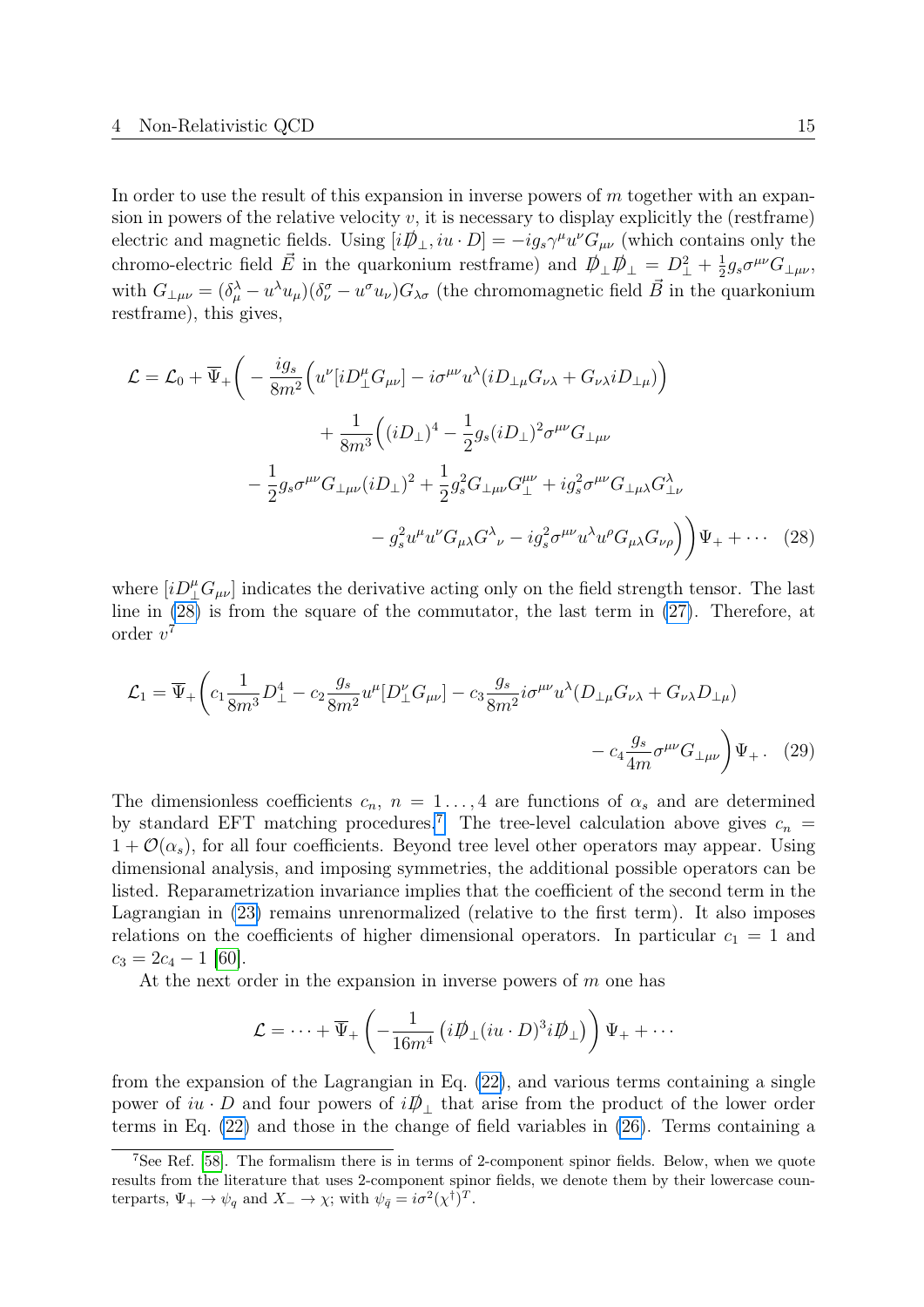In order to use the result of this expansion in inverse powers of  $m$  together with an expansion in powers of the relative velocity  $v$ , it is necessary to display explicitly the (restframe) electric and magnetic fields. Using  $[i\rlap{\,/}D_{\perp}, iu \cdot D] = -ig_s \gamma^{\mu} u^{\nu} G_{\mu\nu}$  (which contains only the chromo-electric field  $\vec{E}$  in the quarkonium restframe) and  $\vec{D}_{\perp} \vec{D}_{\perp} = D_{\perp}^2 + \frac{1}{2}$  $\frac{1}{2}g_s\sigma^{\mu\nu}G_{\perp\mu\nu}$ with  $G_{\perp\mu\nu} = (\delta_\mu^\lambda - u^\lambda u_\mu)(\delta_\nu^\sigma - u^\sigma u_\nu)G_{\lambda\sigma}$  (the chromomagnetic field  $\vec{B}$  in the quarkonium restframe), this gives,

$$
\mathcal{L} = \mathcal{L}_0 + \overline{\Psi}_+ \bigg( -\frac{ig_s}{8m^2} \Big( u^{\nu} [iD^{\mu}_\perp G_{\mu\nu}] - i\sigma^{\mu\nu} u^{\lambda} (iD_{\perp\mu} G_{\nu\lambda} + G_{\nu\lambda} iD_{\perp\mu}) \Big) \n+ \frac{1}{8m^3} \Big( (iD_{\perp})^4 - \frac{1}{2} g_s (iD_{\perp})^2 \sigma^{\mu\nu} G_{\perp\mu\nu} \n- \frac{1}{2} g_s \sigma^{\mu\nu} G_{\perp\mu\nu} (iD_{\perp})^2 + \frac{1}{2} g_s^2 G_{\perp\mu\nu} G^{\mu\nu}_\perp + i g_s^2 \sigma^{\mu\nu} G_{\perp\mu\lambda} G^{\lambda}_{\perp\nu} \n- g_s^2 u^{\mu} u^{\nu} G_{\mu\lambda} G^{\lambda}{}_{\nu} - i g_s^2 \sigma^{\mu\nu} u^{\lambda} u^{\rho} G_{\mu\lambda} G_{\nu\rho} \Big) \Big) \Psi_+ + \cdots (28)
$$

where  $[iD^{\mu}_{\perp}G_{\mu\nu}]$  indicates the derivative acting only on the field strength tensor. The last line in [\(28\)](#page-15-0) is from the square of the commutator, the last term in [\(27\)](#page-14-0). Therefore, at order  $v^7$ 

<span id="page-15-0"></span>
$$
\mathcal{L}_1 = \overline{\Psi}_+ \left( c_1 \frac{1}{8m^3} D_\perp^4 - c_2 \frac{g_s}{8m^2} u^\mu [D_\perp^\nu G_{\mu\nu}] - c_3 \frac{g_s}{8m^2} i \sigma^{\mu\nu} u^\lambda (D_{\perp\mu} G_{\nu\lambda} + G_{\nu\lambda} D_{\perp\mu}) - c_4 \frac{g_s}{4m} \sigma^{\mu\nu} G_{\perp\mu\nu} \right) \Psi_+ \,. \tag{29}
$$

The dimensionless coefficients  $c_n$ ,  $n = 1 \dots, 4$  are functions of  $\alpha_s$  and are determined by standard EFT matching procedures.<sup>[7](#page-15-1)</sup> The tree-level calculation above gives  $c_n$  =  $1 + \mathcal{O}(\alpha_s)$ , for all four coefficients. Beyond tree level other operators may appear. Using dimensional analysis, and imposing symmetries, the additional possible operators can be listed. Reparametrization invariance implies that the coefficient of the second term in the Lagrangian in [\(23\)](#page-13-1) remains unrenormalized (relative to the first term). It also imposes relations on the coefficients of higher dimensional operators. In particular  $c_1 = 1$  and  $c_3 = 2c_4 - 1$  [\[60\]](#page-41-0).

At the next order in the expansion in inverse powers of  $m$  one has

$$
\mathcal{L} = \cdots + \overline{\Psi}_{+} \left( -\frac{1}{16m^4} \left( i \not{D}_{\perp} (i u \cdot D)^3 i \not{D}_{\perp} \right) \right) \Psi_{+} + \cdots
$$

from the expansion of the Lagrangian in Eq. [\(22\)](#page-12-2), and various terms containing a single power of  $iu \cdot D$  and four powers of  $i\rlap{\,/}D \rbrack$  that arise from the product of the lower order terms in Eq. [\(22\)](#page-12-2) and those in the change of field variables in [\(26\)](#page-14-1). Terms containing a

<span id="page-15-1"></span><sup>7</sup>See Ref. [\[58\]](#page-40-14). The formalism there is in terms of 2-component spinor fields. Below, when we quote results from the literature that uses 2-component spinor fields, we denote them by their lowercase counterparts,  $\Psi_+ \to \psi_q$  and  $X_- \to \chi$ ; with  $\psi_{\bar{q}} = i\sigma^2 (\chi^{\dagger})^T$ .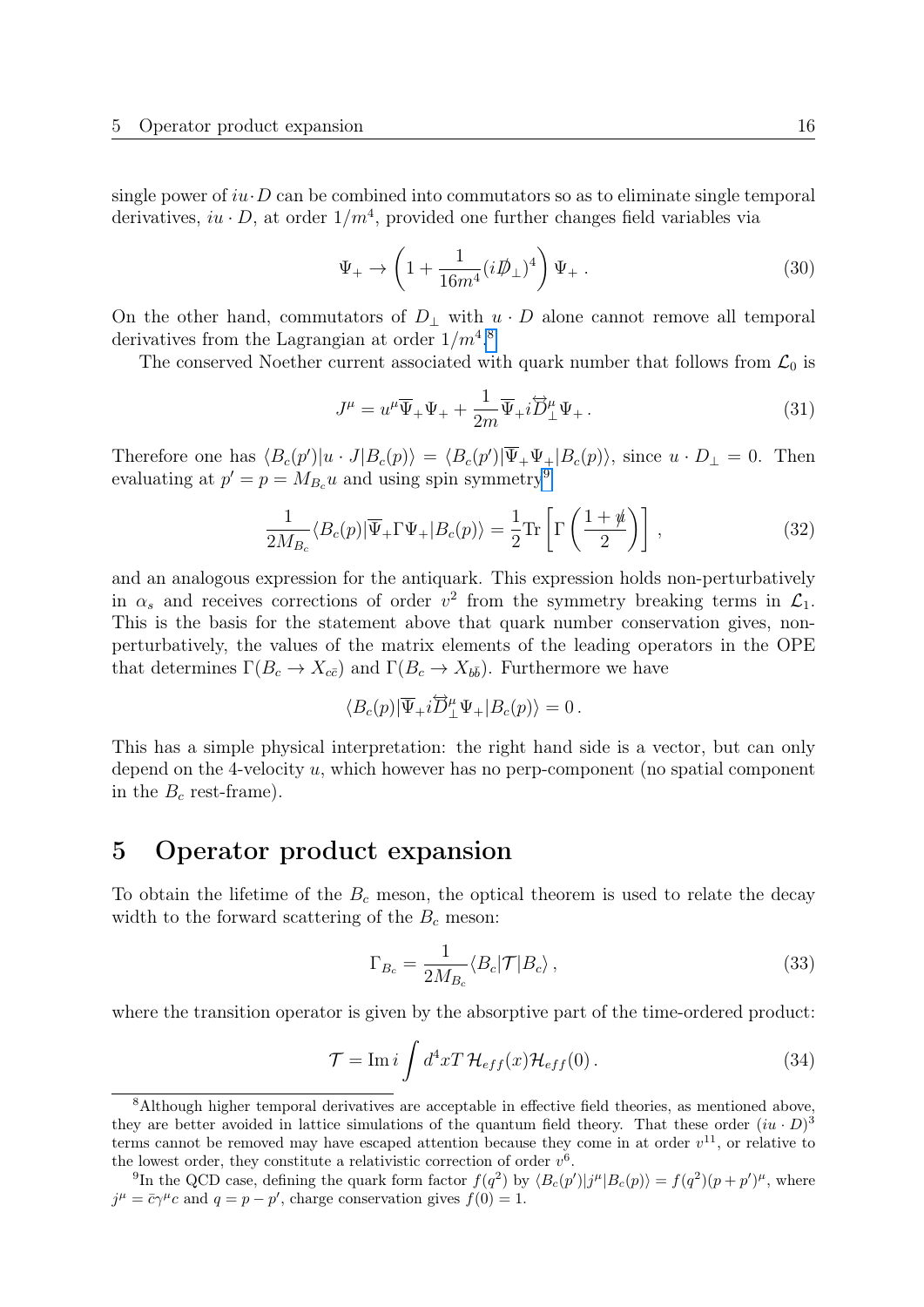single power of  $iu \cdot D$  can be combined into commutators so as to eliminate single temporal derivatives,  $iu \cdot D$ , at order  $1/m<sup>4</sup>$ , provided one further changes field variables via

<span id="page-16-7"></span>
$$
\Psi_+ \to \left(1 + \frac{1}{16m^4} (i\rlap{\,/}D_\perp)^4\right) \Psi_+ \,. \tag{30}
$$

On the other hand, commutators of  $D_{\perp}$  with  $u \cdot D$  alone cannot remove all temporal derivatives from the Lagrangian at order  $1/m<sup>4,8</sup>$  $1/m<sup>4,8</sup>$  $1/m<sup>4,8</sup>$ 

The conserved Noether current associated with quark number that follows from  $\mathcal{L}_0$  is

<span id="page-16-5"></span>
$$
J^{\mu} = u^{\mu}\overline{\Psi}_{+}\Psi_{+} + \frac{1}{2m}\overline{\Psi}_{+}i\overleftrightarrow{D}_{\perp}^{\mu}\Psi_{+}.
$$
\n(31)

Therefore one has  $\langle B_c(p')|u \cdot J|B_c(p)\rangle = \langle B_c(p')|\overline{\Psi}_+\Psi_+|B_c(p)\rangle$ , since  $u \cdot D_{\perp} = 0$ . Then evaluating at  $p' = p = M_{B_c} u$  and using spin symmetry<sup>[9](#page-16-4)</sup>

<span id="page-16-6"></span>
$$
\frac{1}{2M_{B_c}}\langle B_c(p)|\overline{\Psi}_+\Gamma\Psi_+|B_c(p)\rangle = \frac{1}{2}\text{Tr}\left[\Gamma\left(\frac{1+\rlap{\hspace{0.02cm}/}{n}}{2}\right)\right],\tag{32}
$$

and an analogous expression for the antiquark. This expression holds non-perturbatively in  $\alpha_s$  and receives corrections of order  $v^2$  from the symmetry breaking terms in  $\mathcal{L}_1$ . This is the basis for the statement above that quark number conservation gives, nonperturbatively, the values of the matrix elements of the leading operators in the OPE that determines  $\Gamma(B_c \to X_{c\bar{c}})$  and  $\Gamma(B_c \to X_{b\bar{b}})$ . Furthermore we have

$$
\langle B_c(p)|\overline{\Psi}_+i\overleftrightarrow{D}^{\mu}_\perp\Psi_+|B_c(p)\rangle=0\,.
$$

This has a simple physical interpretation: the right hand side is a vector, but can only depend on the 4-velocity u, which however has no perp-component (no spatial component in the  $B_c$  rest-frame).

## <span id="page-16-0"></span>5 Operator product expansion

To obtain the lifetime of the  $B<sub>c</sub>$  meson, the optical theorem is used to relate the decay width to the forward scattering of the  $B<sub>c</sub>$  meson:

<span id="page-16-1"></span>
$$
\Gamma_{B_c} = \frac{1}{2M_{B_c}} \langle B_c | \mathcal{T} | B_c \rangle \,, \tag{33}
$$

where the transition operator is given by the absorptive part of the time-ordered product:

<span id="page-16-2"></span>
$$
\mathcal{T} = \text{Im}\,i \int d^4x T \,\mathcal{H}_{eff}(x) \mathcal{H}_{eff}(0) \,. \tag{34}
$$

<span id="page-16-3"></span><sup>8</sup>Although higher temporal derivatives are acceptable in effective field theories, as mentioned above, they are better avoided in lattice simulations of the quantum field theory. That these order  $(iu \cdot D)^3$ terms cannot be removed may have escaped attention because they come in at order  $v^{11}$ , or relative to the lowest order, they constitute a relativistic correction of order  $v^6$ .

<span id="page-16-4"></span><sup>&</sup>lt;sup>9</sup>In the QCD case, defining the quark form factor  $f(q^2)$  by  $\langle B_c(p')|j^{\mu}|B_c(p)\rangle = f(q^2)(p+p')^{\mu}$ , where  $j^{\mu} = \bar{c}\gamma^{\mu}c$  and  $q = p - p'$ , charge conservation gives  $f(0) = 1$ .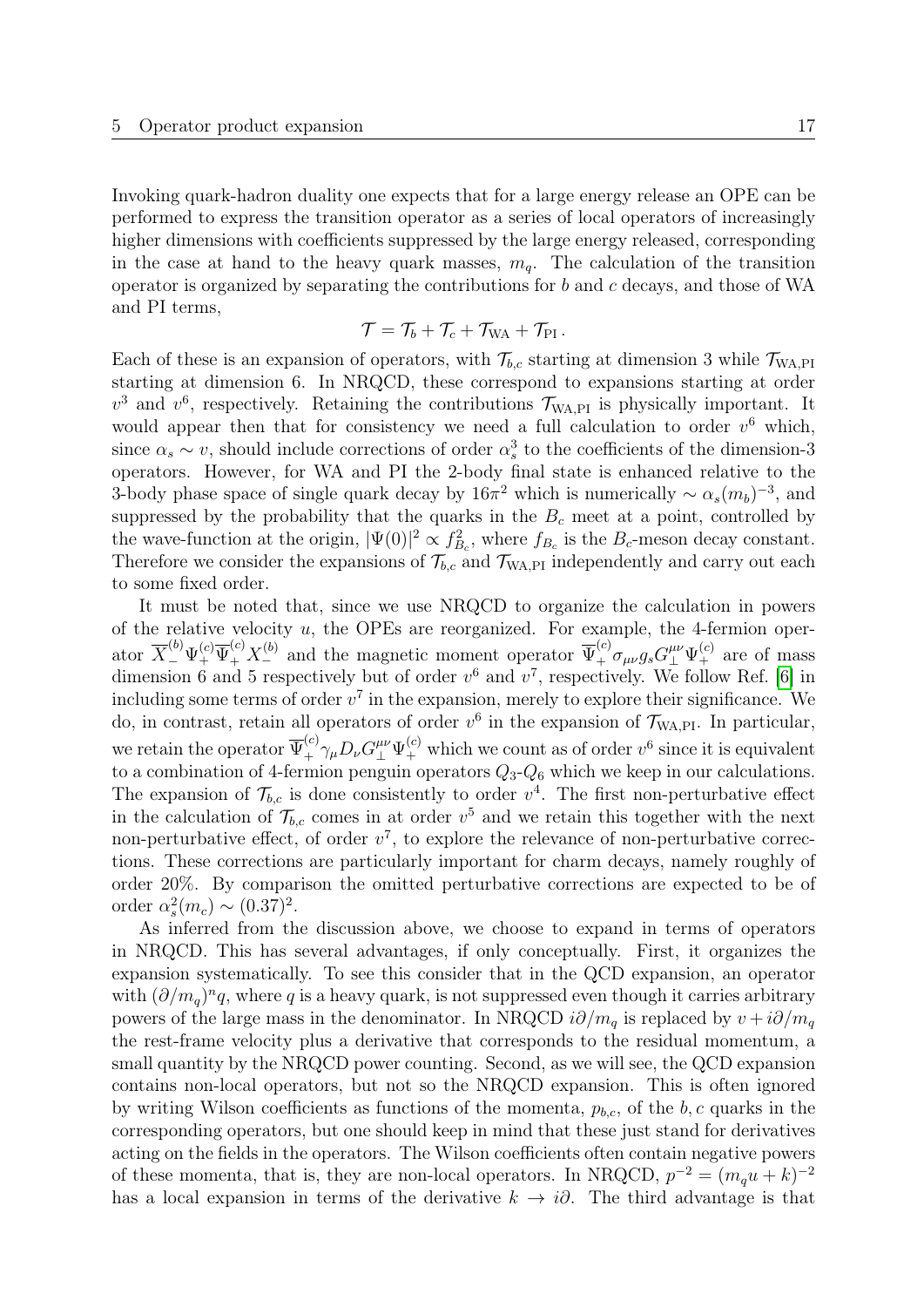Invoking quark-hadron duality one expects that for a large energy release an OPE can be performed to express the transition operator as a series of local operators of increasingly higher dimensions with coefficients suppressed by the large energy released, corresponding in the case at hand to the heavy quark masses,  $m_q$ . The calculation of the transition operator is organized by separating the contributions for b and c decays, and those of WA and PI terms,

$$
\mathcal{T} = \mathcal{T}_b + \mathcal{T}_c + \mathcal{T}_{\text{WA}} + \mathcal{T}_{\text{PI}} \,.
$$

Each of these is an expansion of operators, with  $\mathcal{T}_{b,c}$  starting at dimension 3 while  $\mathcal{T}_{WA,PI}$ starting at dimension 6. In NRQCD, these correspond to expansions starting at order  $v^3$  and  $v^6$ , respectively. Retaining the contributions  $\mathcal{T}_{WA,PI}$  is physically important. It would appear then that for consistency we need a full calculation to order  $v^6$  which, since  $\alpha_s \sim v$ , should include corrections of order  $\alpha_s^3$  to the coefficients of the dimension-3 operators. However, for WA and PI the 2-body final state is enhanced relative to the 3-body phase space of single quark decay by  $16\pi^2$  which is numerically  $\sim \alpha_s(m_b)^{-3}$ , and suppressed by the probability that the quarks in the  $B<sub>c</sub>$  meet at a point, controlled by the wave-function at the origin,  $|\Psi(0)|^2 \propto f_{B_c}^2$ , where  $f_{B_c}$  is the  $B_c$ -meson decay constant. Therefore we consider the expansions of  $\mathcal{T}_{b,c}$  and  $\mathcal{T}_{WA,PI}$  independently and carry out each to some fixed order.

It must be noted that, since we use NRQCD to organize the calculation in powers of the relative velocity  $u$ , the OPEs are reorganized. For example, the 4-fermion operator  $\overline{X}^{(b)}_-\Psi^{(c)}_+ \overline{\Psi}^{(c)}_+ X^{(b)}_-$  and the magnetic moment operator  $\overline{\Psi}^{(c)}_+ \sigma_{\mu\nu} g_s G^{\mu\nu}_+ \Psi^{(c)}_+$  are of mass dimension 6 and 5 respectively but of order  $v^6$  and  $v^7$ , respectively. We follow Ref. [\[6\]](#page-37-5) in including some terms of order  $v^7$  in the expansion, merely to explore their significance. We do, in contrast, retain all operators of order  $v^6$  in the expansion of  $\mathcal{T}_{WA,PI}$ . In particular, we retain the operator  $\overline{\Psi}^{(c)}_+ \gamma_\mu D_\nu G^{\mu\nu}_+ \Psi^{(c)}_+$  which we count as of order  $v^6$  since it is equivalent to a combination of 4-fermion penguin operators  $Q_3 - Q_6$  which we keep in our calculations. The expansion of  $\mathcal{T}_{b,c}$  is done consistently to order  $v^4$ . The first non-perturbative effect in the calculation of  $\mathcal{T}_{b,c}$  comes in at order  $v^5$  and we retain this together with the next non-perturbative effect, of order  $v^7$ , to explore the relevance of non-perturbative corrections. These corrections are particularly important for charm decays, namely roughly of order 20%. By comparison the omitted perturbative corrections are expected to be of order  $\alpha_s^2(m_c) \sim (0.37)^2$ .

As inferred from the discussion above, we choose to expand in terms of operators in NRQCD. This has several advantages, if only conceptually. First, it organizes the expansion systematically. To see this consider that in the QCD expansion, an operator with  $(\partial/m_q)^n q$ , where q is a heavy quark, is not suppressed even though it carries arbitrary powers of the large mass in the denominator. In NRQCD  $i\partial/m_q$  is replaced by  $v + i\partial/m_q$ the rest-frame velocity plus a derivative that corresponds to the residual momentum, a small quantity by the NRQCD power counting. Second, as we will see, the QCD expansion contains non-local operators, but not so the NRQCD expansion. This is often ignored by writing Wilson coefficients as functions of the momenta,  $p_{b,c}$ , of the b, c quarks in the corresponding operators, but one should keep in mind that these just stand for derivatives acting on the fields in the operators. The Wilson coefficients often contain negative powers of these momenta, that is, they are non-local operators. In NRQCD,  $p^{-2} = (m_q u + k)^{-2}$ has a local expansion in terms of the derivative  $k \to i\partial$ . The third advantage is that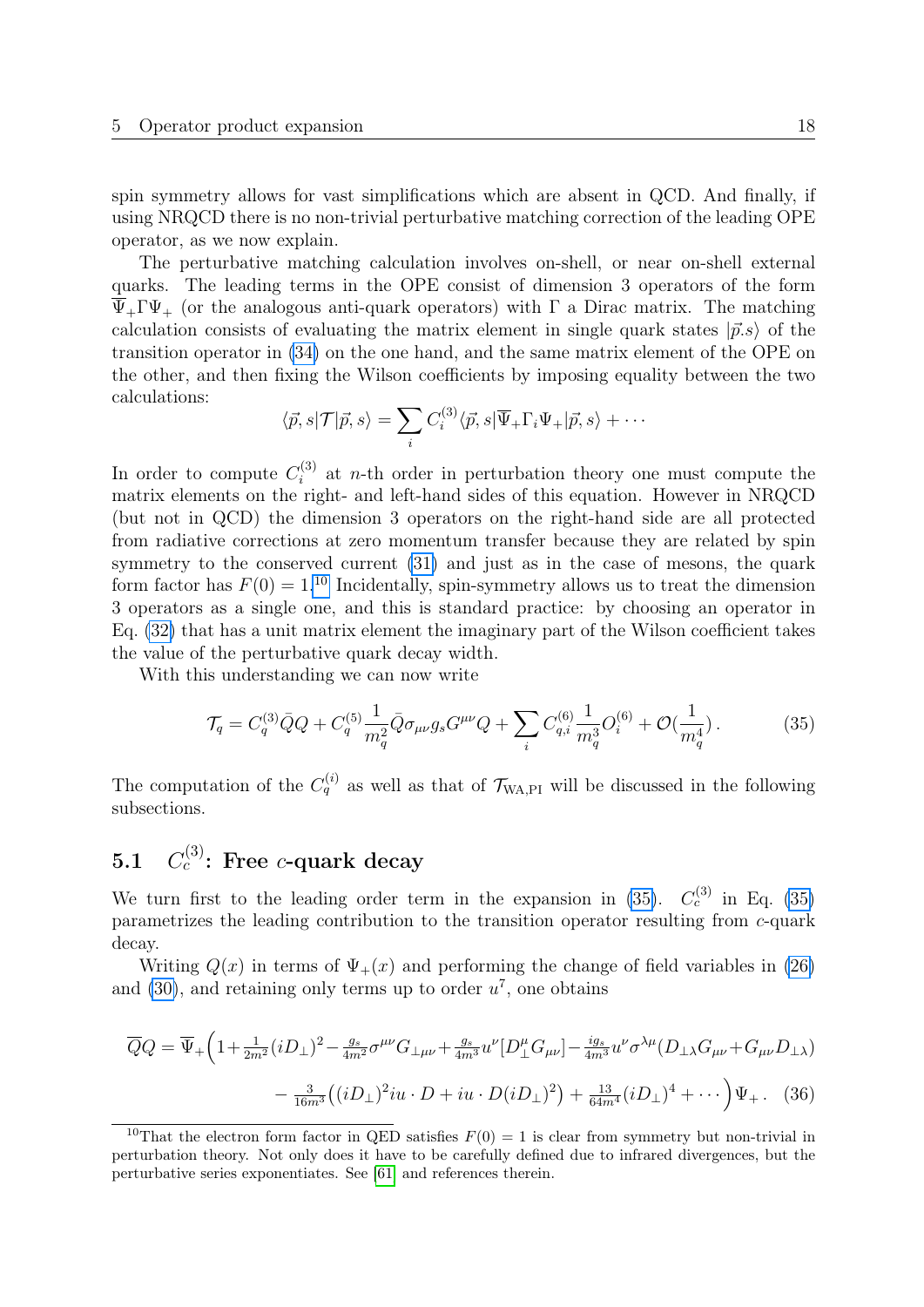spin symmetry allows for vast simplifications which are absent in QCD. And finally, if using NRQCD there is no non-trivial perturbative matching correction of the leading OPE operator, as we now explain.

The perturbative matching calculation involves on-shell, or near on-shell external quarks. The leading terms in the OPE consist of dimension 3 operators of the form  $\overline{\Psi}_+ \Gamma \Psi_+$  (or the analogous anti-quark operators) with  $\Gamma$  a Dirac matrix. The matching calculation consists of evaluating the matrix element in single quark states  $|\vec{p}.s\rangle$  of the transition operator in [\(34\)](#page-16-2) on the one hand, and the same matrix element of the OPE on the other, and then fixing the Wilson coefficients by imposing equality between the two calculations:

$$
\langle \vec{p}, s | \mathcal{T} | \vec{p}, s \rangle = \sum_{i} C_{i}^{(3)} \langle \vec{p}, s | \overline{\Psi}_{+} \Gamma_{i} \Psi_{+} | \vec{p}, s \rangle + \cdots
$$

In order to compute  $C_i^{(3)}$  $i^{(5)}$  at *n*-th order in perturbation theory one must compute the matrix elements on the right- and left-hand sides of this equation. However in NRQCD (but not in QCD) the dimension 3 operators on the right-hand side are all protected from radiative corrections at zero momentum transfer because they are related by spin symmetry to the conserved current  $(31)$  and just as in the case of mesons, the quark form factor has  $F(0) = 1.10$  $F(0) = 1.10$  Incidentally, spin-symmetry allows us to treat the dimension 3 operators as a single one, and this is standard practice: by choosing an operator in Eq. [\(32\)](#page-16-6) that has a unit matrix element the imaginary part of the Wilson coefficient takes the value of the perturbative quark decay width.

With this understanding we can now write

<span id="page-18-2"></span>
$$
\mathcal{T}_q = C_q^{(3)} \bar{Q} Q + C_q^{(5)} \frac{1}{m_q^2} \bar{Q} \sigma_{\mu\nu} g_s G^{\mu\nu} Q + \sum_i C_{q,i}^{(6)} \frac{1}{m_q^3} O_i^{(6)} + \mathcal{O}(\frac{1}{m_q^4}). \tag{35}
$$

The computation of the  $C_q^{(i)}$  as well as that of  $\mathcal{T}_{WA,PI}$  will be discussed in the following subsections.

#### <span id="page-18-0"></span> $5.1$  $c^{(3)}$ : Free c-quark decay

We turn first to the leading order term in the expansion in [\(35\)](#page-18-2).  $C_c^{(3)}$  in Eq. (35) parametrizes the leading contribution to the transition operator resulting from c-quark decay.

Writing  $Q(x)$  in terms of  $\Psi_+(x)$  and performing the change of field variables in [\(26\)](#page-14-1) and [\(30\)](#page-16-7), and retaining only terms up to order  $u^7$ , one obtains

<span id="page-18-3"></span>
$$
\overline{Q}Q = \overline{\Psi}_{+} \Big( 1 + \frac{1}{2m^{2}} (iD_{\perp})^{2} - \frac{g_{s}}{4m^{2}} \sigma^{\mu\nu} G_{\perp\mu\nu} + \frac{g_{s}}{4m^{3}} u^{\nu} [D_{\perp}^{\mu} G_{\mu\nu}] - \frac{ig_{s}}{4m^{3}} u^{\nu} \sigma^{\lambda\mu} (D_{\perp\lambda} G_{\mu\nu} + G_{\mu\nu} D_{\perp\lambda}) - \frac{3}{16m^{3}} ((iD_{\perp})^{2} i u \cdot D + i u \cdot D (iD_{\perp})^{2}) + \frac{13}{64m^{4}} (iD_{\perp})^{4} + \cdots \Big) \Psi_{+}.
$$
 (36)

<span id="page-18-1"></span><sup>&</sup>lt;sup>10</sup>That the electron form factor in QED satisfies  $F(0) = 1$  is clear from symmetry but non-trivial in perturbation theory. Not only does it have to be carefully defined due to infrared divergences, but the perturbative series exponentiates. See [\[61\]](#page-41-1) and references therein.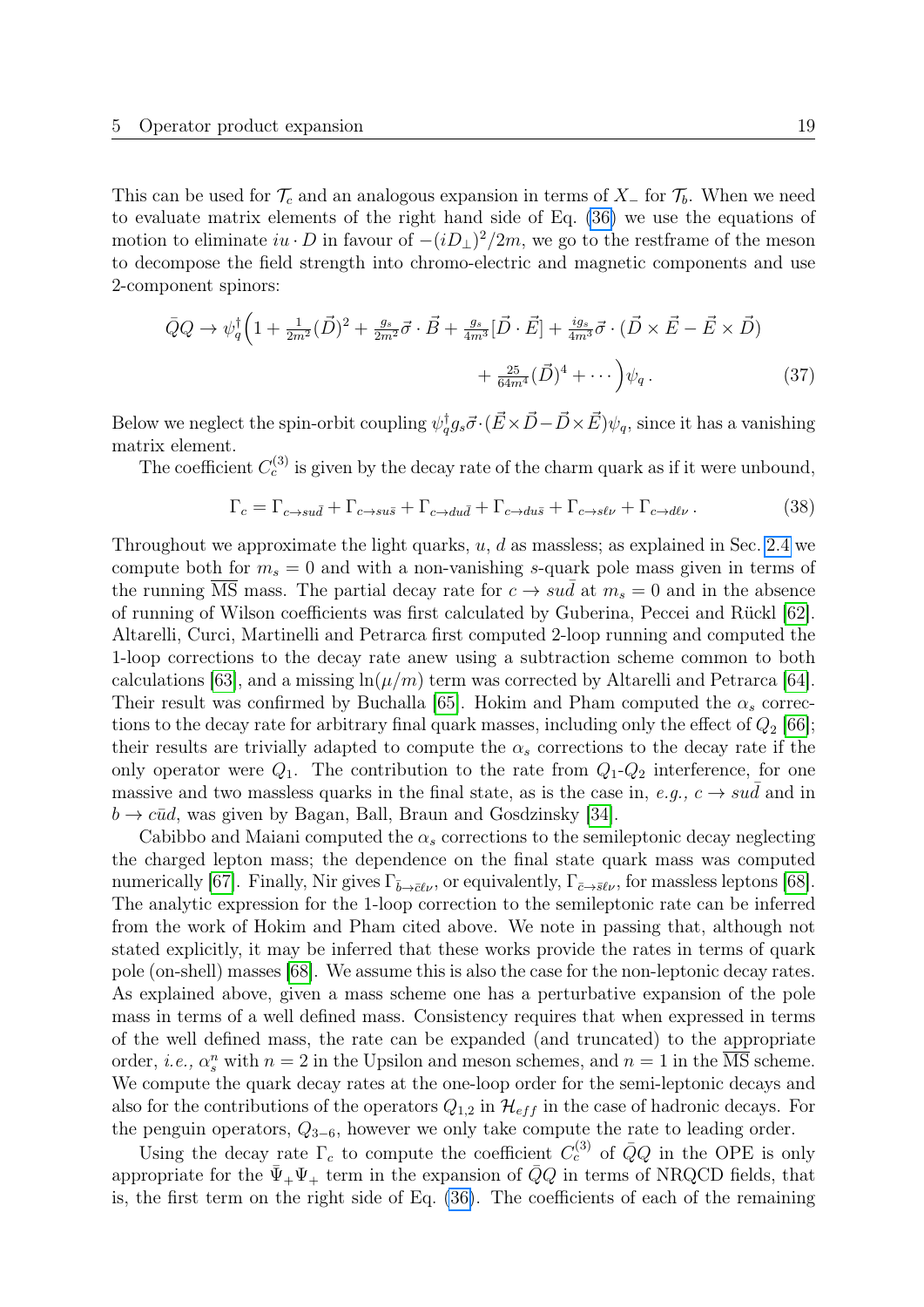This can be used for  $\mathcal{T}_c$  and an analogous expansion in terms of  $X_$  for  $\mathcal{T}_b$ . When we need to evaluate matrix elements of the right hand side of Eq. [\(36\)](#page-18-3) we use the equations of motion to eliminate  $iu \cdot D$  in favour of  $-(iD_{\perp})^2/2m$ , we go to the restframe of the meson to decompose the field strength into chromo-electric and magnetic components and use 2-component spinors:

$$
\bar{Q}Q \rightarrow \psi_q^{\dagger} \left( 1 + \frac{1}{2m^2} (\vec{D})^2 + \frac{g_s}{2m^2} \vec{\sigma} \cdot \vec{B} + \frac{g_s}{4m^3} [\vec{D} \cdot \vec{E}] + \frac{ig_s}{4m^3} \vec{\sigma} \cdot (\vec{D} \times \vec{E} - \vec{E} \times \vec{D}) + \frac{25}{64m^4} (\vec{D})^4 + \cdots \right) \psi_q . \tag{37}
$$

Below we neglect the spin-orbit coupling  $\psi_q^{\dagger}g_s\vec{\sigma}\cdot(\vec{E}\times\vec{D}-\vec{D}\times\vec{E})\psi_q$ , since it has a vanishing matrix element.

The coefficient  $C_c^{(3)}$  is given by the decay rate of the charm quark as if it were unbound,

<span id="page-19-0"></span>
$$
\Gamma_c = \Gamma_{c \to su\bar{d}} + \Gamma_{c \to su\bar{s}} + \Gamma_{c \to du\bar{d}} + \Gamma_{c \to du\bar{s}} + \Gamma_{c \to s\ell\nu} + \Gamma_{c \to d\ell\nu}.
$$
\n(38)

Throughout we approximate the light quarks,  $u, d$  as massless; as explained in Sec. [2.4](#page-8-0) we compute both for  $m_s = 0$  and with a non-vanishing s-quark pole mass given in terms of the running  $\overline{\text{MS}}$  mass. The partial decay rate for  $c \rightarrow su\bar{d}$  at  $m_s = 0$  and in the absence of running of Wilson coefficients was first calculated by Guberina, Peccei and Rückl [\[62\]](#page-41-2). Altarelli, Curci, Martinelli and Petrarca first computed 2-loop running and computed the 1-loop corrections to the decay rate anew using a subtraction scheme common to both calculations [\[63\]](#page-41-3), and a missing  $ln(\mu/m)$  term was corrected by Altarelli and Petrarca [\[64\]](#page-41-4). Their result was confirmed by Buchalla [\[65\]](#page-41-5). Hokim and Pham computed the  $\alpha_s$  corrections to the decay rate for arbitrary final quark masses, including only the effect of  $Q_2$  [\[66\]](#page-41-6); their results are trivially adapted to compute the  $\alpha_s$  corrections to the decay rate if the only operator were  $Q_1$ . The contribution to the rate from  $Q_1$ - $Q_2$  interference, for one massive and two massless quarks in the final state, as is the case in,  $e.g., c \rightarrow sud$  and in  $b \rightarrow c\bar{u}d$ , was given by Bagan, Ball, Braun and Gosdzinsky [\[34\]](#page-39-4).

Cabibbo and Maiani computed the  $\alpha_s$  corrections to the semileptonic decay neglecting the charged lepton mass; the dependence on the final state quark mass was computed numerically [\[67\]](#page-41-7). Finally, Nir gives  $\Gamma_{\bar{b}\to\bar{c}\ell\nu}$ , or equivalently,  $\Gamma_{\bar{c}\to s\ell\nu}$ , for massless leptons [\[68\]](#page-41-8). The analytic expression for the 1-loop correction to the semileptonic rate can be inferred from the work of Hokim and Pham cited above. We note in passing that, although not stated explicitly, it may be inferred that these works provide the rates in terms of quark pole (on-shell) masses [\[68\]](#page-41-8). We assume this is also the case for the non-leptonic decay rates. As explained above, given a mass scheme one has a perturbative expansion of the pole mass in terms of a well defined mass. Consistency requires that when expressed in terms of the well defined mass, the rate can be expanded (and truncated) to the appropriate order, *i.e.*,  $\alpha_s^n$  with  $n = 2$  in the Upsilon and meson schemes, and  $n = 1$  in the  $\overline{\text{MS}}$  scheme. We compute the quark decay rates at the one-loop order for the semi-leptonic decays and also for the contributions of the operators  $Q_{1,2}$  in  $\mathcal{H}_{eff}$  in the case of hadronic decays. For the penguin operators,  $Q_{3-6}$ , however we only take compute the rate to leading order.

Using the decay rate  $\Gamma_c$  to compute the coefficient  $C_c^{(3)}$  of  $\overline{Q}Q$  in the OPE is only appropriate for the  $\bar{\Psi}_+ \Psi_+$  term in the expansion of  $\bar{Q}Q$  in terms of NRQCD fields, that is, the first term on the right side of Eq. [\(36\)](#page-18-3). The coefficients of each of the remaining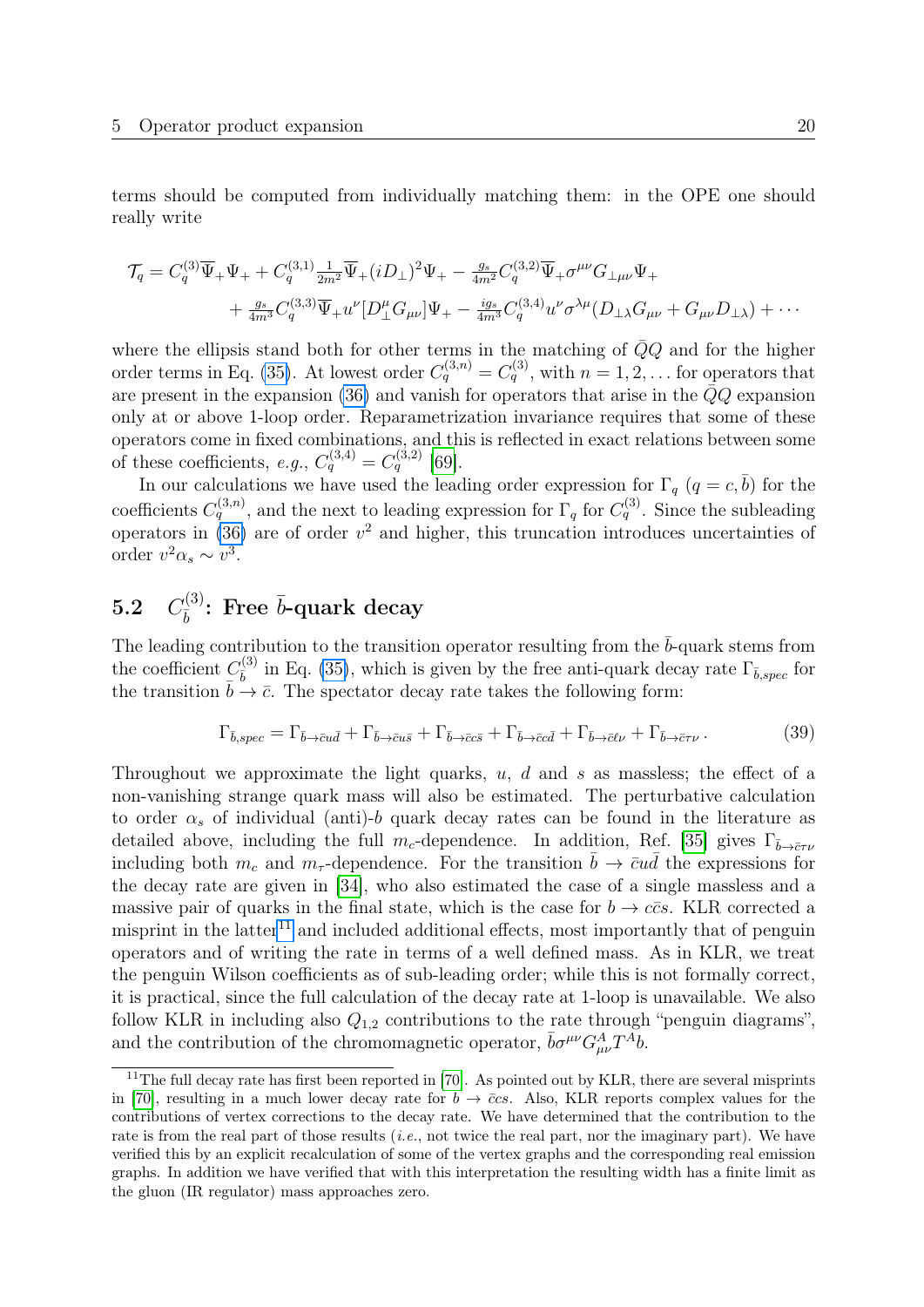terms should be computed from individually matching them: in the OPE one should really write

$$
\mathcal{T}_q = C_q^{(3)} \overline{\Psi}_+ \Psi_+ + C_q^{(3,1)} \frac{1}{2m^2} \overline{\Psi}_+ (i D_\perp)^2 \Psi_+ - \frac{g_s}{4m^2} C_q^{(3,2)} \overline{\Psi}_+ \sigma^{\mu\nu} G_{\perp\mu\nu} \Psi_+ + \frac{g_s}{4m^3} C_q^{(3,3)} \overline{\Psi}_+ u^{\nu} [D_\perp^{\mu} G_{\mu\nu}] \Psi_+ - \frac{ig_s}{4m^3} C_q^{(3,4)} u^{\nu} \sigma^{\lambda\mu} (D_\perp \lambda G_{\mu\nu} + G_{\mu\nu} D_\perp \lambda) + \cdots
$$

where the ellipsis stand both for other terms in the matching of  $\overline{Q}Q$  and for the higher order terms in Eq. [\(35\)](#page-18-2). At lowest order  $C_q^{(3,n)} = C_q^{(3)}$ , with  $n = 1, 2, ...$  for operators that are present in the expansion [\(36\)](#page-18-3) and vanish for operators that arise in the  $\bar{Q}Q$  expansion only at or above 1-loop order. Reparametrization invariance requires that some of these operators come in fixed combinations, and this is reflected in exact relations between some of these coefficients, e.g.,  $C_q^{(3,4)} = C_q^{(3,2)}$  [\[69\]](#page-41-9).

In our calculations we have used the leading order expression for  $\Gamma_q$  ( $q = c, \bar{b}$ ) for the coefficients  $C_q^{(3,n)}$ , and the next to leading expression for  $\Gamma_q$  for  $C_q^{(3)}$ . Since the subleading operators in  $(36)$  are of order  $v^2$  and higher, this truncation introduces uncertainties of order  $v^2 \alpha_s \sim v^3$ .

#### <span id="page-20-0"></span> $5.2\quad C_{\bar{h}}^{(3)}$  $\bar{b}^{(3)}$ : Free  $\bar{b}$ -quark decay

The leading contribution to the transition operator resulting from the  $\bar{b}$ -quark stems from the coefficient  $C_{\bar{k}}^{(3)}$  $\frac{\partial}{\partial b}$  in Eq. [\(35\)](#page-18-2), which is given by the free anti-quark decay rate  $\Gamma_{\bar{b},spec}$  for the transition  $\overline{b} \stackrel{\circ}{\rightarrow} \overline{c}$ . The spectator decay rate takes the following form:

$$
\Gamma_{\bar{b},spec} = \Gamma_{\bar{b}\to\bar{c}u\bar{d}} + \Gamma_{\bar{b}\to\bar{c}u\bar{s}} + \Gamma_{\bar{b}\to\bar{c}c\bar{s}} + \Gamma_{\bar{b}\to\bar{c}c\bar{d}} + \Gamma_{\bar{b}\to\bar{c}t\nu} + \Gamma_{\bar{b}\to\bar{c}\tau\nu}.
$$
\n(39)

Throughout we approximate the light quarks,  $u, d$  and s as massless; the effect of a non-vanishing strange quark mass will also be estimated. The perturbative calculation to order  $\alpha_s$  of individual (anti)-b quark decay rates can be found in the literature as detailed above, including the full m<sub>c</sub>-dependence. In addition, Ref. [\[35\]](#page-39-5) gives  $\Gamma_{\bar{b}\to\bar{c}\tau\nu}$ including both  $m_c$  and  $m_{\tau}$ -dependence. For the transition  $\bar{b} \to \bar{c}u\bar{d}$  the expressions for the decay rate are given in [\[34\]](#page-39-4), who also estimated the case of a single massless and a massive pair of quarks in the final state, which is the case for  $b \to c\bar{c}s$ . KLR corrected a misprint in the latter<sup>[11](#page-20-1)</sup> and included additional effects, most importantly that of penguin operators and of writing the rate in terms of a well defined mass. As in KLR, we treat the penguin Wilson coefficients as of sub-leading order; while this is not formally correct, it is practical, since the full calculation of the decay rate at 1-loop is unavailable. We also follow KLR in including also  $Q_{1,2}$  contributions to the rate through "penguin diagrams", and the contribution of the chromomagnetic operator,  $\bar{b}\sigma^{\mu\nu}G_{\mu\nu}^AT^{\bar{A}}b$ .

<span id="page-20-1"></span><sup>&</sup>lt;sup>11</sup>The full decay rate has first been reported in [\[70\]](#page-41-10). As pointed out by KLR, there are several misprints in [\[70\]](#page-41-10), resulting in a much lower decay rate for  $b \to \bar{c}cs$ . Also, KLR reports complex values for the contributions of vertex corrections to the decay rate. We have determined that the contribution to the rate is from the real part of those results (*i.e.*, not twice the real part, nor the imaginary part). We have verified this by an explicit recalculation of some of the vertex graphs and the corresponding real emission graphs. In addition we have verified that with this interpretation the resulting width has a finite limit as the gluon (IR regulator) mass approaches zero.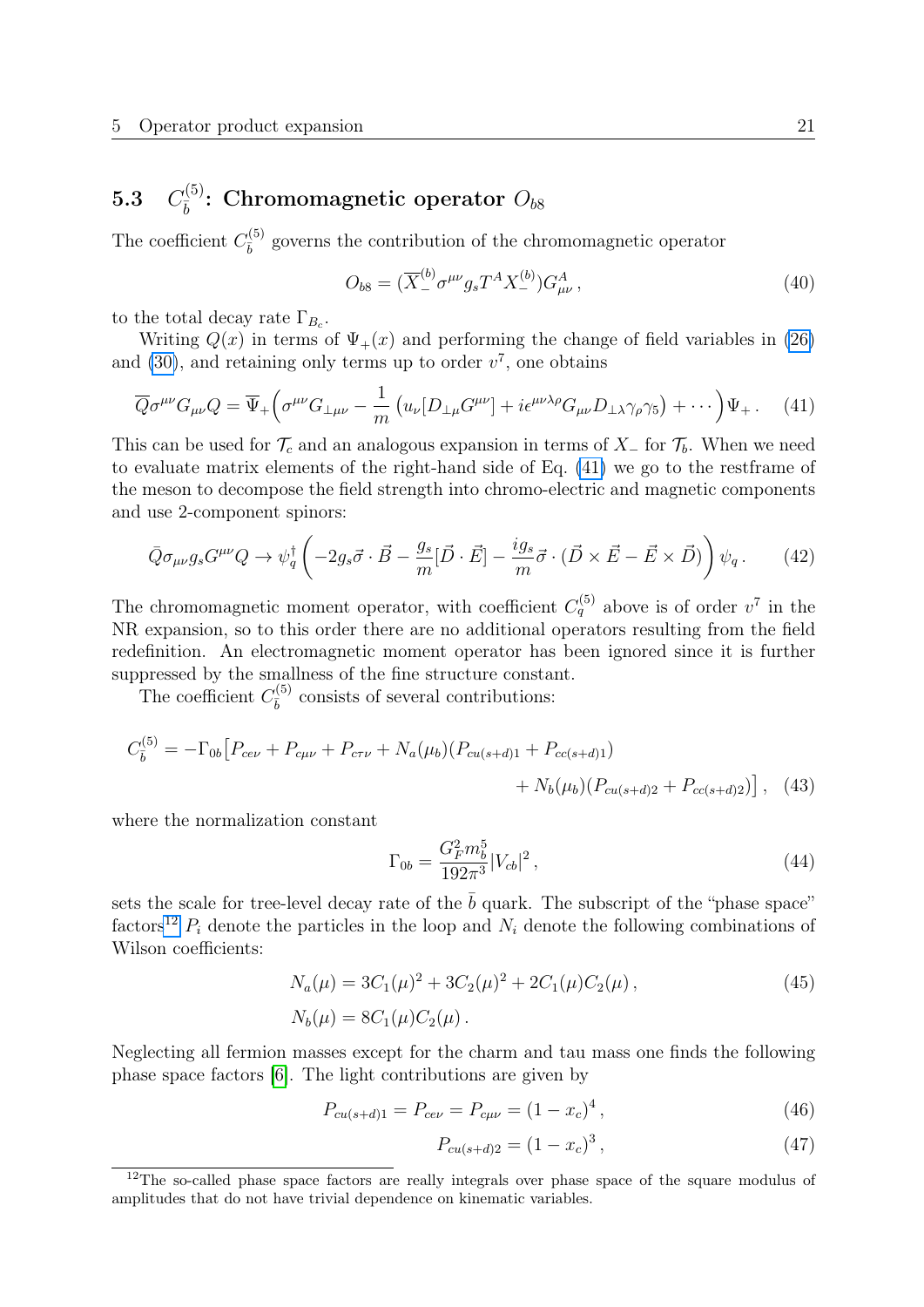#### <span id="page-21-0"></span> $5.3\quad C_{\bar h}^{(5)}$  $\bar{b}^{(5)}$ : Chromomagnetic operator  $O_{b8}$

The coefficient  $C_{\bar{k}}^{(5)}$  $\frac{d^{(5)}}{b}$  governs the contribution of the chromomagnetic operator

$$
O_{b8} = (\overline{X}^{(b)}_- \sigma^{\mu\nu} g_s T^A X^{(b)}_-) G^A_{\mu\nu}, \qquad (40)
$$

to the total decay rate  $\Gamma_{B_c}$ .

Writing  $Q(x)$  in terms of  $\Psi_+(x)$  and performing the change of field variables in [\(26\)](#page-14-1) and [\(30\)](#page-16-7), and retaining only terms up to order  $v^7$ , one obtains

<span id="page-21-1"></span>
$$
\overline{Q}\sigma^{\mu\nu}G_{\mu\nu}Q = \overline{\Psi}_{+}\left(\sigma^{\mu\nu}G_{\perp\mu\nu} - \frac{1}{m}\left(u_{\nu}[D_{\perp\mu}G^{\mu\nu}] + i\epsilon^{\mu\nu\lambda\rho}G_{\mu\nu}D_{\perp\lambda}\gamma_{\rho}\gamma_{5}\right) + \cdots\right)\Psi_{+}.
$$
 (41)

This can be used for  $\mathcal{T}_c$  and an analogous expansion in terms of  $X_$  for  $\mathcal{T}_b$ . When we need to evaluate matrix elements of the right-hand side of Eq. [\(41\)](#page-21-1) we go to the restframe of the meson to decompose the field strength into chromo-electric and magnetic components and use 2-component spinors:

$$
\bar{Q}\sigma_{\mu\nu}g_s G^{\mu\nu}Q \to \psi_q^{\dagger} \left( -2g_s \vec{\sigma} \cdot \vec{B} - \frac{g_s}{m} [\vec{D} \cdot \vec{E}] - \frac{ig_s}{m} \vec{\sigma} \cdot (\vec{D} \times \vec{E} - \vec{E} \times \vec{D}) \right) \psi_q. \tag{42}
$$

The chromomagnetic moment operator, with coefficient  $C_q^{(5)}$  above is of order  $v^7$  in the NR expansion, so to this order there are no additional operators resulting from the field redefinition. An electromagnetic moment operator has been ignored since it is further suppressed by the smallness of the fine structure constant.

The coefficient  $C_{\bar{k}}^{(5)}$  $\frac{\partial^{(5)}}{\partial}$  consists of several contributions:

$$
C_{\bar{b}}^{(5)} = -\Gamma_{0b} \left[ P_{ce\nu} + P_{c\mu\nu} + P_{c\tau\nu} + N_a(\mu_b) (P_{cu(s+d)1} + P_{cc(s+d)1}) + N_b(\mu_b) (P_{cu(s+d)2} + P_{cc(s+d)2}) \right], \quad (43)
$$

where the normalization constant

$$
\Gamma_{0b} = \frac{G_F^2 m_b^5}{192\pi^3} |V_{cb}|^2, \qquad (44)
$$

sets the scale for tree-level decay rate of the  $\bar{b}$  quark. The subscript of the "phase space" factors<sup>[12](#page-21-2)</sup>  $P_i$  denote the particles in the loop and  $N_i$  denote the following combinations of Wilson coefficients:

$$
N_a(\mu) = 3C_1(\mu)^2 + 3C_2(\mu)^2 + 2C_1(\mu)C_2(\mu),
$$
  
\n
$$
N_b(\mu) = 8C_1(\mu)C_2(\mu).
$$
\n(45)

Neglecting all fermion masses except for the charm and tau mass one finds the following phase space factors [\[6\]](#page-37-5). The light contributions are given by

$$
P_{cu(s+d)1} = P_{ce\nu} = P_{c\mu\nu} = (1 - x_c)^4, \qquad (46)
$$

<span id="page-21-4"></span><span id="page-21-3"></span>
$$
P_{cu(s+d)2} = (1 - x_c)^3, \tag{47}
$$

<span id="page-21-2"></span><sup>&</sup>lt;sup>12</sup>The so-called phase space factors are really integrals over phase space of the square modulus of amplitudes that do not have trivial dependence on kinematic variables.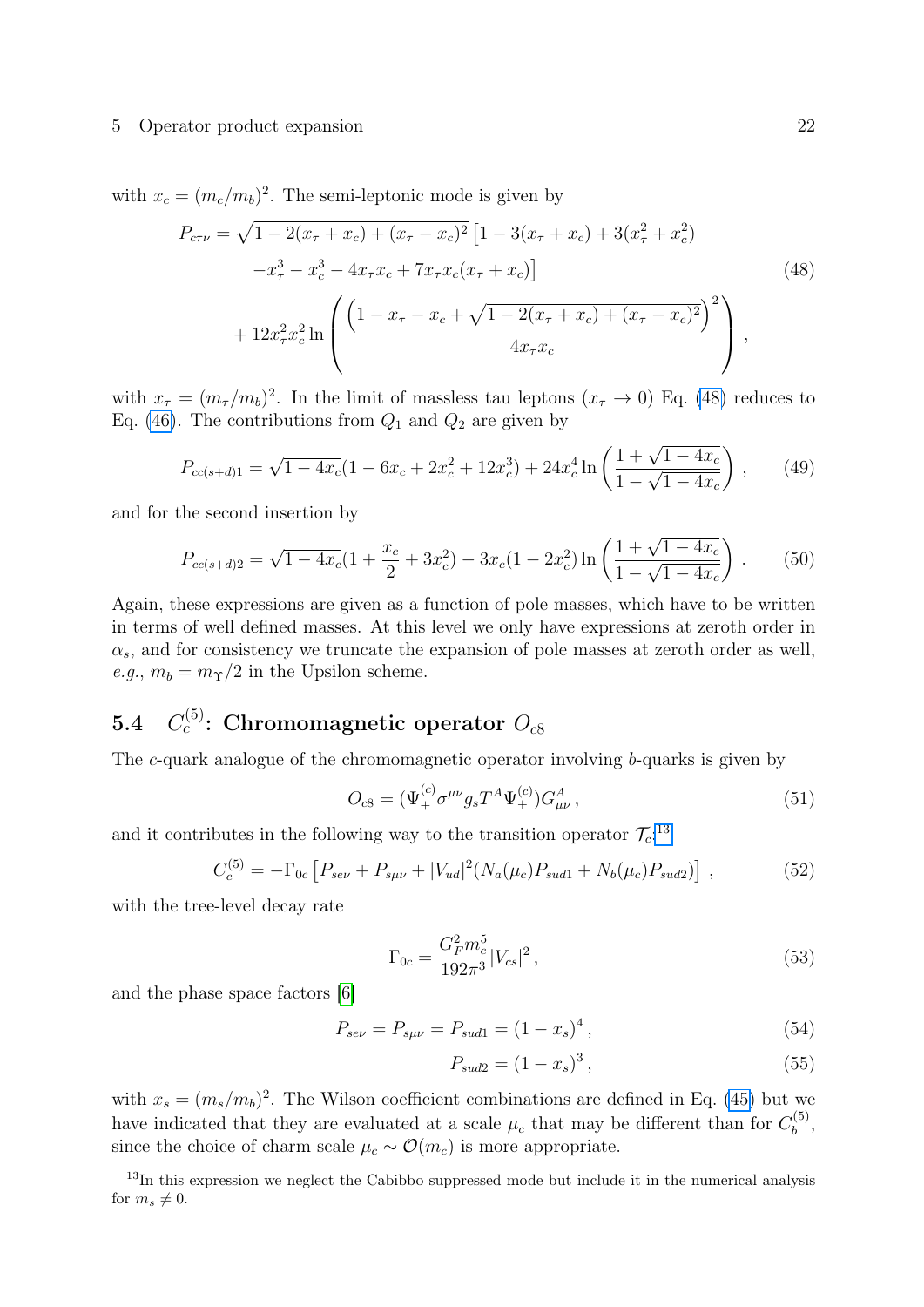with  $x_c = (m_c/m_b)^2$ . The semi-leptonic mode is given by

<span id="page-22-1"></span>
$$
P_{cr\nu} = \sqrt{1 - 2(x_{\tau} + x_c) + (x_{\tau} - x_c)^2} \left[ 1 - 3(x_{\tau} + x_c) + 3(x_{\tau}^2 + x_c^2) - x_{\tau}^3 - x_c^3 - 4x_{\tau}x_c + 7x_{\tau}x_c(x_{\tau} + x_c) \right]
$$
\n
$$
+ 12x_{\tau}^2 x_c^2 \ln \left( \frac{\left( 1 - x_{\tau} - x_c + \sqrt{1 - 2(x_{\tau} + x_c) + (x_{\tau} - x_c)^2} \right)^2}{4x_{\tau}x_c} \right),
$$
\n(48)

with  $x_{\tau} = (m_{\tau}/m_b)^2$ . In the limit of massless tau leptons  $(x_{\tau} \to 0)$  Eq. [\(48\)](#page-22-1) reduces to Eq. [\(46\)](#page-21-3). The contributions from  $Q_1$  and  $Q_2$  are given by

$$
P_{cc(s+d)1} = \sqrt{1 - 4x_c}(1 - 6x_c + 2x_c^2 + 12x_c^3) + 24x_c^4 \ln\left(\frac{1 + \sqrt{1 - 4x_c}}{1 - \sqrt{1 - 4x_c}}\right),\tag{49}
$$

and for the second insertion by

$$
P_{cc(s+d)2} = \sqrt{1 - 4x_c}(1 + \frac{x_c}{2} + 3x_c^2) - 3x_c(1 - 2x_c^2) \ln\left(\frac{1 + \sqrt{1 - 4x_c}}{1 - \sqrt{1 - 4x_c}}\right). \tag{50}
$$

Again, these expressions are given as a function of pole masses, which have to be written in terms of well defined masses. At this level we only have expressions at zeroth order in  $\alpha_s$ , and for consistency we truncate the expansion of pole masses at zeroth order as well, e.g.,  $m_b = m_\Upsilon/2$  in the Upsilon scheme.

#### <span id="page-22-0"></span> $5.4$  $c^{(5)}_c$ : Chromomagnetic operator  $O_{c8}$

The c-quark analogue of the chromomagnetic operator involving b-quarks is given by

$$
O_{c8} = (\overline{\Psi}^{(c)}_+ \sigma^{\mu\nu} g_s T^A \Psi^{(c)}_+ ) G^A_{\mu\nu} , \qquad (51)
$$

and it contributes in the following way to the transition operator  $\mathcal{T}_c$ <sup>[13](#page-22-2)</sup>

$$
C_c^{(5)} = -\Gamma_{0c} \left[ P_{se\nu} + P_{s\mu\nu} + |V_{ud}|^2 (N_a(\mu_c) P_{sud1} + N_b(\mu_c) P_{sud2}) \right],\tag{52}
$$

with the tree-level decay rate

$$
\Gamma_{0c} = \frac{G_F^2 m_c^5}{192\pi^3} |V_{cs}|^2, \tag{53}
$$

and the phase space factors [\[6\]](#page-37-5)

$$
P_{se\nu} = P_{s\mu\nu} = P_{sud1} = (1 - x_s)^4, \qquad (54)
$$

$$
P_{\text{sud2}} = (1 - x_s)^3 \,, \tag{55}
$$

with  $x_s = (m_s/m_b)^2$ . The Wilson coefficient combinations are defined in Eq. [\(45\)](#page-21-4) but we have indicated that they are evaluated at a scale  $\mu_c$  that may be different than for  $C_b^{(5)}$  $\begin{matrix} h^{(5)}, \end{matrix}$ since the choice of charm scale  $\mu_c \sim \mathcal{O}(m_c)$  is more appropriate.

<span id="page-22-2"></span><sup>&</sup>lt;sup>13</sup>In this expression we neglect the Cabibbo suppressed mode but include it in the numerical analysis for  $m_s \neq 0$ .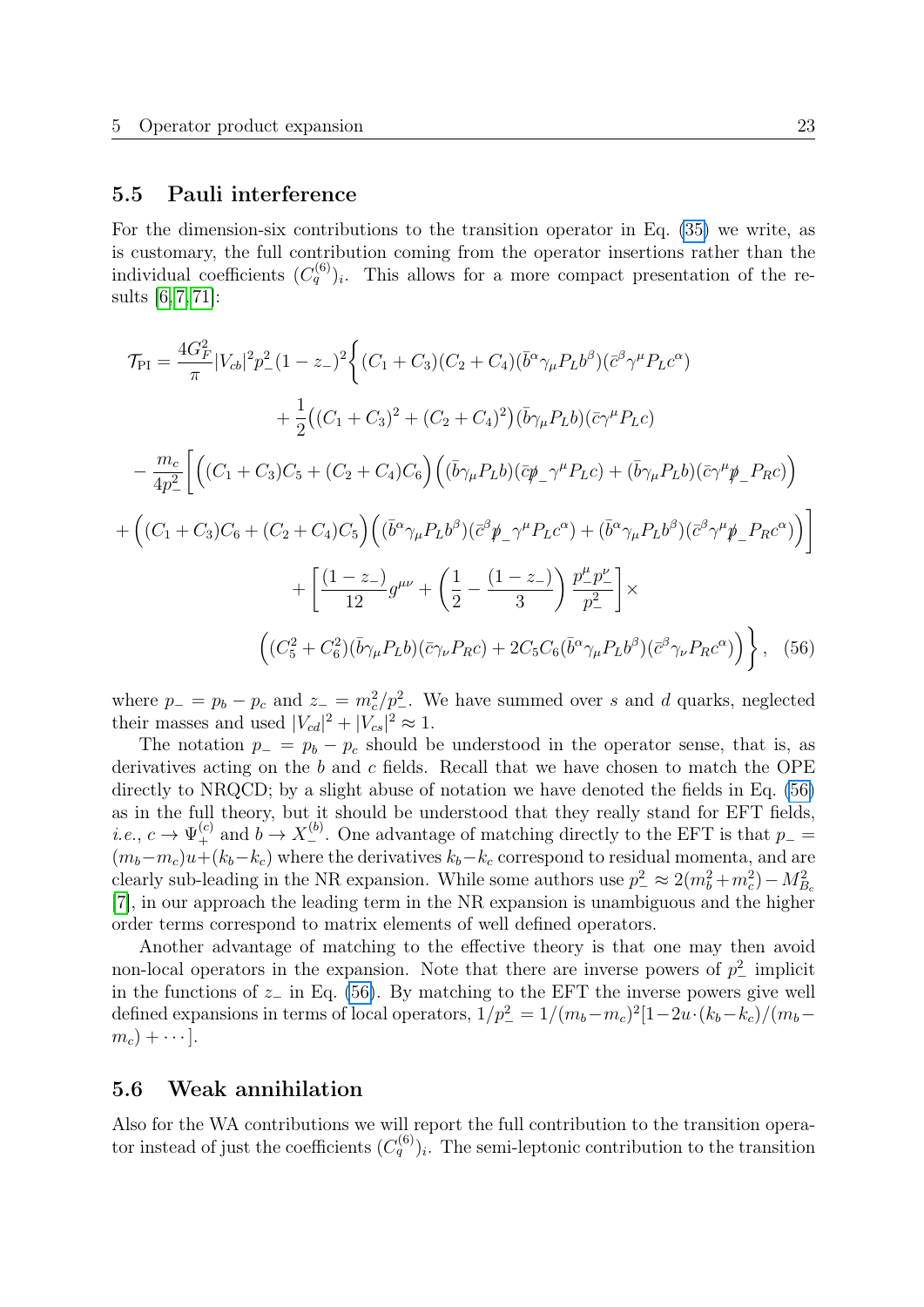### <span id="page-23-0"></span>5.5 Pauli interference

For the dimension-six contributions to the transition operator in Eq. [\(35\)](#page-18-2) we write, as is customary, the full contribution coming from the operator insertions rather than the individual coefficients  $(C_q^{(6)})_i$ . This allows for a more compact presentation of the results [\[6,](#page-37-5) [7,](#page-37-4) [71\]](#page-41-11):

$$
\mathcal{T}_{\text{PI}} = \frac{4G_F^2}{\pi} |V_{cb}|^2 p_-^2 (1 - z_-)^2 \Big\{ (C_1 + C_3)(C_2 + C_4)(\bar{b}^\alpha \gamma_\mu P_L b^\beta)(\bar{c}^\beta \gamma^\mu P_L c^\alpha) \n+ \frac{1}{2} ((C_1 + C_3)^2 + (C_2 + C_4)^2)(\bar{b} \gamma_\mu P_L b)(\bar{c} \gamma^\mu P_L c) \n- \frac{m_c}{4p_-^2} \Big[ \Big( (C_1 + C_3)C_5 + (C_2 + C_4)C_6 \Big) \Big( (\bar{b} \gamma_\mu P_L b)(\bar{c} \not{p}_\perp \gamma^\mu P_L c) + (\bar{b} \gamma_\mu P_L b)(\bar{c} \gamma^\mu \not{p}_\perp P_R c) \Big) \n+ \Big( (C_1 + C_3)C_6 + (C_2 + C_4)C_5 \Big) \Big( (\bar{b}^\alpha \gamma_\mu P_L b^\beta)(\bar{c}^\beta \not{p}_\perp \gamma^\mu P_L c^\alpha) + (\bar{b}^\alpha \gamma_\mu P_L b^\beta)(\bar{c}^\beta \gamma^\mu \not{p}_\perp P_R c^\alpha) \Big) \Big] \n+ \Big[ \frac{(1 - z_-)}{12} g^{\mu\nu} + \Big( \frac{1}{2} - \frac{(1 - z_-)}{3} \Big) \frac{p_-^\mu p_-^\nu}{p_-^2} \Big] \times \n+ \Big( (C_5^2 + C_6^2)(\bar{b} \gamma_\mu P_L b)(\bar{c} \gamma_\nu P_R c) + 2C_5 C_6(\bar{b}^\alpha \gamma_\mu P_L b^\beta)(\bar{c}^\beta \gamma_\nu P_R c^\alpha) \Big) \Big\} , \quad (56)
$$

<span id="page-23-2"></span>where  $p_ - = p_b - p_c$  and  $z_- = m_c^2/p_-^2$ . We have summed over s and d quarks, neglected their masses and used  $|V_{cd}|^2 + |V_{cs}|^2 \approx 1$ .

The notation  $p_ - = p_b - p_c$  should be understood in the operator sense, that is, as derivatives acting on the  $b$  and  $c$  fields. Recall that we have chosen to match the OPE directly to NRQCD; by a slight abuse of notation we have denoted the fields in Eq.  $(56)$ as in the full theory, but it should be understood that they really stand for EFT fields, *i.e.*,  $c \to \Psi_+^{(c)}$  and  $b \to X_-^{(b)}$ . One advantage of matching directly to the EFT is that  $p_ (m_b-m_c)u+(k_b-k_c)$  where the derivatives  $k_b-k_c$  correspond to residual momenta, and are clearly sub-leading in the NR expansion. While some authors use  $p_{-}^2 \approx 2(m_b^2 + m_c^2) - M_{B_c}^2$ [\[7\]](#page-37-4), in our approach the leading term in the NR expansion is unambiguous and the higher order terms correspond to matrix elements of well defined operators.

Another advantage of matching to the effective theory is that one may then avoid non-local operators in the expansion. Note that there are inverse powers of  $p_{-}^{2}$  implicit in the functions of  $z_$  in Eq. [\(56\)](#page-23-2). By matching to the EFT the inverse powers give well defined expansions in terms of local operators,  $1/p_-^2 = 1/(m_b-m_c)^2[1-2u\cdot(k_b-k_c)/(m_b-k_c)]$  $m_c$ ) +  $\cdots$ ].

### <span id="page-23-1"></span>5.6 Weak annihilation

Also for the WA contributions we will report the full contribution to the transition operator instead of just the coefficients  $(C_q^{(6)})_i$ . The semi-leptonic contribution to the transition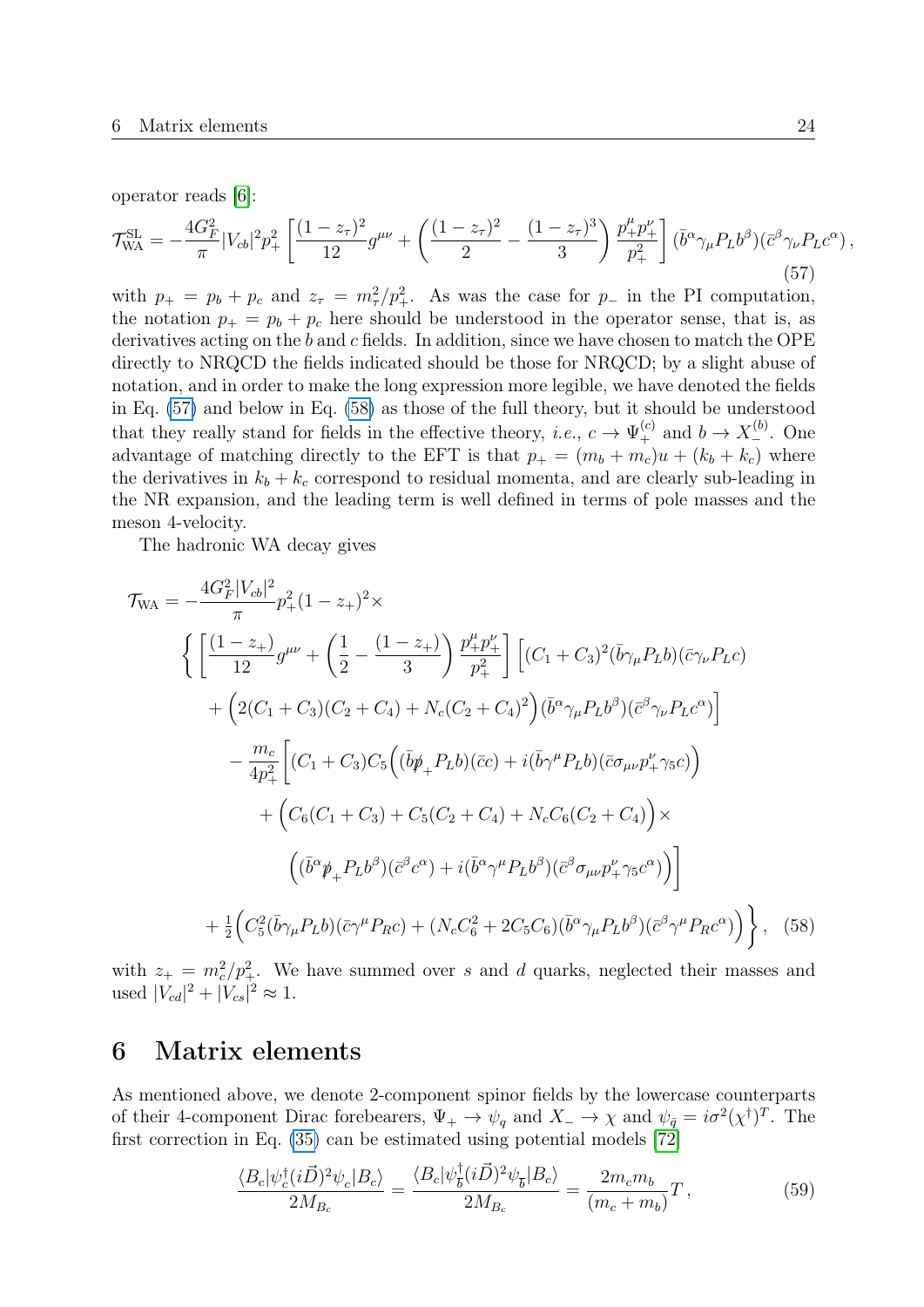operator reads [\[6\]](#page-37-5):

<span id="page-24-1"></span>
$$
\mathcal{T}_{WA}^{SL} = -\frac{4G_F^2}{\pi} |V_{cb}|^2 p_+^2 \left[ \frac{(1-z_\tau)^2}{12} g^{\mu\nu} + \left( \frac{(1-z_\tau)^2}{2} - \frac{(1-z_\tau)^3}{3} \right) \frac{p_+^\mu p_+^\nu}{p_+^2} \right] (\bar{b}^\alpha \gamma_\mu P_L b^\beta) (\bar{c}^\beta \gamma_\nu P_L c^\alpha) ,\tag{57}
$$

with  $p_{+} = p_{b} + p_{c}$  and  $z_{\tau} = m_{\tau}^{2}/p_{+}^{2}$ . As was the case for  $p_{-}$  in the PI computation, the notation  $p_+ = p_b + p_c$  here should be understood in the operator sense, that is, as derivatives acting on the b and c fields. In addition, since we have chosen to match the OPE directly to NRQCD the fields indicated should be those for NRQCD; by a slight abuse of notation, and in order to make the long expression more legible, we have denoted the fields in Eq. [\(57\)](#page-24-1) and below in Eq. [\(58\)](#page-24-2) as those of the full theory, but it should be understood that they really stand for fields in the effective theory, *i.e.*,  $c \to \Psi_+^{(c)}$  and  $b \to X_-^{(b)}$ . One advantage of matching directly to the EFT is that  $p_{+} = (m_{b} + m_{c})u + (k_{b} + k_{c})$  where the derivatives in  $k_b + k_c$  correspond to residual momenta, and are clearly sub-leading in the NR expansion, and the leading term is well defined in terms of pole masses and the meson 4-velocity.

The hadronic WA decay gives

$$
\mathcal{T}_{WA} = -\frac{4G_F^2|V_{cb}|^2}{\pi} p_+^2 (1 - z_+)^2 \times
$$
\n
$$
\left\{ \left[ \frac{(1 - z_+)}{12} g^{\mu\nu} + \left( \frac{1}{2} - \frac{(1 - z_+)}{3} \right) \frac{p_+^{\mu} p_+^{\nu}}{p_+^2} \right] \left[ (C_1 + C_3)^2 (\bar{b} \gamma_{\mu} P_L b)(\bar{c} \gamma_{\nu} P_L c) + \left( 2(C_1 + C_3)(C_2 + C_4) + N_c(C_2 + C_4)^2 \right) (\bar{b}^{\alpha} \gamma_{\mu} P_L b^{\beta})(\bar{c}^{\beta} \gamma_{\nu} P_L c^{\alpha}) \right] - \frac{m_c}{4p_+^2} \left[ (C_1 + C_3) C_5 \left( (\bar{b} \not{p}_+ P_L b)(\bar{c}c) + i(\bar{b} \gamma^{\mu} P_L b)(\bar{c} \sigma_{\mu \nu} p_+^{\nu} \gamma_5 c) \right) + \left( C_6 (C_1 + C_3) + C_5 (C_2 + C_4) + N_c C_6 (C_2 + C_4) \right) \times \left( (\bar{b}^{\alpha} \not{p}_+ P_L b^{\beta})(\bar{c}^{\beta} c^{\alpha}) + i(\bar{b}^{\alpha} \gamma^{\mu} P_L b^{\beta})(\bar{c}^{\beta} \sigma_{\mu \nu} p_+^{\nu} \gamma_5 c^{\alpha}) \right) \right] + \frac{1}{2} \left( C_5^2 (\bar{b} \gamma_{\mu} P_L b)(\bar{c} \gamma^{\mu} P_R c) + (N_c C_6^2 + 2C_5 C_6)(\bar{b}^{\alpha} \gamma_{\mu} P_L b^{\beta})(\bar{c}^{\beta} \gamma^{\mu} P_R c^{\alpha}) \right) \right\}, \quad (58)
$$

with  $z_+ = m_c^2/p_+^2$ . We have summed over s and d quarks, neglected their masses and used  $|V_{cd}|^2 + |V_{cs}|^2 \approx 1$ .

## <span id="page-24-0"></span>6 Matrix elements

As mentioned above, we denote 2-component spinor fields by the lowercase counterparts of their 4-component Dirac forebearers,  $\Psi_+ \to \psi_q$  and  $X_- \to \chi$  and  $\psi_{\bar{q}} = i\sigma^2(\chi^{\dagger})^T$ . The first correction in Eq. [\(35\)](#page-18-2) can be estimated using potential models [\[72\]](#page-41-12)

<span id="page-24-3"></span><span id="page-24-2"></span>
$$
\frac{\langle B_c | \psi_c^{\dagger} (i\vec{D})^2 \psi_c | B_c \rangle}{2M_{B_c}} = \frac{\langle B_c | \psi_{\overline{b}}^{\dagger} (i\vec{D})^2 \psi_{\overline{b}} | B_c \rangle}{2M_{B_c}} = \frac{2m_c m_b}{(m_c + m_b)} T \,, \tag{59}
$$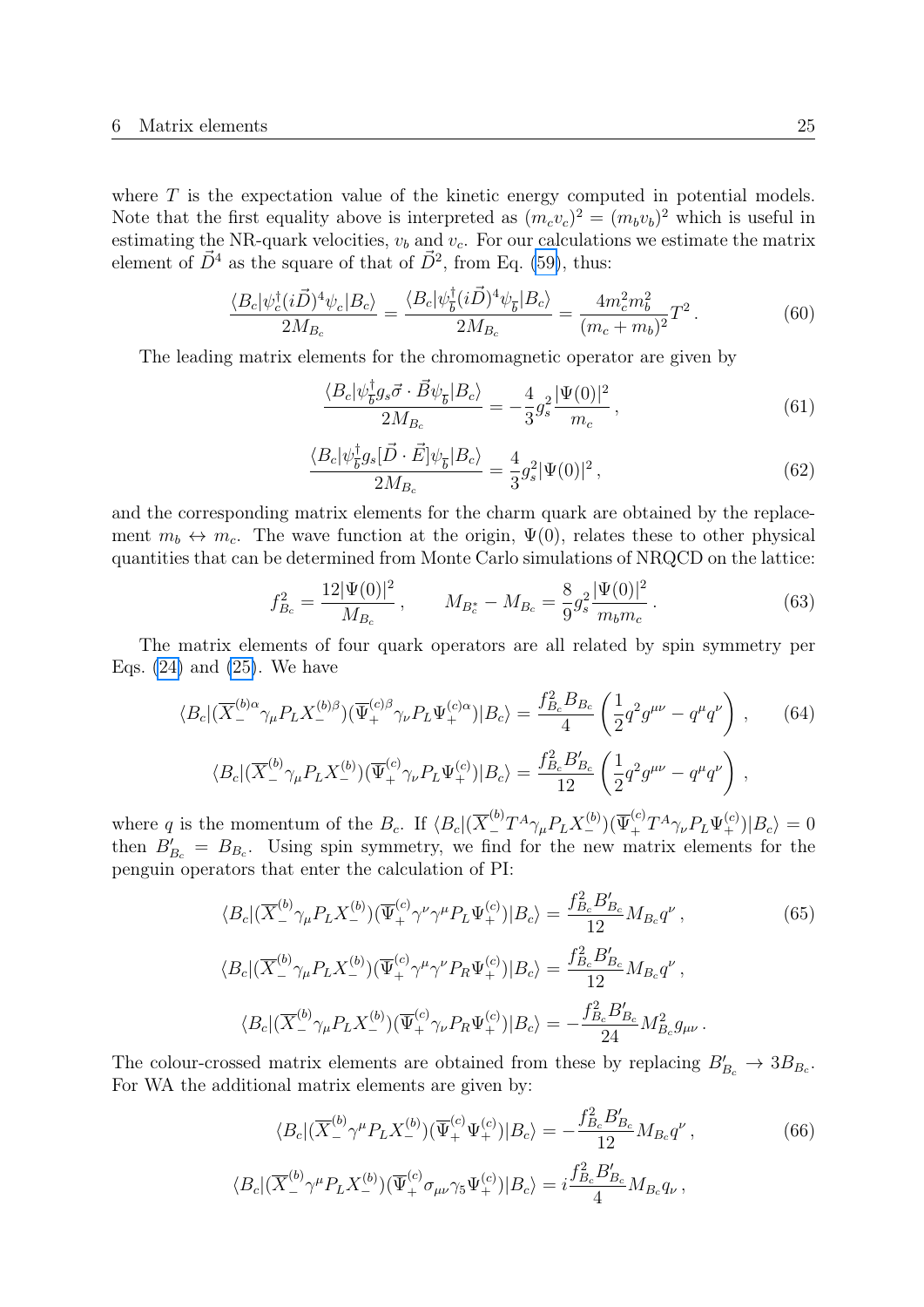where  $T$  is the expectation value of the kinetic energy computed in potential models. Note that the first equality above is interpreted as  $(m_c v_c)^2 = (m_b v_b)^2$  which is useful in estimating the NR-quark velocities,  $v_b$  and  $v_c$ . For our calculations we estimate the matrix element of  $\vec{D}^4$  as the square of that of  $\vec{D}^2$ , from Eq. [\(59\)](#page-24-3), thus:

$$
\frac{\langle B_c | \psi_c^{\dagger} (i\vec{D})^4 \psi_c | B_c \rangle}{2M_{B_c}} = \frac{\langle B_c | \psi_b^{\dagger} (i\vec{D})^4 \psi_{\overline{b}} | B_c \rangle}{2M_{B_c}} = \frac{4m_c^2 m_b^2}{(m_c + m_b)^2} T^2. \tag{60}
$$

The leading matrix elements for the chromomagnetic operator are given by

$$
\frac{\langle B_c | \psi_{\overline{b}}^{\dagger} g_s \vec{\sigma} \cdot \vec{B} \psi_{\overline{b}} | B_c \rangle}{2M_{B_c}} = -\frac{4}{3} g_s^2 \frac{|\Psi(0)|^2}{m_c}, \qquad (61)
$$

$$
\frac{\langle B_c | \psi_{\overline{b}}^{\dagger} g_s [\vec{D} \cdot \vec{E}] \psi_{\overline{b}} | B_c \rangle}{2M_{B_c}} = \frac{4}{3} g_s^2 |\Psi(0)|^2 , \qquad (62)
$$

and the corresponding matrix elements for the charm quark are obtained by the replacement  $m_b \leftrightarrow m_c$ . The wave function at the origin,  $\Psi(0)$ , relates these to other physical quantities that can be determined from Monte Carlo simulations of NRQCD on the lattice:

$$
f_{B_c}^2 = \frac{12|\Psi(0)|^2}{M_{B_c}}, \qquad M_{B_c^*} - M_{B_c} = \frac{8}{9}g_s^2 \frac{|\Psi(0)|^2}{m_b m_c} \,. \tag{63}
$$

The matrix elements of four quark operators are all related by spin symmetry per Eqs.  $(24)$  and  $(25)$ . We have

$$
\langle B_c | (\overline{X}^{(b)\alpha}_{-} \gamma_\mu P_L X^{(b)\beta}_{-}) (\overline{\Psi}^{(c)\beta}_{+} \gamma_\nu P_L \Psi^{(c)\alpha}_{+}) | B_c \rangle = \frac{f_{B_c}^2 B_{B_c}}{4} \left( \frac{1}{2} q^2 g^{\mu\nu} - q^\mu q^\nu \right) ,\qquad(64)
$$

$$
\langle B_c | (\overline{X}^{(b)}_- \gamma_\mu P_L X^{(b)}_-) (\overline{\Psi}^{(c)}_+ \gamma_\nu P_L \Psi^{(c)}_+) | B_c \rangle = \frac{f_{B_c}^2 B'_{B_c}}{12} \left( \frac{1}{2} q^2 g^{\mu\nu} - q^\mu q^\nu \right)
$$

where q is the momentum of the  $B_c$ . If  $\langle B_c | (\overline{X}^{(b)}_{{-}} T^A \gamma_\mu P_L X^{(b)}_{{-}}) (\overline{\Psi}^{(c)}_+ T^A \gamma_\nu P_L \Psi^{(c)}_{{+}}) | B_c \rangle = 0$ then  $B'_{B_c} = B_{B_c}$ . Using spin symmetry, we find for the new matrix elements for the penguin operators that enter the calculation of PI:

$$
\langle B_c | (\overline{X}^{(b)}_-\gamma_\mu P_L X^{(b)}_-) (\overline{\Psi}^{(c)}_+ \gamma^\nu \gamma^\mu P_L \Psi^{(c)}_+) | B_c \rangle = \frac{f_{B_c}^2 B'_{B_c}}{12} M_{B_c} q^\nu ,
$$
\n
$$
\langle B_c | (\overline{X}^{(b)}_-\gamma_\mu P_L X^{(b)}_-) (\overline{\Psi}^{(c)}_+ \gamma^\mu \gamma^\nu P_R \Psi^{(c)}_+) | B_c \rangle = \frac{f_{B_c}^2 B'_{B_c}}{12} M_{B_c} q^\nu ,
$$
\n
$$
\langle B_c | (\overline{X}^{(b)}_-\gamma_\mu P_L X^{(b)}_-) (\overline{\Psi}^{(c)}_+ \gamma_\nu P_R \Psi^{(c)}_+) | B_c \rangle = -\frac{f_{B_c}^2 B'_{B_c}}{24} M_{B_c}^2 g_{\mu\nu} .
$$
\n
$$
(65)
$$

The colour-crossed matrix elements are obtained from these by replacing  $B'_{B_c} \to 3B_{B_c}$ . For WA the additional matrix elements are given by:

$$
\langle B_c | (\overline{X}^{(b)}_- \gamma^\mu P_L X^{(b)}_-) (\overline{\Psi}^{(c)}_+ \Psi^{(c)}_+) | B_c \rangle = -\frac{f_{B_c}^2 B'_{B_c}}{12} M_{B_c} q^\nu ,
$$
\n
$$
\langle B_c | (\overline{X}^{(b)}_- \gamma^\mu P_L X^{(b)}_-) (\overline{\Psi}^{(c)}_+ \sigma_{\mu\nu} \gamma_5 \Psi^{(c)}_+) | B_c \rangle = i \frac{f_{B_c}^2 B'_{B_c}}{4} M_{B_c} q_\nu ,
$$
\n(66)

,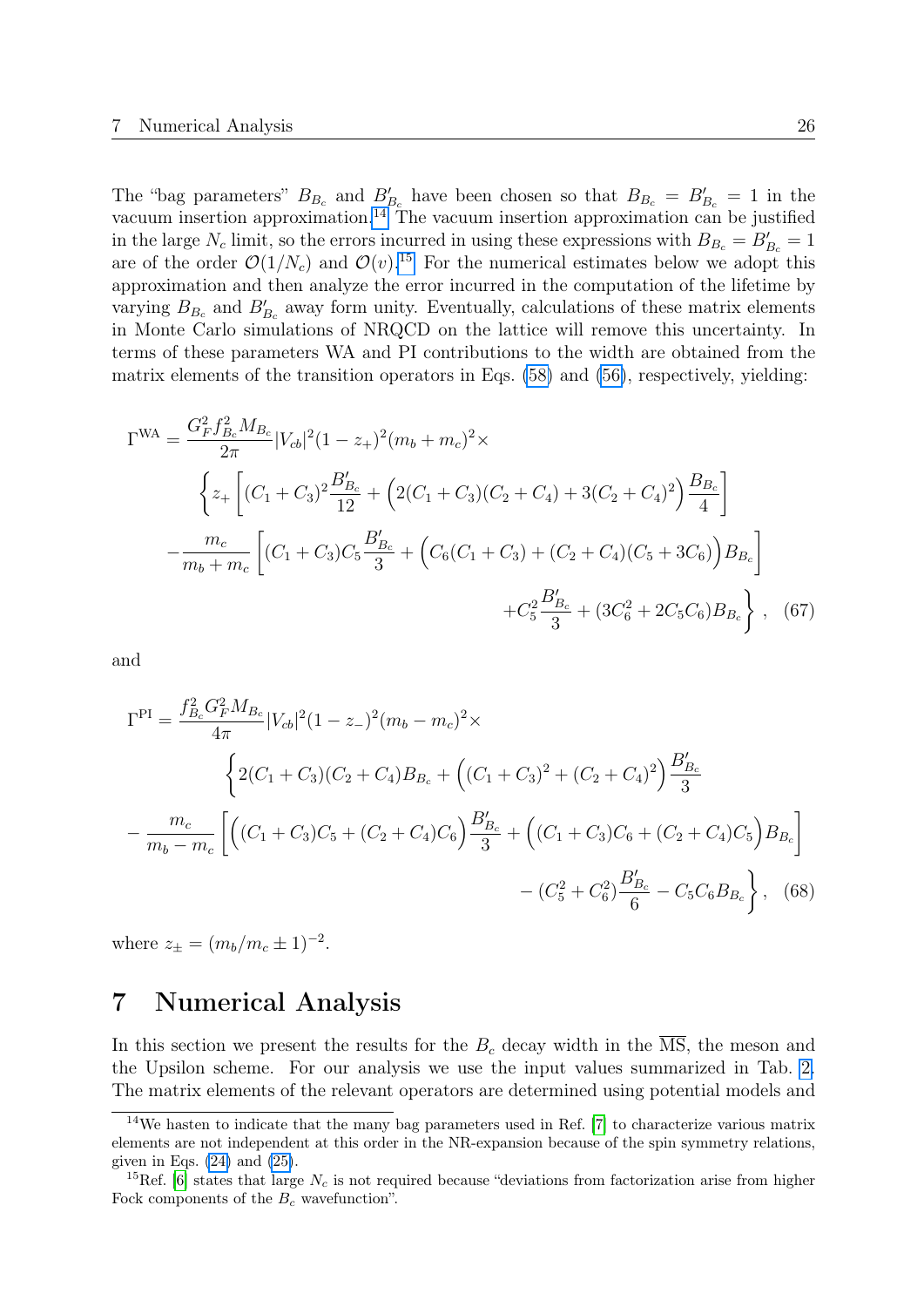The "bag parameters"  $B_{B_c}$  and  $B'_{B_c}$  have been chosen so that  $B_{B_c} = B'_{B_c} = 1$  in the vacuum insertion approximation.<sup>[14](#page-26-1)</sup> The vacuum insertion approximation can be justified in the large  $N_c$  limit, so the errors incurred in using these expressions with  $B_{B_c} = B'_{B_c} = 1$ are of the order  $\mathcal{O}(1/N_c)$  and  $\mathcal{O}(v)$ .<sup>[15](#page-26-2)</sup> For the numerical estimates below we adopt this approximation and then analyze the error incurred in the computation of the lifetime by varying  $B_{B_c}$  and  $B'_{B_c}$  away form unity. Eventually, calculations of these matrix elements in Monte Carlo simulations of NRQCD on the lattice will remove this uncertainty. In terms of these parameters WA and PI contributions to the width are obtained from the matrix elements of the transition operators in Eqs. [\(58\)](#page-24-2) and [\(56\)](#page-23-2), respectively, yielding:

$$
\Gamma^{WA} = \frac{G_F^2 f_{B_c}^2 M_{B_c}}{2\pi} |V_{cb}|^2 (1 - z_+)^2 (m_b + m_c)^2 \times
$$
  

$$
\left\{ z_+ \left[ (C_1 + C_3)^2 \frac{B'_{B_c}}{12} + \left( 2(C_1 + C_3)(C_2 + C_4) + 3(C_2 + C_4)^2 \right) \frac{B_{B_c}}{4} \right] - \frac{m_c}{m_b + m_c} \left[ (C_1 + C_3) C_5 \frac{B'_{B_c}}{3} + \left( C_6 (C_1 + C_3) + (C_2 + C_4)(C_5 + 3C_6) \right) B_{B_c} \right] + C_5^2 \frac{B'_{B_c}}{3} + (3C_6^2 + 2C_5 C_6) B_{B_c} \right\}, \quad (67)
$$

and

$$
\Gamma^{\text{PI}} = \frac{f_{B_c}^2 G_F^2 M_{B_c}}{4\pi} |V_{cb}|^2 (1 - z_-)^2 (m_b - m_c)^2 \times
$$
  

$$
\left\{ 2(C_1 + C_3)(C_2 + C_4) B_{B_c} + \left( (C_1 + C_3)^2 + (C_2 + C_4)^2 \right) \frac{B_{B_c}'}{3} - \frac{m_c}{m_b - m_c} \left[ \left( (C_1 + C_3) C_5 + (C_2 + C_4) C_6 \right) \frac{B_{B_c}'}{3} + \left( (C_1 + C_3) C_6 + (C_2 + C_4) C_5 \right) B_{B_c} \right] - (C_5^2 + C_6^2) \frac{B_{B_c}'}{6} - C_5 C_6 B_{B_c} \right\},
$$
(68)

where  $z_{\pm} = (m_b/m_c \pm 1)^{-2}$ .

## <span id="page-26-0"></span>7 Numerical Analysis

In this section we present the results for the  $B_c$  decay width in the  $\overline{\text{MS}}$ , the meson and the Upsilon scheme. For our analysis we use the input values summarized in Tab. [2.](#page-28-0) The matrix elements of the relevant operators are determined using potential models and

<span id="page-26-1"></span><sup>&</sup>lt;sup>14</sup>We hasten to indicate that the many bag parameters used in Ref. [\[7\]](#page-37-4) to characterize various matrix elements are not independent at this order in the NR-expansion because of the spin symmetry relations, given in Eqs.  $(24)$  and  $(25)$ .

<span id="page-26-2"></span><sup>&</sup>lt;sup>15</sup>Ref. [\[6\]](#page-37-5) states that large  $N_c$  is not required because "deviations from factorization arise from higher Fock components of the  $B_c$  wavefunction".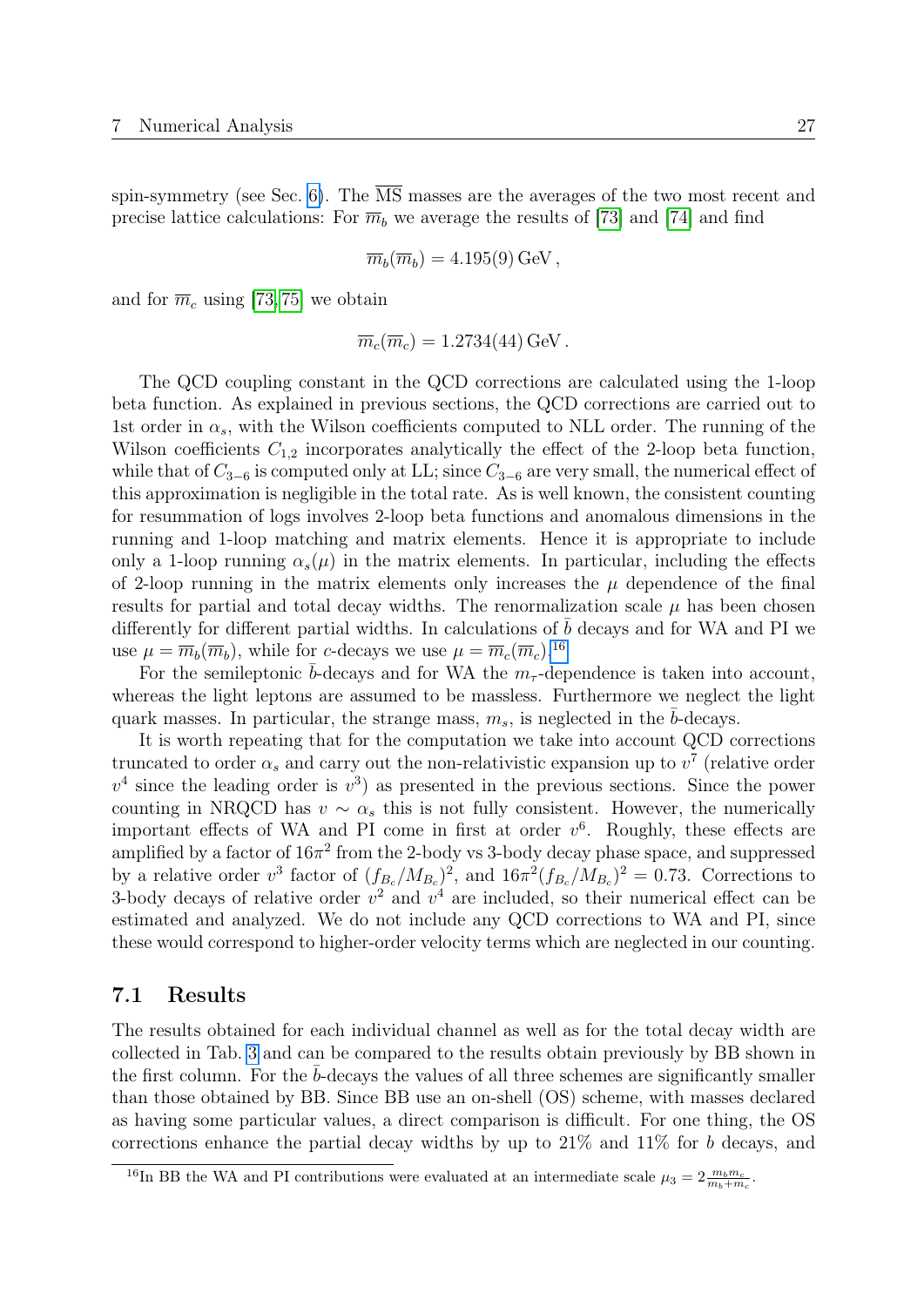spin-symmetry (see Sec. [6\)](#page-24-0). The  $\overline{\text{MS}}$  masses are the averages of the two most recent and precise lattice calculations: For  $\overline{m}_b$  we average the results of [\[73\]](#page-41-13) and [\[74\]](#page-41-14) and find

$$
\overline{m}_b(\overline{m}_b) = 4.195(9) \,\text{GeV},
$$

and for  $\overline{m}_c$  using [\[73,](#page-41-13) [75\]](#page-42-0) we obtain

$$
\overline{m}_c(\overline{m}_c) = 1.2734(44) \,\text{GeV}.
$$

The QCD coupling constant in the QCD corrections are calculated using the 1-loop beta function. As explained in previous sections, the QCD corrections are carried out to 1st order in  $\alpha_s$ , with the Wilson coefficients computed to NLL order. The running of the Wilson coefficients  $C_{1,2}$  incorporates analytically the effect of the 2-loop beta function, while that of  $C_{3-6}$  is computed only at LL; since  $C_{3-6}$  are very small, the numerical effect of this approximation is negligible in the total rate. As is well known, the consistent counting for resummation of logs involves 2-loop beta functions and anomalous dimensions in the running and 1-loop matching and matrix elements. Hence it is appropriate to include only a 1-loop running  $\alpha_s(\mu)$  in the matrix elements. In particular, including the effects of 2-loop running in the matrix elements only increases the  $\mu$  dependence of the final results for partial and total decay widths. The renormalization scale  $\mu$  has been chosen differently for different partial widths. In calculations of  $b$  decays and for WA and PI we use  $\mu = \overline{m}_b(\overline{m}_b)$ , while for c-decays we use  $\mu = \overline{m}_c(\overline{m}_c)$ .<sup>[16](#page-27-1)</sup>

For the semileptonic  $\bar{b}$ -decays and for WA the  $m_{\tau}$ -dependence is taken into account, whereas the light leptons are assumed to be massless. Furthermore we neglect the light quark masses. In particular, the strange mass,  $m_s$ , is neglected in the b-decays.

It is worth repeating that for the computation we take into account QCD corrections truncated to order  $\alpha_s$  and carry out the non-relativistic expansion up to  $v^7$  (relative order  $v<sup>4</sup>$  since the leading order is  $v<sup>3</sup>$  as presented in the previous sections. Since the power counting in NRQCD has  $v \sim \alpha_s$  this is not fully consistent. However, the numerically important effects of WA and PI come in first at order  $v^6$ . Roughly, these effects are amplified by a factor of  $16\pi^2$  from the 2-body vs 3-body decay phase space, and suppressed by a relative order  $v^3$  factor of  $(f_{B_c}/M_{B_c})^2$ , and  $16\pi^2(f_{B_c}/M_{B_c})^2 = 0.73$ . Corrections to 3-body decays of relative order  $v^2$  and  $v^4$  are included, so their numerical effect can be estimated and analyzed. We do not include any QCD corrections to WA and PI, since these would correspond to higher-order velocity terms which are neglected in our counting.

### <span id="page-27-0"></span>7.1 Results

The results obtained for each individual channel as well as for the total decay width are collected in Tab. [3](#page-29-1) and can be compared to the results obtain previously by BB shown in the first column. For the  $b$ -decays the values of all three schemes are significantly smaller than those obtained by BB. Since BB use an on-shell (OS) scheme, with masses declared as having some particular values, a direct comparison is difficult. For one thing, the OS corrections enhance the partial decay widths by up to  $21\%$  and  $11\%$  for b decays, and

<span id="page-27-1"></span><sup>&</sup>lt;sup>16</sup>In BB the WA and PI contributions were evaluated at an intermediate scale  $\mu_3 = 2 \frac{m_b m_c}{m_b + m_c}$ .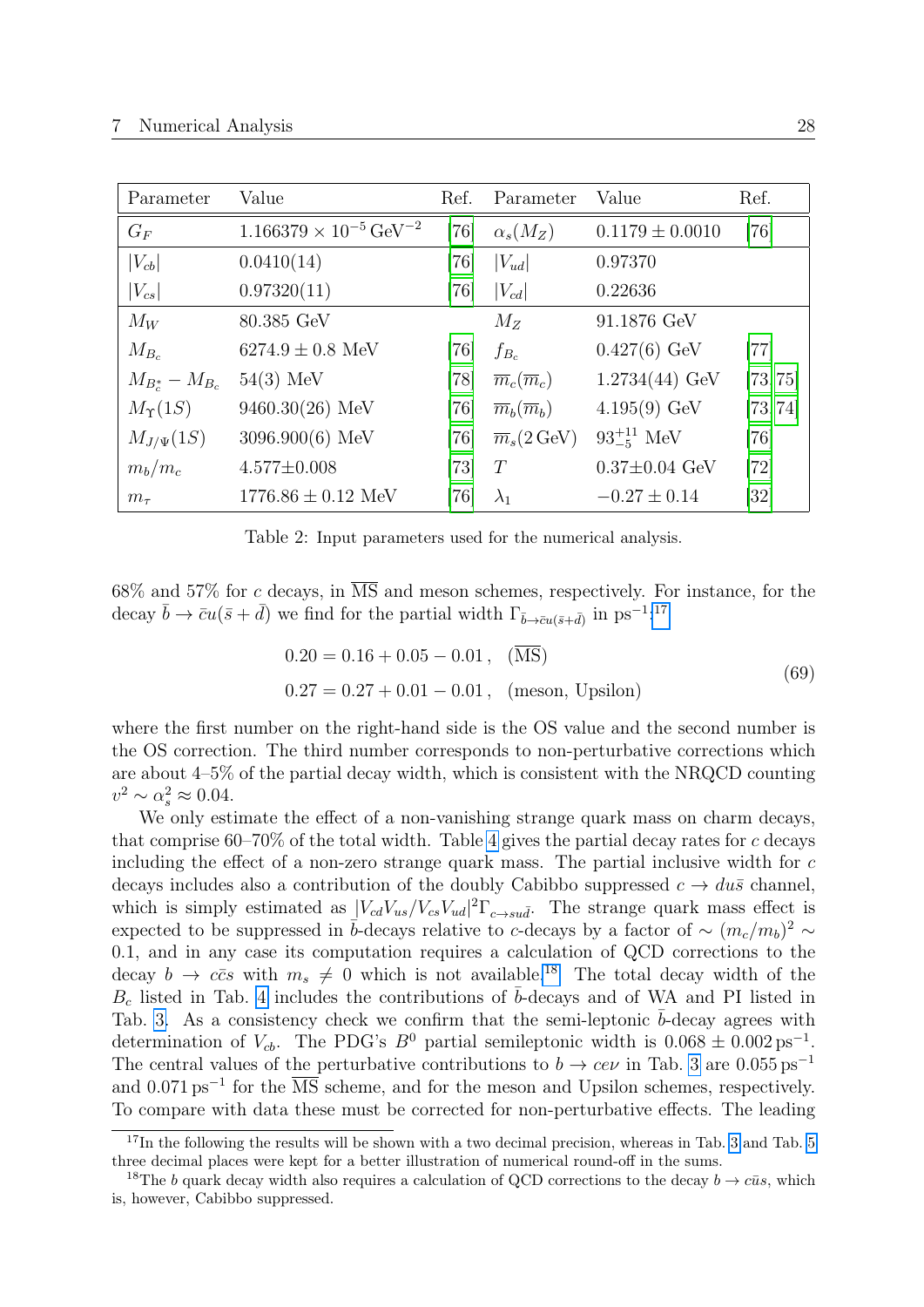<span id="page-28-0"></span>

| Parameter             | Value                                       | Ref.   | Parameter                        | Value                 | Ref.     |
|-----------------------|---------------------------------------------|--------|----------------------------------|-----------------------|----------|
| $G_F$                 | $1.166379 \times 10^{-5}$ GeV <sup>-2</sup> | $[76]$ | $\alpha_s(M_Z)$                  | $0.1179 \pm 0.0010$   | [76]     |
| $\left V_{cb}\right $ | 0.0410(14)                                  | [76]   | $ V_{ud} $                       | 0.97370               |          |
| $ V_{cs} $            | 0.97320(11)                                 | [76]   | $ V_{cd} $                       | 0.22636               |          |
| $M_W$                 | 80.385 GeV                                  |        | $M_{Z}$                          | 91.1876 GeV           |          |
| $M_{B_c}$             | $6274.9 \pm 0.8$ MeV                        | [76]   | $f_{B_c}$                        | $0.427(6)$ GeV        | $[77]$   |
| $M_{B_c^*} - M_{B_c}$ | $54(3)$ MeV                                 | $[78]$ | $\overline{m}_c(\overline{m}_c)$ | $1.2734(44)$ GeV      | [73, 75] |
| $M_T(1S)$             | 9460.30(26) MeV                             | [76]   | $\overline{m}_b(\overline{m}_b)$ | $4.195(9)~\text{GeV}$ | [73, 74] |
| $M_{J/\Psi}(1S)$      | $3096.900(6)$ MeV                           | $[76]$ | $\overline{m}_s(2 \,\text{GeV})$ | $93^{+11}_{-5}$ MeV   | $[76]$   |
| $m_b/m_c$             | $4.577 \pm 0.008$                           | [73]   | T                                | $0.37 \pm 0.04$ GeV   | $[72]$   |
| $m_{\tau}$            | $1776.86 \pm 0.12$ MeV                      | [76]   | $\lambda_1$                      | $-0.27 \pm 0.14$      | [32]     |

Table 2: Input parameters used for the numerical analysis.

 $68\%$  and  $57\%$  for c decays, in  $\overline{\text{MS}}$  and meson schemes, respectively. For instance, for the decay  $\bar{b} \to \bar{c}u(\bar{s} + \bar{d})$  we find for the partial width  $\Gamma_{\bar{b} \to \bar{c}u(\bar{s} + \bar{d})}$  in ps<sup>-1,[17](#page-28-1)</sup>

<span id="page-28-3"></span>
$$
0.20 = 0.16 + 0.05 - 0.01, \quad (\overline{\text{MS}})
$$
  

$$
0.27 = 0.27 + 0.01 - 0.01, \quad (\text{meson, Upsilon})
$$
 (69)

where the first number on the right-hand side is the OS value and the second number is the OS correction. The third number corresponds to non-perturbative corrections which are about 4–5% of the partial decay width, which is consistent with the NRQCD counting  $v^2 \sim \alpha_s^2 \approx 0.04.$ 

We only estimate the effect of a non-vanishing strange quark mass on charm decays, that comprise  $60-70\%$  of the total width. Table [4](#page-30-0) gives the partial decay rates for c decays including the effect of a non-zero strange quark mass. The partial inclusive width for c decays includes also a contribution of the doubly Cabibbo suppressed  $c \to du\bar{s}$  channel, which is simply estimated as  $|V_{cd}V_{us}/V_{cs}V_{ud}|^2\Gamma_{c \to su\bar{d}}$ . The strange quark mass effect is expected to be suppressed in  $\bar{b}$ -decays relative to c-decays by a factor of ~  $(m_c/m_b)^2$  ~ 0.1, and in any case its computation requires a calculation of QCD corrections to the decay  $b \to c\bar{c}s$  with  $m_s \neq 0$  which is not available.<sup>[18](#page-28-2)</sup> The total decay width of the  $B_c$  listed in Tab. [4](#page-30-0) includes the contributions of  $\bar{b}$ -decays and of WA and PI listed in Tab. [3.](#page-29-1) As a consistency check we confirm that the semi-leptonic  $\bar{b}$ -decay agrees with determination of  $V_{cb}$ . The PDG's  $B^0$  partial semileptonic width is  $0.068 \pm 0.002 \text{ ps}^{-1}$ . The central values of the perturbative contributions to  $b \to c e \nu$  in Tab. [3](#page-29-1) are 0.055 ps<sup>-1</sup> and 0.071 ps<sup>-1</sup> for the  $\overline{\text{MS}}$  scheme, and for the meson and Upsilon schemes, respectively. To compare with data these must be corrected for non-perturbative effects. The leading

<span id="page-28-1"></span><sup>&</sup>lt;sup>17</sup>In the following the results will be shown with a two decimal precision, whereas in Tab. [3](#page-29-1) and Tab. [5](#page-31-0) three decimal places were kept for a better illustration of numerical round-off in the sums.

<span id="page-28-2"></span><sup>&</sup>lt;sup>18</sup>The b quark decay width also requires a calculation of QCD corrections to the decay  $b \to c\bar{u}s$ , which is, however, Cabibbo suppressed.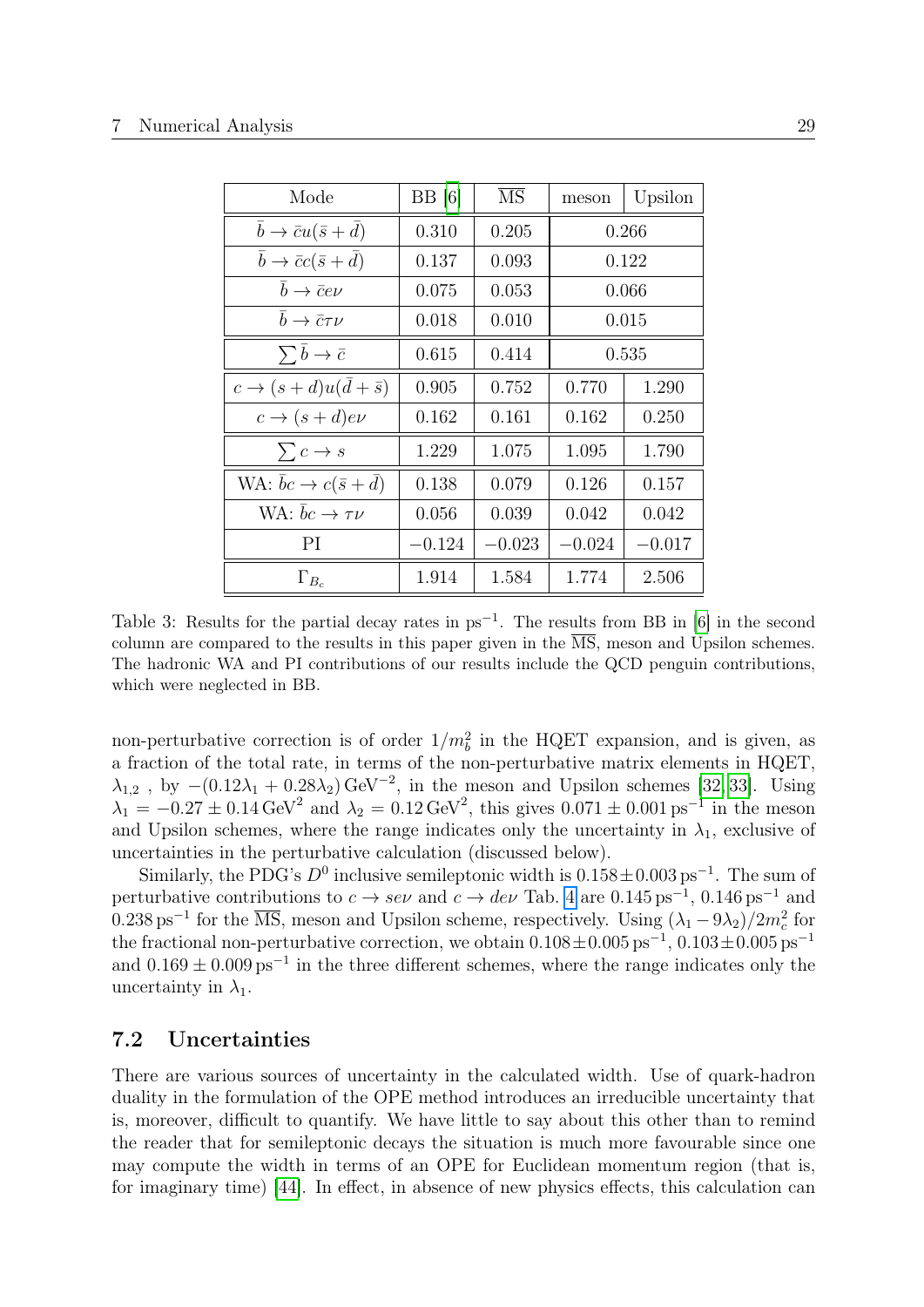<span id="page-29-1"></span>

| Mode                                                | BB[6]    | $\overline{\text{MS}}$ | meson    | Upsilon  |
|-----------------------------------------------------|----------|------------------------|----------|----------|
| $\bar{b} \rightarrow \bar{c}u(\bar{s}+d)$           | 0.310    | 0.205                  | 0.266    |          |
| $\bar{b} \rightarrow \bar{c}c(\bar{s}+\bar{d})$     | 0.137    | 0.093                  |          | 0.122    |
| $\bar{b} \rightarrow \bar{c}e\nu$                   | 0.075    | 0.053                  |          | 0.066    |
| $\bar{b} \rightarrow \bar{c} \tau \nu$              | 0.018    | 0.010                  | 0.015    |          |
| $\sum \overline{b} \to \overline{c}$                | 0.615    | 0.414                  | 0.535    |          |
| $c \rightarrow (s+d)u(\bar{d}+\bar{s})$             | 0.905    | 0.752                  | 0.770    | 1.290    |
| $c \rightarrow (s+d)e\nu$                           | 0.162    | 0.161                  | 0.162    | 0.250    |
| $\sum c \rightarrow s$                              | 1.229    | 1.075                  | 1.095    | 1.790    |
| WA: $\overline{bc} \rightarrow c(\overline{s} + d)$ | 0.138    | 0.079                  | 0.126    | 0.157    |
| WA: $\bar{b}c \rightarrow \tau \nu$                 | 0.056    | 0.039                  | 0.042    | 0.042    |
| РI                                                  | $-0.124$ | $-0.023$               | $-0.024$ | $-0.017$ |
| $\Gamma_{B_c}$                                      | 1.914    | 1.584                  | 1.774    | 2.506    |

Table 3: Results for the partial decay rates in  $ps^{-1}$ . The results from BB in [\[6\]](#page-37-5) in the second column are compared to the results in this paper given in the  $\overline{\text{MS}}$ , meson and Upsilon schemes. The hadronic WA and PI contributions of our results include the QCD penguin contributions, which were neglected in BB.

non-perturbative correction is of order  $1/m_b^2$  in the HQET expansion, and is given, as a fraction of the total rate, in terms of the non-perturbative matrix elements in HQET,  $\lambda_{1,2}$ , by  $-(0.12\lambda_1 + 0.28\lambda_2) \text{ GeV}^{-2}$ , in the meson and Upsilon schemes [\[32,](#page-39-2) [33\]](#page-39-3). Using  $\lambda_1 = -0.27 \pm 0.14 \,\text{GeV}^2$  and  $\lambda_2 = 0.12 \,\text{GeV}^2$ , this gives  $0.071 \pm 0.001 \,\text{ps}^{-1}$  in the meson and Upsilon schemes, where the range indicates only the uncertainty in  $\lambda_1$ , exclusive of uncertainties in the perturbative calculation (discussed below).

Similarly, the PDG's  $D^0$  inclusive semileptonic width is  $0.158 \pm 0.003$  ps<sup>-1</sup>. The sum of perturbative contributions to  $c \to s e \nu$  and  $c \to d e \nu$  Tab. [4](#page-30-0) are 0.145 ps<sup>-1</sup>, 0.146 ps<sup>-1</sup> and 0.238 ps<sup>-1</sup> for the  $\overline{\text{MS}}$ , meson and Upsilon scheme, respectively. Using  $(\lambda_1 - 9\lambda_2)/2m_c^2$  for the fractional non-perturbative correction, we obtain  $0.108 \pm 0.005 \text{ ps}^{-1}$ ,  $0.103 \pm 0.005 \text{ ps}^{-1}$ and  $0.169 \pm 0.009$  ps<sup>-1</sup> in the three different schemes, where the range indicates only the uncertainty in  $\lambda_1$ .

## <span id="page-29-0"></span>7.2 Uncertainties

There are various sources of uncertainty in the calculated width. Use of quark-hadron duality in the formulation of the OPE method introduces an irreducible uncertainty that is, moreover, difficult to quantify. We have little to say about this other than to remind the reader that for semileptonic decays the situation is much more favourable since one may compute the width in terms of an OPE for Euclidean momentum region (that is, for imaginary time) [\[44\]](#page-40-0). In effect, in absence of new physics effects, this calculation can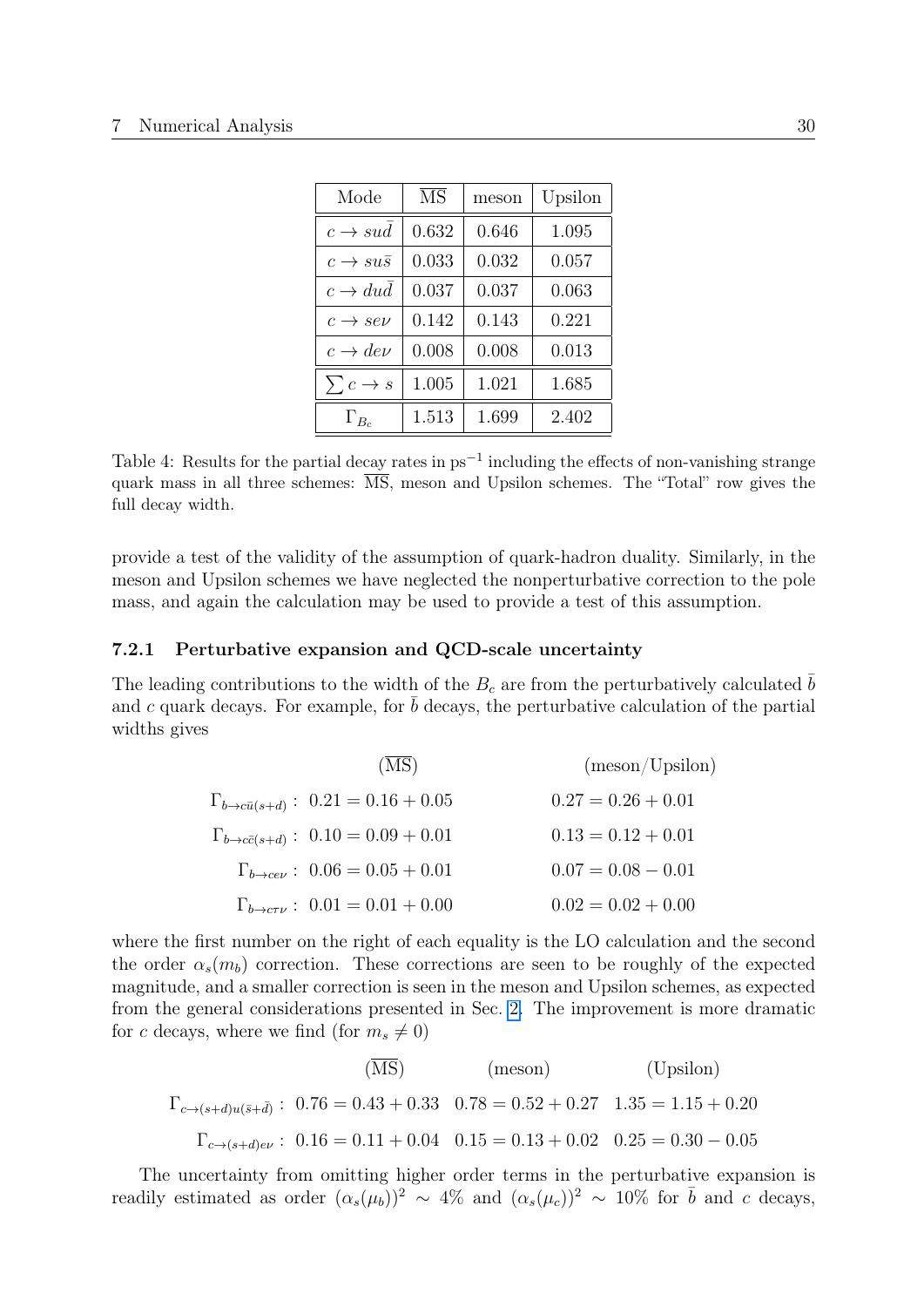<span id="page-30-0"></span>

| Mode                      | $\overline{\text{MS}}$ | meson | Upsilon |
|---------------------------|------------------------|-------|---------|
| $c \rightarrow sud$       | 0.632                  | 0.646 | 1.095   |
| $c \rightarrow su\bar{s}$ | 0.033                  | 0.032 | 0.057   |
| $c \rightarrow dud$       | 0.037                  | 0.037 | 0.063   |
| $c \rightarrow s e \nu$   | 0.142                  | 0.143 | 0.221   |
| $c \rightarrow de\nu$     | 0.008                  | 0.008 | 0.013   |
| $\sum c \rightarrow s$    | 1.005                  | 1.021 | 1.685   |
| $\Gamma_{B_c}$            | 1.513                  | 1.699 | 2.402   |

Table 4: Results for the partial decay rates in  $ps^{-1}$  including the effects of non-vanishing strange quark mass in all three schemes:  $\overline{\text{MS}}$ , meson and Upsilon schemes. The "Total" row gives the full decay width.

provide a test of the validity of the assumption of quark-hadron duality. Similarly, in the meson and Upsilon schemes we have neglected the nonperturbative correction to the pole mass, and again the calculation may be used to provide a test of this assumption.

#### <span id="page-30-1"></span>7.2.1 Perturbative expansion and QCD-scale uncertainty

The leading contributions to the width of the  $B<sub>c</sub>$  are from the perturbatively calculated b and c quark decays. For example, for  $\bar{b}$  decays, the perturbative calculation of the partial widths gives

| $(\overline{\rm MS})$                                 | (meson/Upsilon)      |
|-------------------------------------------------------|----------------------|
| $\Gamma_{b \to c\bar{u}(s+d)}$ : $0.21 = 0.16 + 0.05$ | $0.27 = 0.26 + 0.01$ |
| $\Gamma_{b \to c\bar{c}(s+d)}$ : $0.10 = 0.09 + 0.01$ | $0.13 = 0.12 + 0.01$ |
| $\Gamma_{b\rightarrow ce\nu}$ : $0.06 = 0.05 + 0.01$  | $0.07 = 0.08 - 0.01$ |
| $\Gamma_{b\to c\tau\nu}$ : $0.01 = 0.01 + 0.00$       | $0.02 = 0.02 + 0.00$ |

where the first number on the right of each equality is the LO calculation and the second the order  $\alpha_s(m_b)$  correction. These corrections are seen to be roughly of the expected magnitude, and a smaller correction is seen in the meson and Upsilon schemes, as expected from the general considerations presented in Sec. [2.](#page-4-0) The improvement is more dramatic for c decays, where we find (for  $m_s \neq 0$ )

$$
\text{(MS)} \qquad \qquad \text{(meson)} \qquad \text{(Upsilon)} \tag{Upsilon}
$$
\n
$$
\Gamma_{c \to (s+d)u(\bar{s}+\bar{d})}: 0.76 = 0.43 + 0.33 \quad 0.78 = 0.52 + 0.27 \quad 1.35 = 1.15 + 0.20
$$
\n
$$
\Gamma_{c \to (s+d)e\nu}: 0.16 = 0.11 + 0.04 \quad 0.15 = 0.13 + 0.02 \quad 0.25 = 0.30 - 0.05
$$

The uncertainty from omitting higher order terms in the perturbative expansion is readily estimated as order  $(\alpha_s(\mu_b))^2 \sim 4\%$  and  $(\alpha_s(\mu_c))^2 \sim 10\%$  for  $\bar{b}$  and c decays,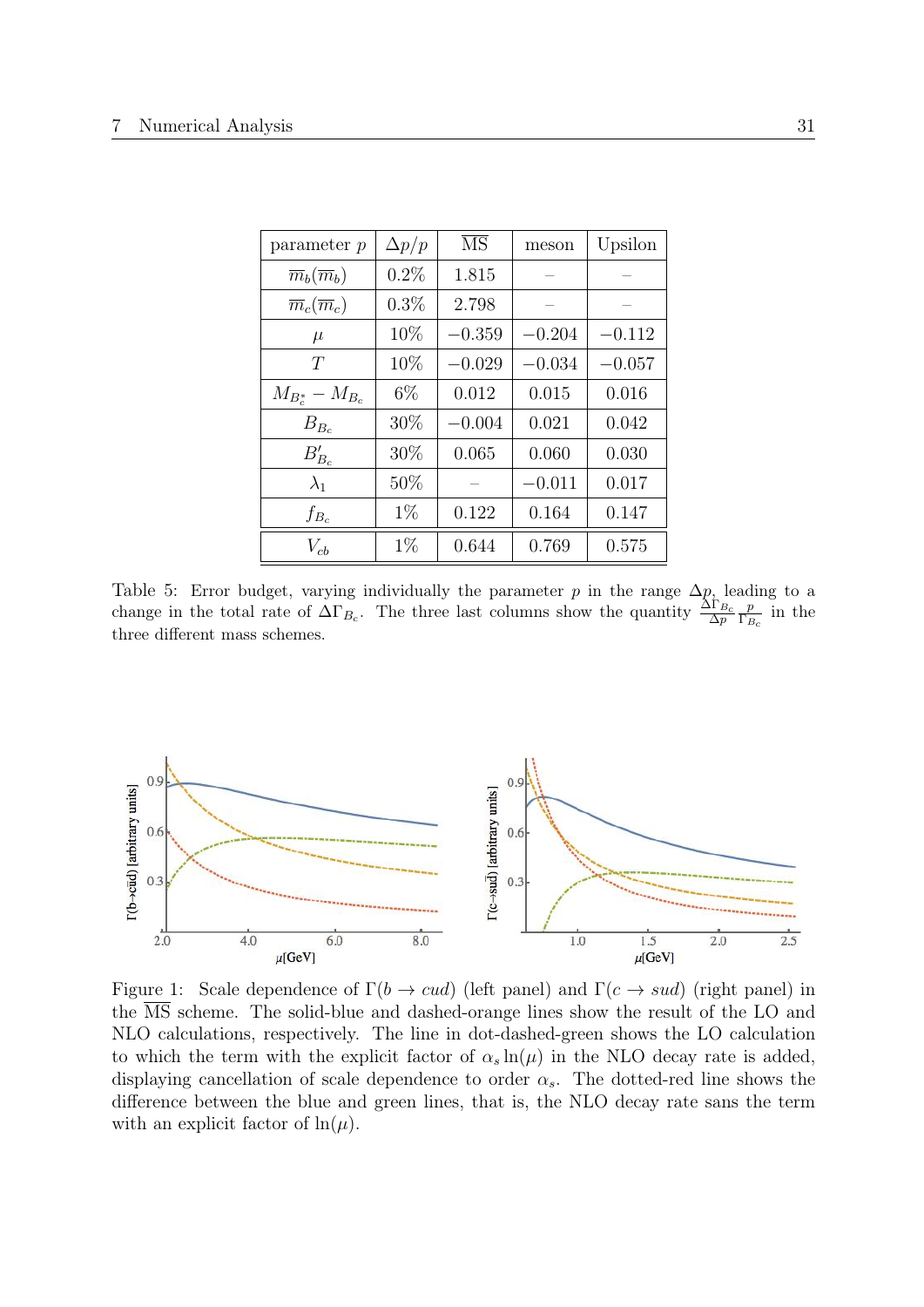<span id="page-31-0"></span>

| parameter $p$                    | $\Delta p/p$ | $\overline{\text{MS}}$ | meson    | Upsilon  |
|----------------------------------|--------------|------------------------|----------|----------|
| $\overline{m}_b(\overline{m}_b)$ | $0.2\%$      | 1.815                  |          |          |
| $\overline{m}_c(\overline{m}_c)$ | $0.3\%$      | 2.798                  |          |          |
| $\mu$                            | 10%          | $-0.359$               | $-0.204$ | $-0.112$ |
| T                                | 10%          | $-0.029$               | $-0.034$ | $-0.057$ |
| $M_{B_c^*} - M_{B_c}$            | $6\%$        | 0.012                  | 0.015    | 0.016    |
| $B_{B_c}$                        | 30%          | $-0.004$               | 0.021    | 0.042    |
| $B'_{B_c}$                       | 30%          | 0.065                  | 0.060    | 0.030    |
| $\lambda_1$                      | 50%          |                        | $-0.011$ | 0.017    |
| $f_{B_c}$                        | $1\%$        | 0.122                  | 0.164    | 0.147    |
| $V_{cb}$                         | $1\%$        | 0.644                  | 0.769    | 0.575    |

Table 5: Error budget, varying individually the parameter p in the range  $\Delta p$ , leading to a change in the total rate of  $\Delta\Gamma_{B_c}$ . The three last columns show the quantity  $\frac{\Delta\Gamma_{B_c}}{\Delta p}$ p  $\frac{p}{\Gamma_{B_c}}$  in the three different mass schemes.

<span id="page-31-1"></span>

Figure 1: Scale dependence of  $\Gamma(b \to cud)$  (left panel) and  $\Gamma(c \to sud)$  (right panel) in the MS scheme. The solid-blue and dashed-orange lines show the result of the LO and NLO calculations, respectively. The line in dot-dashed-green shows the LO calculation to which the term with the explicit factor of  $\alpha_s \ln(\mu)$  in the NLO decay rate is added, displaying cancellation of scale dependence to order  $\alpha_s$ . The dotted-red line shows the difference between the blue and green lines, that is, the NLO decay rate sans the term with an explicit factor of  $\ln(\mu)$ .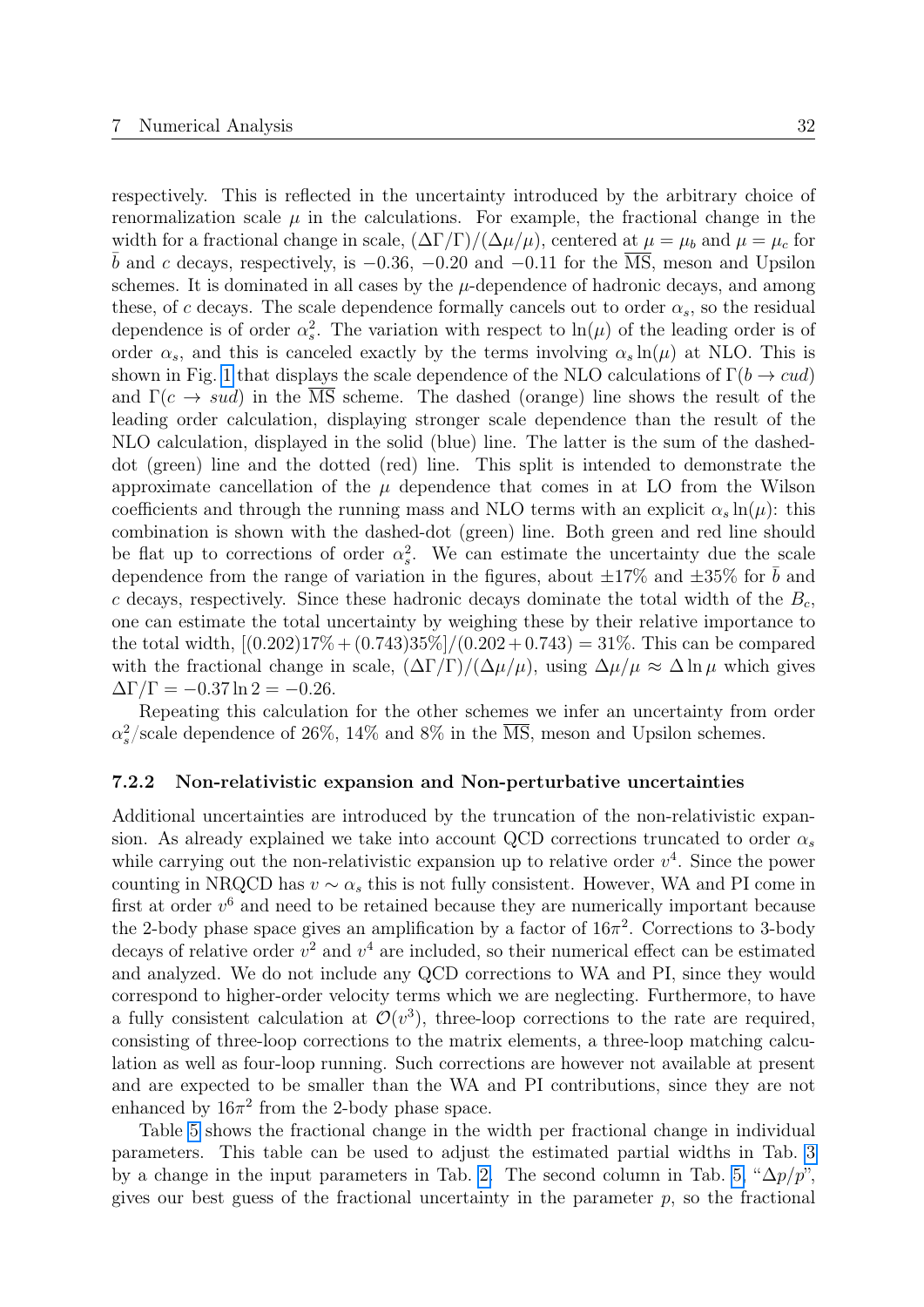respectively. This is reflected in the uncertainty introduced by the arbitrary choice of renormalization scale  $\mu$  in the calculations. For example, the fractional change in the width for a fractional change in scale,  $(\Delta \Gamma/\Gamma)/(\Delta \mu/\mu)$ , centered at  $\mu = \mu_b$  and  $\mu = \mu_c$  for  $\bar{b}$  and c decays, respectively, is  $-0.36$ ,  $-0.20$  and  $-0.11$  for the  $\overline{\text{MS}}$ , meson and Upsilon schemes. It is dominated in all cases by the  $\mu$ -dependence of hadronic decays, and among these, of c decays. The scale dependence formally cancels out to order  $\alpha_s$ , so the residual dependence is of order  $\alpha_s^2$ . The variation with respect to  $\ln(\mu)$  of the leading order is of order  $\alpha_s$ , and this is canceled exactly by the terms involving  $\alpha_s \ln(\mu)$  at NLO. This is shown in Fig. [1](#page-31-1) that displays the scale dependence of the NLO calculations of  $\Gamma(b \to cud)$ and  $\Gamma(c \to sud)$  in the MS scheme. The dashed (orange) line shows the result of the leading order calculation, displaying stronger scale dependence than the result of the NLO calculation, displayed in the solid (blue) line. The latter is the sum of the dasheddot (green) line and the dotted (red) line. This split is intended to demonstrate the approximate cancellation of the  $\mu$  dependence that comes in at LO from the Wilson coefficients and through the running mass and NLO terms with an explicit  $\alpha_s \ln(\mu)$ : this combination is shown with the dashed-dot (green) line. Both green and red line should be flat up to corrections of order  $\alpha_s^2$ . We can estimate the uncertainty due the scale dependence from the range of variation in the figures, about  $\pm 17\%$  and  $\pm 35\%$  for b and c decays, respectively. Since these hadronic decays dominate the total width of the  $B_c$ , one can estimate the total uncertainty by weighing these by their relative importance to the total width,  $[(0.202)17\% + (0.743)35\%]/(0.202 + 0.743) = 31\%.$  This can be compared with the fractional change in scale,  $(\Delta \Gamma/\Gamma)/(\Delta \mu/\mu)$ , using  $\Delta \mu/\mu \approx \Delta \ln \mu$  which gives  $\Delta\Gamma/\Gamma = -0.37 \ln 2 = -0.26.$ 

Repeating this calculation for the other schemes we infer an uncertainty from order  $\alpha_s^2$ /scale dependence of 26%, 14% and 8% in the  $\overline{\text{MS}}$ , meson and Upsilon schemes.

#### 7.2.2 Non-relativistic expansion and Non-perturbative uncertainties

Additional uncertainties are introduced by the truncation of the non-relativistic expansion. As already explained we take into account QCD corrections truncated to order  $\alpha_s$ while carrying out the non-relativistic expansion up to relative order  $v^4$ . Since the power counting in NRQCD has  $v \sim \alpha_s$  this is not fully consistent. However, WA and PI come in first at order  $v<sup>6</sup>$  and need to be retained because they are numerically important because the 2-body phase space gives an amplification by a factor of  $16\pi^2$ . Corrections to 3-body decays of relative order  $v^2$  and  $v^4$  are included, so their numerical effect can be estimated and analyzed. We do not include any QCD corrections to WA and PI, since they would correspond to higher-order velocity terms which we are neglecting. Furthermore, to have a fully consistent calculation at  $\mathcal{O}(v^3)$ , three-loop corrections to the rate are required, consisting of three-loop corrections to the matrix elements, a three-loop matching calculation as well as four-loop running. Such corrections are however not available at present and are expected to be smaller than the WA and PI contributions, since they are not enhanced by  $16\pi^2$  from the 2-body phase space.

Table [5](#page-31-0) shows the fractional change in the width per fractional change in individual parameters. This table can be used to adjust the estimated partial widths in Tab. [3](#page-29-1) by a change in the input parameters in Tab. [2.](#page-28-0) The second column in Tab. [5,](#page-31-0) " $\Delta p/p$ ", gives our best guess of the fractional uncertainty in the parameter  $p$ , so the fractional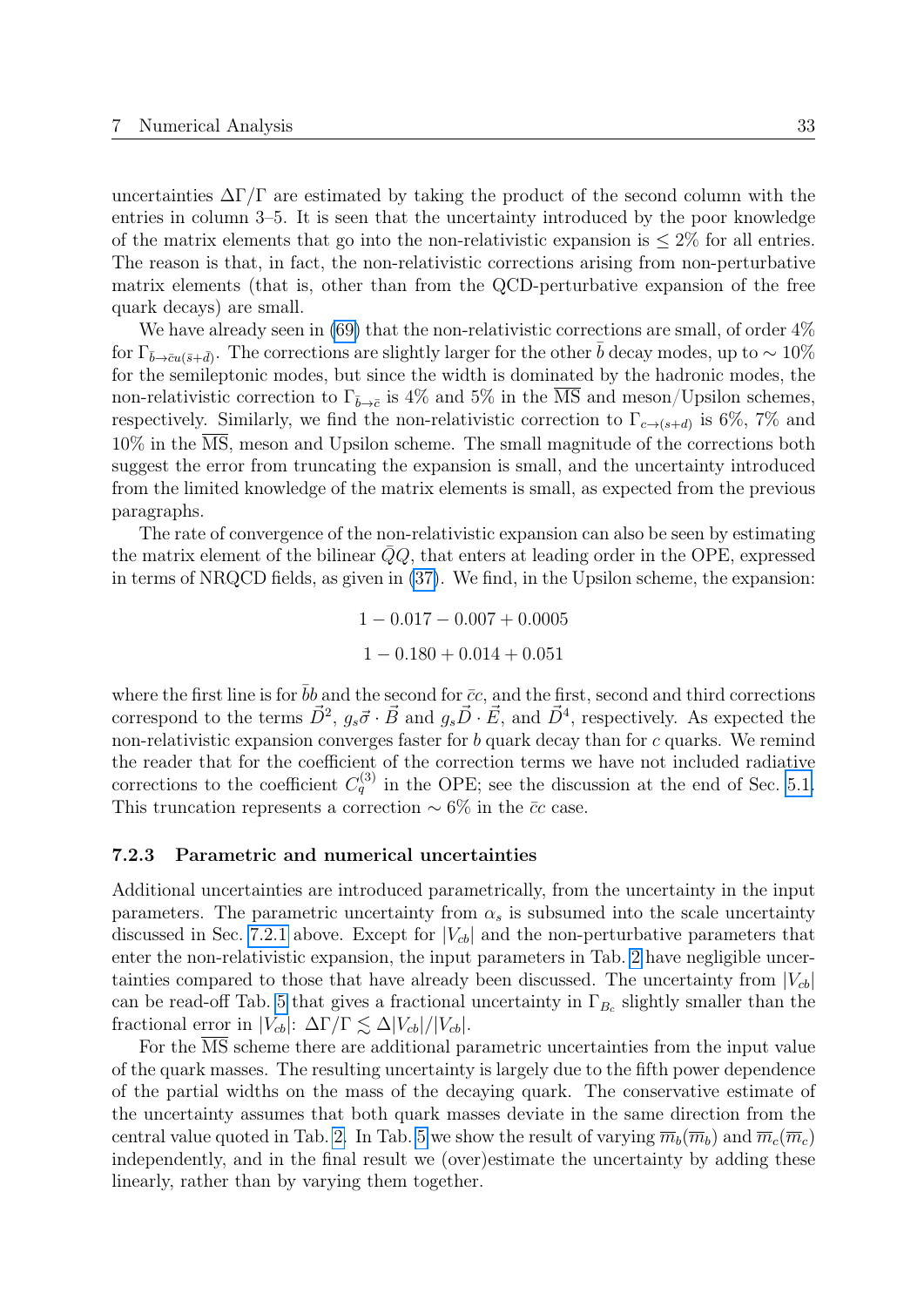uncertainties  $\Delta\Gamma/\Gamma$  are estimated by taking the product of the second column with the entries in column 3–5. It is seen that the uncertainty introduced by the poor knowledge of the matrix elements that go into the non-relativistic expansion is  $\leq 2\%$  for all entries. The reason is that, in fact, the non-relativistic corrections arising from non-perturbative matrix elements (that is, other than from the QCD-perturbative expansion of the free quark decays) are small.

We have already seen in [\(69\)](#page-28-3) that the non-relativistic corrections are small, of order  $4\%$ for  $\Gamma_{\bar{b}\to\bar{c}u(\bar{s}+\bar{d})}$ . The corrections are slightly larger for the other  $\bar{b}$  decay modes, up to  $\sim 10\%$ for the semileptonic modes, but since the width is dominated by the hadronic modes, the non-relativistic correction to  $\Gamma_{\bar{b}\to\bar{c}}$  is 4% and 5% in the MS and meson/Upsilon schemes, respectively. Similarly, we find the non-relativistic correction to  $\Gamma_{c\to(s+d)}$  is 6%, 7% and 10% in the MS, meson and Upsilon scheme. The small magnitude of the corrections both suggest the error from truncating the expansion is small, and the uncertainty introduced from the limited knowledge of the matrix elements is small, as expected from the previous paragraphs.

The rate of convergence of the non-relativistic expansion can also be seen by estimating the matrix element of the bilinear  $QQ$ , that enters at leading order in the OPE, expressed in terms of NRQCD fields, as given in [\(37\)](#page-19-0). We find, in the Upsilon scheme, the expansion:

> $1 - 0.017 - 0.007 + 0.0005$  $1 - 0.180 + 0.014 + 0.051$

where the first line is for  $\bar{b}b$  and the second for  $\bar{c}c$ , and the first, second and third corrections correspond to the terms  $\vec{D}^2$ ,  $g_s\vec{\sigma}\cdot\vec{B}$  and  $g_s\vec{D}\cdot\vec{E}$ , and  $\vec{D}^4$ , respectively. As expected the non-relativistic expansion converges faster for  $b$  quark decay than for  $c$  quarks. We remind the reader that for the coefficient of the correction terms we have not included radiative corrections to the coefficient  $C_q^{(3)}$  in the OPE; see the discussion at the end of Sec. [5.1.](#page-18-0) This truncation represents a correction  $\sim 6\%$  in the  $\bar{c}c$  case.

#### 7.2.3 Parametric and numerical uncertainties

Additional uncertainties are introduced parametrically, from the uncertainty in the input parameters. The parametric uncertainty from  $\alpha_s$  is subsumed into the scale uncertainty discussed in Sec. [7.2.1](#page-30-1) above. Except for  $|V_{cb}|$  and the non-perturbative parameters that enter the non-relativistic expansion, the input parameters in Tab. [2](#page-28-0) have negligible uncertainties compared to those that have already been discussed. The uncertainty from  $|V_{cb}|$ can be read-off Tab. [5](#page-31-0) that gives a fractional uncertainty in  $\Gamma_{B_c}$  slightly smaller than the fractional error in  $|V_{cb}|: \Delta\Gamma/\Gamma \lesssim \Delta|V_{cb}|/|V_{cb}|.$ 

For the MS scheme there are additional parametric uncertainties from the input value of the quark masses. The resulting uncertainty is largely due to the fifth power dependence of the partial widths on the mass of the decaying quark. The conservative estimate of the uncertainty assumes that both quark masses deviate in the same direction from the central value quoted in Tab. [2.](#page-28-0) In Tab. [5](#page-31-0) we show the result of varying  $\overline{m}_b(\overline{m}_b)$  and  $\overline{m}_c(\overline{m}_c)$ independently, and in the final result we (over)estimate the uncertainty by adding these linearly, rather than by varying them together.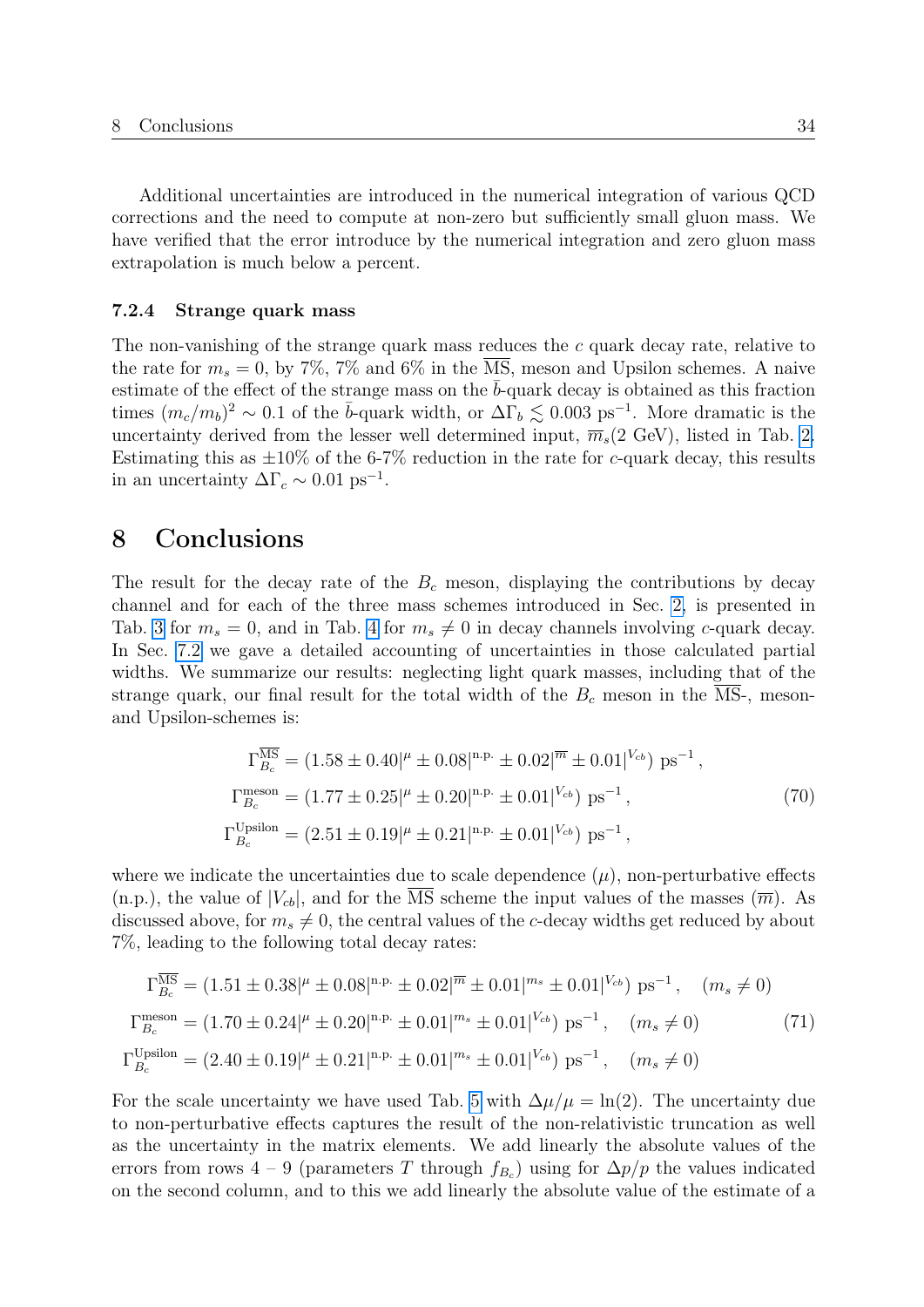Additional uncertainties are introduced in the numerical integration of various QCD corrections and the need to compute at non-zero but sufficiently small gluon mass. We have verified that the error introduce by the numerical integration and zero gluon mass extrapolation is much below a percent.

#### 7.2.4 Strange quark mass

The non-vanishing of the strange quark mass reduces the c quark decay rate, relative to the rate for  $m_s = 0$ , by 7%, 7% and 6% in the  $\overline{\text{MS}}$ , meson and Upsilon schemes. A naive estimate of the effect of the strange mass on the  $\bar{b}$ -quark decay is obtained as this fraction times  $(m_c/m_b)^2 \sim 0.1$  of the  $\bar{b}$ -quark width, or  $\Delta\Gamma_b \lesssim 0.003 \text{ ps}^{-1}$ . More dramatic is the uncertainty derived from the lesser well determined input,  $\overline{m}_s(2 \text{ GeV})$ , listed in Tab. [2.](#page-28-0) Estimating this as  $\pm 10\%$  of the 6-7% reduction in the rate for c-quark decay, this results in an uncertainty  $\Delta\Gamma_c \sim 0.01 \text{ ps}^{-1}$ .

## <span id="page-34-0"></span>8 Conclusions

The result for the decay rate of the  $B<sub>c</sub>$  meson, displaying the contributions by decay channel and for each of the three mass schemes introduced in Sec. [2,](#page-4-0) is presented in Tab. [3](#page-29-1) for  $m_s = 0$ , and in Tab. [4](#page-30-0) for  $m_s \neq 0$  in decay channels involving c-quark decay. In Sec. [7.2](#page-29-0) we gave a detailed accounting of uncertainties in those calculated partial widths. We summarize our results: neglecting light quark masses, including that of the strange quark, our final result for the total width of the  $B_c$  meson in the  $\overline{\text{MS}}$ -, mesonand Upsilon-schemes is:

$$
\Gamma_{B_c}^{\overline{\text{MS}}} = (1.58 \pm 0.40)^{\mu} \pm 0.08|^{\text{n.p.}} \pm 0.02|^{\overline{m}} \pm 0.01|^{V_{cb}}) \text{ ps}^{-1},
$$
\n
$$
\Gamma_{B_c}^{\text{meson}} = (1.77 \pm 0.25)^{\mu} \pm 0.20|^{\text{n.p.}} \pm 0.01|^{V_{cb}}) \text{ ps}^{-1},
$$
\n
$$
\Gamma_{B_c}^{\text{Upsilon}} = (2.51 \pm 0.19)^{\mu} \pm 0.21|^{\text{n.p.}} \pm 0.01|^{V_{cb}}) \text{ ps}^{-1},
$$
\n(70)

where we indicate the uncertainties due to scale dependence  $(\mu)$ , non-perturbative effects  $(n.p.),$  the value of  $|V_{cb}|$ , and for the  $\overline{\text{MS}}$  scheme the input values of the masses  $(\overline{m}).$  As discussed above, for  $m_s \neq 0$ , the central values of the c-decay widths get reduced by about 7%, leading to the following total decay rates:

$$
\Gamma_{B_c}^{\overline{\text{MS}}} = (1.51 \pm 0.38|^{\mu} \pm 0.08|^{\text{n.p.}} \pm 0.02|^{\overline{m}} \pm 0.01|^{m_s} \pm 0.01|^{V_{cb}}) \text{ ps}^{-1}, \quad (m_s \neq 0)
$$
  

$$
\Gamma_{B_c}^{\text{meson}} = (1.70 \pm 0.24|^{\mu} \pm 0.20|^{n.p.} \pm 0.01|^{m_s} \pm 0.01|^{V_{cb}}) \text{ ps}^{-1}, \quad (m_s \neq 0)
$$
  

$$
\Gamma_{B_c}^{\text{Upsilon}} = (2.40 \pm 0.19|^{\mu} \pm 0.21|^{n.p.} \pm 0.01|^{m_s} \pm 0.01|^{V_{cb}}) \text{ ps}^{-1}, \quad (m_s \neq 0)
$$
 (71)

For the scale uncertainty we have used Tab. [5](#page-31-0) with  $\Delta \mu / \mu = \ln(2)$ . The uncertainty due to non-perturbative effects captures the result of the non-relativistic truncation as well as the uncertainty in the matrix elements. We add linearly the absolute values of the errors from rows 4 – 9 (parameters T through  $f_{B_c}$ ) using for  $\Delta p/p$  the values indicated on the second column, and to this we add linearly the absolute value of the estimate of a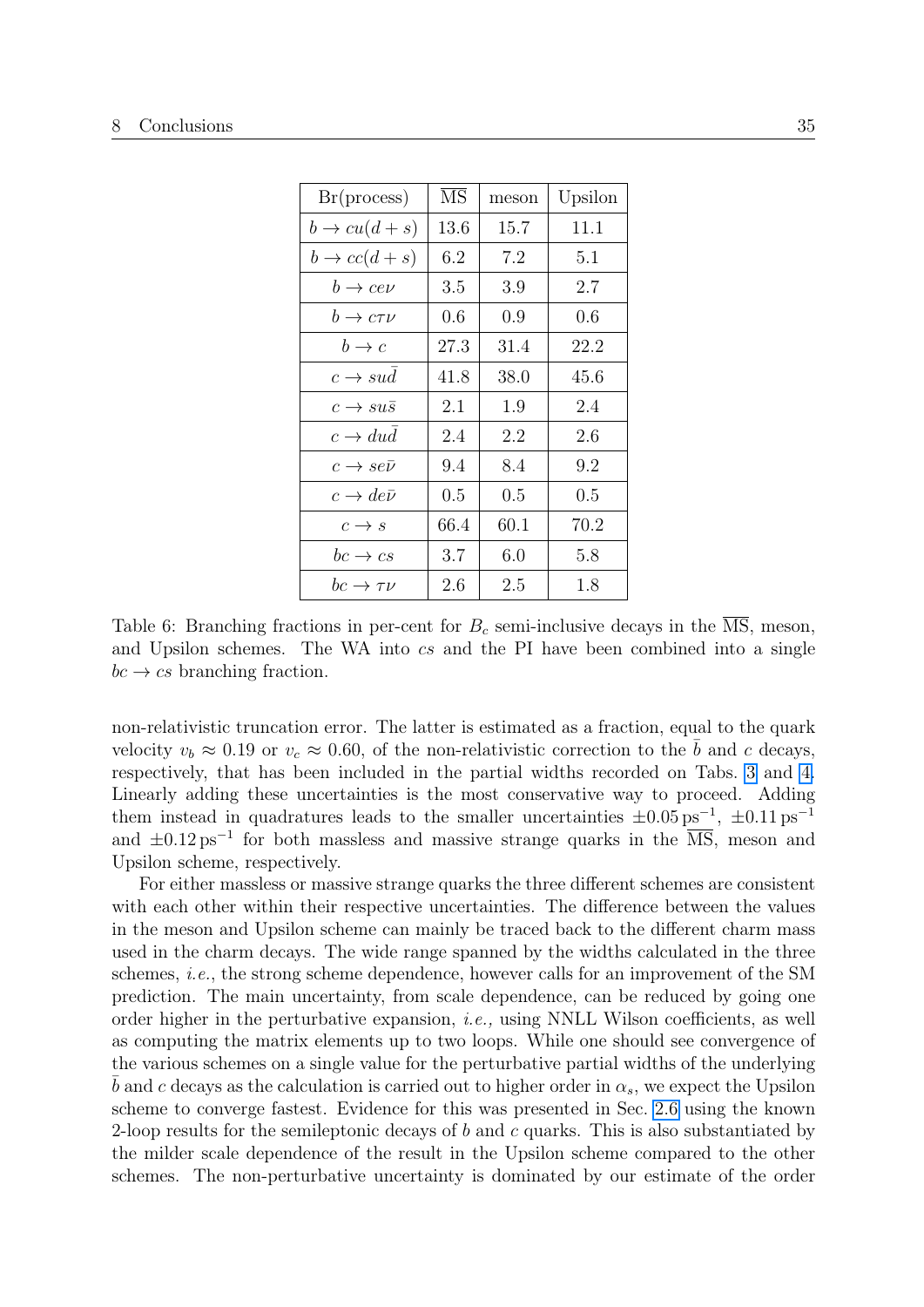<span id="page-35-0"></span>

| Br(process)                   | $\overline{\text{MS}}$ | meson | Upsilon |
|-------------------------------|------------------------|-------|---------|
| $b \rightarrow cu(d+s)$       | 13.6                   | 15.7  | 11.1    |
| $b \rightarrow cc(d+s)$       | 6.2                    | 7.2   | 5.1     |
| $b \rightarrow c e \nu$       | 3.5                    | 3.9   | 2.7     |
| $b \to c \tau \nu$            | 0.6                    | 0.9   | 0.6     |
| $b \rightarrow c$             | 27.3                   | 31.4  | 22.2    |
| $c \rightarrow sud$           | 41.8                   | 38.0  | 45.6    |
| $c \rightarrow su\bar{s}$     | 2.1                    | 1.9   | 2.4     |
| $c \rightarrow dud$           | 2.4                    | 2.2   | 2.6     |
| $c \rightarrow s e \bar{\nu}$ | 9.4                    | 8.4   | 9.2     |
| $c \rightarrow de\bar{\nu}$   | 0.5                    | 0.5   | 0.5     |
| $c \rightarrow s$             | 66.4                   | 60.1  | 70.2    |
| $bc \rightarrow cs$           | 3.7                    | 6.0   | 5.8     |
| $bc \rightarrow \tau \nu$     | 2.6                    | 2.5   | 1.8     |

Table 6: Branching fractions in per-cent for  $B<sub>c</sub>$  semi-inclusive decays in the MS, meson, and Upsilon schemes. The WA into cs and the PI have been combined into a single  $bc \rightarrow cs$  branching fraction.

non-relativistic truncation error. The latter is estimated as a fraction, equal to the quark velocity  $v_b \approx 0.19$  or  $v_c \approx 0.60$ , of the non-relativistic correction to the b and c decays, respectively, that has been included in the partial widths recorded on Tabs. [3](#page-29-1) and [4.](#page-30-0) Linearly adding these uncertainties is the most conservative way to proceed. Adding them instead in quadratures leads to the smaller uncertainties  $\pm 0.05 \text{ ps}^{-1}$ ,  $\pm 0.11 \text{ ps}^{-1}$ and  $\pm 0.12 \,\mathrm{ps}^{-1}$  for both massless and massive strange quarks in the  $\overline{\mathrm{MS}}$ , meson and Upsilon scheme, respectively.

For either massless or massive strange quarks the three different schemes are consistent with each other within their respective uncertainties. The difference between the values in the meson and Upsilon scheme can mainly be traced back to the different charm mass used in the charm decays. The wide range spanned by the widths calculated in the three schemes, i.e., the strong scheme dependence, however calls for an improvement of the SM prediction. The main uncertainty, from scale dependence, can be reduced by going one order higher in the perturbative expansion, *i.e.*, using NNLL Wilson coefficients, as well as computing the matrix elements up to two loops. While one should see convergence of the various schemes on a single value for the perturbative partial widths of the underlying b and c decays as the calculation is carried out to higher order in  $\alpha_s$ , we expect the Upsilon scheme to converge fastest. Evidence for this was presented in Sec. [2.6](#page-9-0) using the known 2-loop results for the semileptonic decays of b and c quarks. This is also substantiated by the milder scale dependence of the result in the Upsilon scheme compared to the other schemes. The non-perturbative uncertainty is dominated by our estimate of the order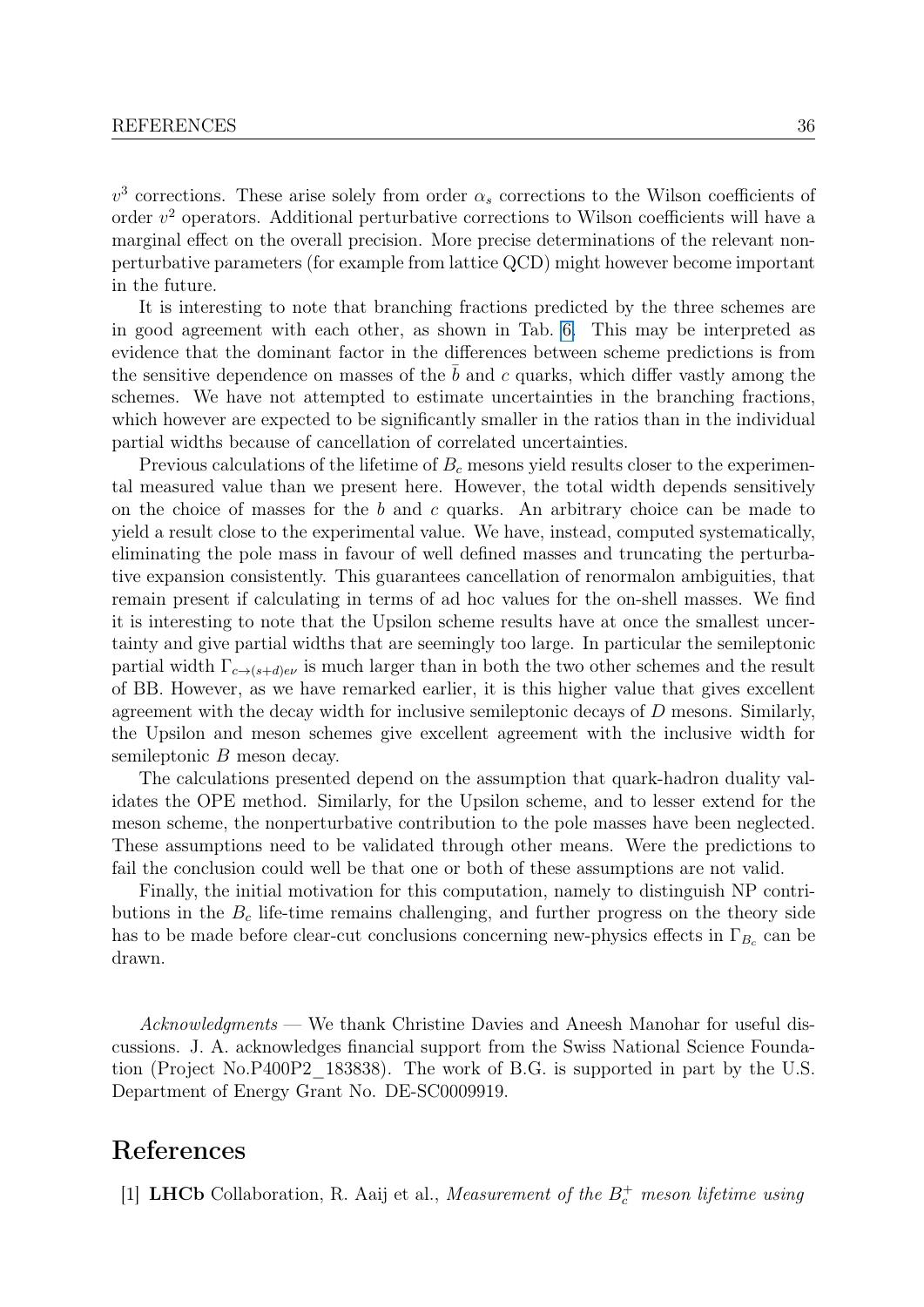$v<sup>3</sup>$  corrections. These arise solely from order  $\alpha_s$  corrections to the Wilson coefficients of order  $v^2$  operators. Additional perturbative corrections to Wilson coefficients will have a marginal effect on the overall precision. More precise determinations of the relevant nonperturbative parameters (for example from lattice QCD) might however become important in the future.

It is interesting to note that branching fractions predicted by the three schemes are in good agreement with each other, as shown in Tab. [6.](#page-35-0) This may be interpreted as evidence that the dominant factor in the differences between scheme predictions is from the sensitive dependence on masses of the  $b$  and  $c$  quarks, which differ vastly among the schemes. We have not attempted to estimate uncertainties in the branching fractions, which however are expected to be significantly smaller in the ratios than in the individual partial widths because of cancellation of correlated uncertainties.

Previous calculations of the lifetime of  $B<sub>c</sub>$  mesons yield results closer to the experimental measured value than we present here. However, the total width depends sensitively on the choice of masses for the b and c quarks. An arbitrary choice can be made to yield a result close to the experimental value. We have, instead, computed systematically, eliminating the pole mass in favour of well defined masses and truncating the perturbative expansion consistently. This guarantees cancellation of renormalon ambiguities, that remain present if calculating in terms of ad hoc values for the on-shell masses. We find it is interesting to note that the Upsilon scheme results have at once the smallest uncertainty and give partial widths that are seemingly too large. In particular the semileptonic partial width  $\Gamma_{c\to(s+d)e\nu}$  is much larger than in both the two other schemes and the result of BB. However, as we have remarked earlier, it is this higher value that gives excellent agreement with the decay width for inclusive semileptonic decays of D mesons. Similarly, the Upsilon and meson schemes give excellent agreement with the inclusive width for semileptonic B meson decay.

The calculations presented depend on the assumption that quark-hadron duality validates the OPE method. Similarly, for the Upsilon scheme, and to lesser extend for the meson scheme, the nonperturbative contribution to the pole masses have been neglected. These assumptions need to be validated through other means. Were the predictions to fail the conclusion could well be that one or both of these assumptions are not valid.

Finally, the initial motivation for this computation, namely to distinguish NP contributions in the  $B<sub>c</sub>$  life-time remains challenging, and further progress on the theory side has to be made before clear-cut conclusions concerning new-physics effects in  $\Gamma_{B_c}$  can be drawn.

Acknowledgments — We thank Christine Davies and Aneesh Manohar for useful discussions. J. A. acknowledges financial support from the Swiss National Science Foundation (Project No.P400P2\_183838). The work of B.G. is supported in part by the U.S. Department of Energy Grant No. DE-SC0009919.

# References

<span id="page-36-0"></span>[1] **LHCb** Collaboration, R. Aaij et al., *Measurement of the*  $B_c^+$  *meson lifetime using*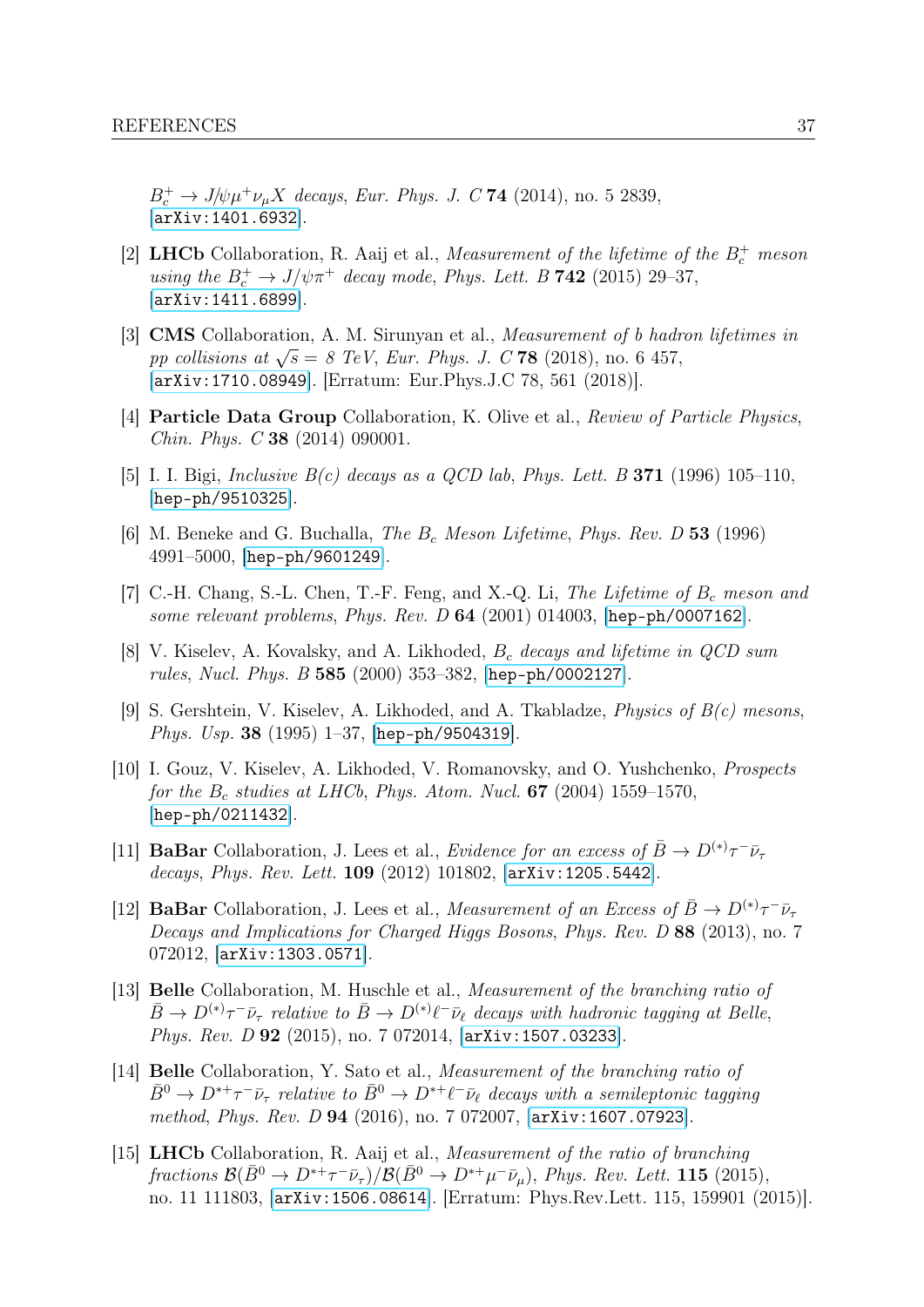$B_c^+ \to J/\psi \mu^+ \nu_\mu X$  decays, Eur. Phys. J. C 74 (2014), no. 5 2839, [[arXiv:1401.6932](http://arxiv.org/abs/1401.6932)].

- <span id="page-37-0"></span>[2] **LHCb** Collaboration, R. Aaij et al., *Measurement of the lifetime of the*  $B_c^+$  *meson* using the  $B_c^+ \rightarrow J/\psi \pi^+$  decay mode, Phys. Lett. B 742 (2015) 29-37, [[arXiv:1411.6899](http://arxiv.org/abs/1411.6899)].
- <span id="page-37-1"></span>[3] CMS Collaboration, A. M. Sirunyan et al., Measurement of b hadron lifetimes in **CIVIS** Conaboration, A. M. Shunyan et al., *Measurement of 0 nuar* pp collisions at  $\sqrt{s} = 8$  TeV, Eur. Phys. J. C 78 (2018), no. 6 457, [[arXiv:1710.08949](http://arxiv.org/abs/1710.08949)]. [Erratum: Eur.Phys.J.C 78, 561 (2018)].
- <span id="page-37-2"></span>[4] Particle Data Group Collaboration, K. Olive et al., Review of Particle Physics, Chin. Phys. C 38 (2014) 090001.
- <span id="page-37-3"></span>[5] I. I. Bigi, Inclusive  $B(c)$  decays as a QCD lab, Phys. Lett. B **371** (1996) 105–110, [[hep-ph/9510325](http://arxiv.org/abs/hep-ph/9510325)].
- <span id="page-37-5"></span>[6] M. Beneke and G. Buchalla, The  $B_c$  Meson Lifetime, Phys. Rev. D 53 (1996) 4991–5000, [[hep-ph/9601249](http://arxiv.org/abs/hep-ph/9601249)].
- <span id="page-37-4"></span>[7] C.-H. Chang, S.-L. Chen, T.-F. Feng, and X.-Q. Li, The Lifetime of  $B_c$  meson and some relevant problems, Phys. Rev. D  $64$  (2001) 014003, [[hep-ph/0007162](http://arxiv.org/abs/hep-ph/0007162)].
- <span id="page-37-6"></span>[8] V. Kiselev, A. Kovalsky, and A. Likhoded,  $B_c$  decays and lifetime in  $QCD$  sum rules, Nucl. Phys. B 585 (2000) 353–382, [[hep-ph/0002127](http://arxiv.org/abs/hep-ph/0002127)].
- <span id="page-37-7"></span>[9] S. Gershtein, V. Kiselev, A. Likhoded, and A. Tkabladze, Physics of B(c) mesons, Phys. Usp. 38 (1995) 1–37, [[hep-ph/9504319](http://arxiv.org/abs/hep-ph/9504319)].
- <span id="page-37-8"></span>[10] I. Gouz, V. Kiselev, A. Likhoded, V. Romanovsky, and O. Yushchenko, Prospects for the  $B_c$  studies at LHCb, Phys. Atom. Nucl. 67 (2004) 1559–1570, [[hep-ph/0211432](http://arxiv.org/abs/hep-ph/0211432)].
- <span id="page-37-9"></span>[11] **BaBar** Collaboration, J. Lees et al., *Evidence for an excess of*  $\bar{B} \to D^{(*)}\tau^{-} \bar{\nu}_{\tau}$ decays, Phys. Rev. Lett. 109 (2012) 101802, [[arXiv:1205.5442](http://arxiv.org/abs/1205.5442)].
- <span id="page-37-10"></span>[12] **BaBar** Collaboration, J. Lees et al., *Measurement of an Excess of*  $\bar{B} \to D^{(*)}\tau^{-} \bar{\nu}_{\tau}$ Decays and Implications for Charged Higgs Bosons, Phys. Rev. D 88 (2013), no. 7 072012, [[arXiv:1303.0571](http://arxiv.org/abs/1303.0571)].
- [13] Belle Collaboration, M. Huschle et al., Measurement of the branching ratio of  $\bar{B}\to D^{(*)}\tau^-\bar{\nu}_\tau$  relative to  $\bar{B}\to D^{(*)}\ell^-\bar{\nu}_\ell$  decays with hadronic tagging at Belle, Phys. Rev. D 92 (2015), no. 7 072014, [[arXiv:1507.03233](http://arxiv.org/abs/1507.03233)].
- <span id="page-37-11"></span>[14] Belle Collaboration, Y. Sato et al., Measurement of the branching ratio of  $\bar{B}^0 \to D^{*+}\tau^-\bar{\nu}_\tau$  relative to  $\bar{B}^0 \to D^{*+}\ell^-\bar{\nu}_\ell$  decays with a semileptonic tagging method, Phys. Rev. D 94 (2016), no. 7 072007, [[arXiv:1607.07923](http://arxiv.org/abs/1607.07923)].
- [15] LHCb Collaboration, R. Aaij et al., Measurement of the ratio of branching  $fractions \mathcal{B}(\bar{B}^0 \to D^{*+}\tau^-\bar{\nu}_\tau)/\mathcal{B}(\bar{B}^0 \to D^{*+}\mu^-\bar{\nu}_\mu),\ Phys.\ Rev.\ Lett.\ 115\ (2015),$ no. 11 111803, [[arXiv:1506.08614](http://arxiv.org/abs/1506.08614)]. [Erratum: Phys.Rev.Lett. 115, 159901 (2015)].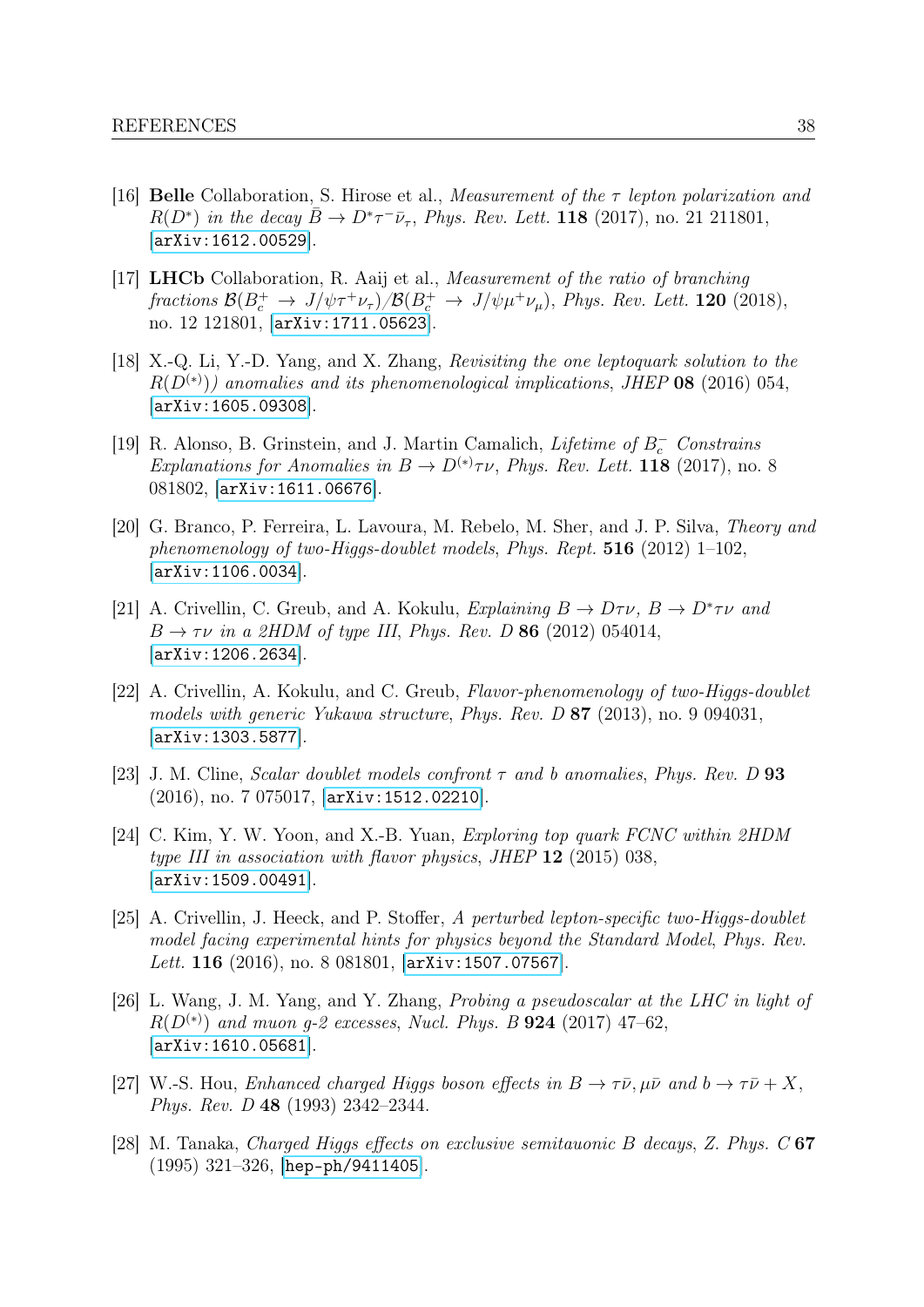- [16] Belle Collaboration, S. Hirose et al., Measurement of the  $\tau$  lepton polarization and  $R(D^*)$  in the decay  $\bar{B} \to D^* \tau^- \bar{\nu}_{\tau}$ , Phys. Rev. Lett. 118 (2017), no. 21 211801, [[arXiv:1612.00529](http://arxiv.org/abs/1612.00529)].
- <span id="page-38-0"></span>[17] LHCb Collaboration, R. Aaij et al., Measurement of the ratio of branching fractions  $\mathcal{B}(B_c^+\to J/\psi \tau^+\nu_\tau)/\mathcal{B}(B_c^+\to J/\psi \mu^+\nu_\mu)$ , Phys. Rev. Lett. 120 (2018), no. 12 121801, [[arXiv:1711.05623](http://arxiv.org/abs/1711.05623)].
- <span id="page-38-1"></span>[18] X.-Q. Li, Y.-D. Yang, and X. Zhang, Revisiting the one leptoquark solution to the  $R(D^{(*)})$ ) anomalies and its phenomenological implications, JHEP 08 (2016) 054, [[arXiv:1605.09308](http://arxiv.org/abs/1605.09308)].
- <span id="page-38-2"></span>[19] R. Alonso, B. Grinstein, and J. Martin Camalich, *Lifetime of B*<sub>c</sub> Constrains Explanations for Anomalies in  $B \to D^{(*)}\tau\nu$ , Phys. Rev. Lett. 118 (2017), no. 8 081802, [[arXiv:1611.06676](http://arxiv.org/abs/1611.06676)].
- <span id="page-38-3"></span>[20] G. Branco, P. Ferreira, L. Lavoura, M. Rebelo, M. Sher, and J. P. Silva, Theory and phenomenology of two-Higgs-doublet models, Phys. Rept.  $516$  (2012) 1–102, [[arXiv:1106.0034](http://arxiv.org/abs/1106.0034)].
- <span id="page-38-4"></span>[21] A. Crivellin, C. Greub, and A. Kokulu, Explaining  $B \to D\tau \nu$ ,  $B \to D^* \tau \nu$  and  $B \rightarrow \tau \nu$  in a 2HDM of type III, Phys. Rev. D 86 (2012) 054014, [[arXiv:1206.2634](http://arxiv.org/abs/1206.2634)].
- [22] A. Crivellin, A. Kokulu, and C. Greub, Flavor-phenomenology of two-Higgs-doublet models with generic Yukawa structure, Phys. Rev. D 87 (2013), no. 9 094031, [[arXiv:1303.5877](http://arxiv.org/abs/1303.5877)].
- [23] J. M. Cline, *Scalar doublet models confront*  $\tau$  and b anomalies, *Phys. Rev.* D 93 (2016), no. 7 075017, [[arXiv:1512.02210](http://arxiv.org/abs/1512.02210)].
- [24] C. Kim, Y. W. Yoon, and X.-B. Yuan, Exploring top quark FCNC within 2HDM type III in association with flavor physics, JHEP  $12$  (2015) 038, [[arXiv:1509.00491](http://arxiv.org/abs/1509.00491)].
- [25] A. Crivellin, J. Heeck, and P. Stoffer, A perturbed lepton-specific two-Higgs-doublet model facing experimental hints for physics beyond the Standard Model, Phys. Rev. Lett. 116 (2016), no. 8 081801, [[arXiv:1507.07567](http://arxiv.org/abs/1507.07567)].
- <span id="page-38-5"></span>[26] L. Wang, J. M. Yang, and Y. Zhang, Probing a pseudoscalar at the LHC in light of  $R(D^{(*)})$  and muon g-2 excesses, Nucl. Phys. B **924** (2017) 47–62, [[arXiv:1610.05681](http://arxiv.org/abs/1610.05681)].
- <span id="page-38-6"></span>[27] W.-S. Hou, Enhanced charged Higgs boson effects in  $B \to \tau \bar{\nu}, \mu \bar{\nu}$  and  $b \to \tau \bar{\nu} + X$ , Phys. Rev. D 48 (1993) 2342–2344.
- [28] M. Tanaka, Charged Higgs effects on exclusive semitauonic B decays, Z. Phys.  $C$  67 (1995) 321–326, [[hep-ph/9411405](http://arxiv.org/abs/hep-ph/9411405)].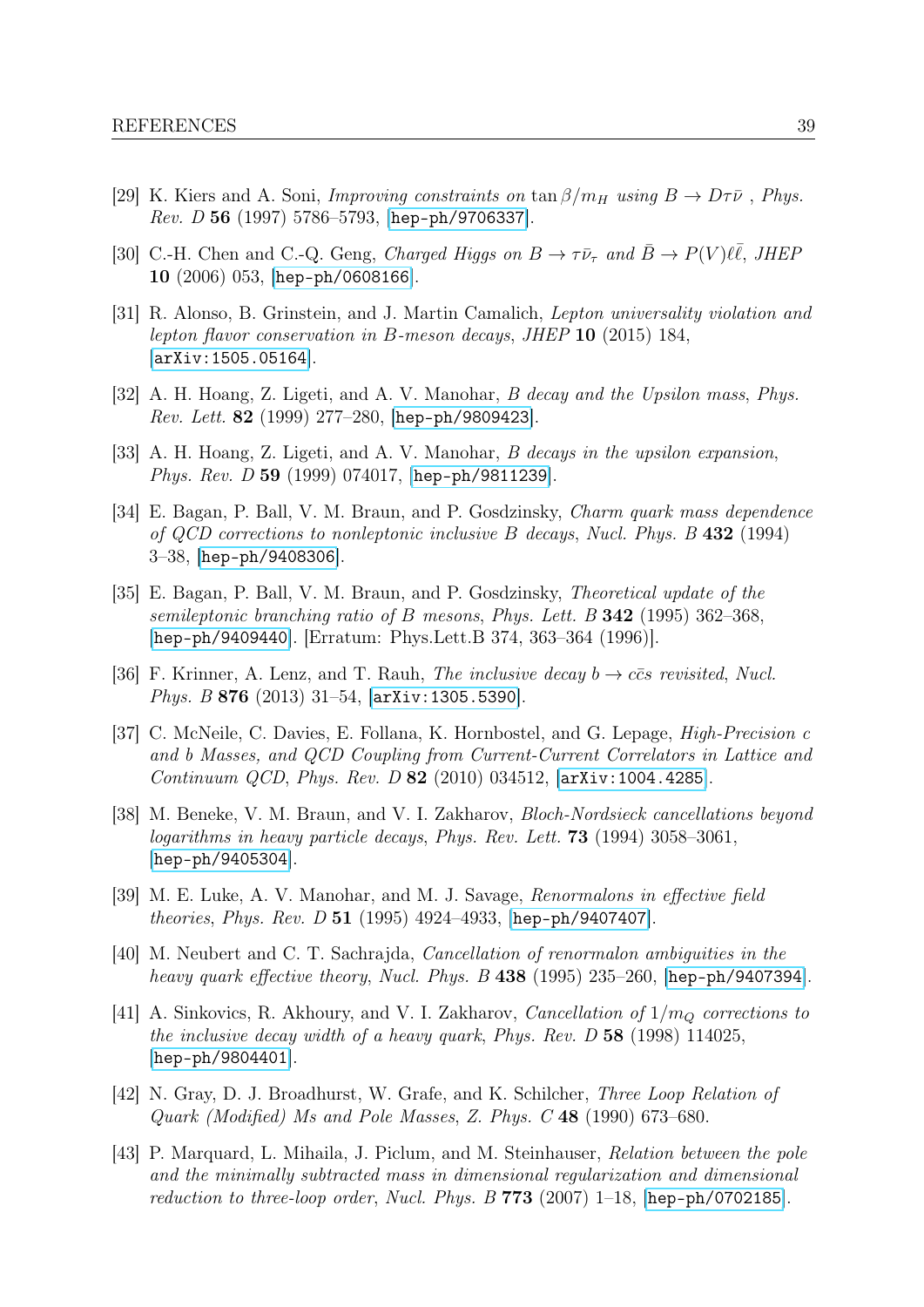- [29] K. Kiers and A. Soni, *Improving constraints on* tan  $\beta/m_H$  using  $B \to D\tau\bar{\nu}$ , *Phys.* Rev. D 56 (1997) 5786-5793, [[hep-ph/9706337](http://arxiv.org/abs/hep-ph/9706337)].
- <span id="page-39-0"></span>[30] C.-H. Chen and C.-Q. Geng, Charged Higgs on  $B \to \tau \bar{\nu}_{\tau}$  and  $\bar{B} \to P(V)\ell \bar{\ell}$ , JHEF 10 (2006) 053, [[hep-ph/0608166](http://arxiv.org/abs/hep-ph/0608166)].
- <span id="page-39-1"></span>[31] R. Alonso, B. Grinstein, and J. Martin Camalich, Lepton universality violation and lepton flavor conservation in B-meson decays, JHEP 10 (2015) 184, [[arXiv:1505.05164](http://arxiv.org/abs/1505.05164)].
- <span id="page-39-2"></span>[32] A. H. Hoang, Z. Ligeti, and A. V. Manohar, B decay and the Upsilon mass, Phys. Rev. Lett. 82 (1999) 277–280, [[hep-ph/9809423](http://arxiv.org/abs/hep-ph/9809423)].
- <span id="page-39-3"></span>[33] A. H. Hoang, Z. Ligeti, and A. V. Manohar, B decays in the upsilon expansion, Phys. Rev. D 59 (1999) 074017, [[hep-ph/9811239](http://arxiv.org/abs/hep-ph/9811239)].
- <span id="page-39-4"></span>[34] E. Bagan, P. Ball, V. M. Braun, and P. Gosdzinsky, Charm quark mass dependence of QCD corrections to nonleptonic inclusive B decays, Nucl. Phys. B 432 (1994) 3–38, [[hep-ph/9408306](http://arxiv.org/abs/hep-ph/9408306)].
- <span id="page-39-5"></span>[35] E. Bagan, P. Ball, V. M. Braun, and P. Gosdzinsky, Theoretical update of the semileptonic branching ratio of B mesons, Phys. Lett. B  $342$  (1995) 362–368, [[hep-ph/9409440](http://arxiv.org/abs/hep-ph/9409440)]. [Erratum: Phys.Lett.B 374, 363–364 (1996)].
- <span id="page-39-6"></span>[36] F. Krinner, A. Lenz, and T. Rauh, *The inclusive decay b*  $\rightarrow c\bar{c}s$  *revisited, Nucl.* Phys. B 876 (2013) 31–54, [[arXiv:1305.5390](http://arxiv.org/abs/1305.5390)].
- <span id="page-39-7"></span>[37] C. McNeile, C. Davies, E. Follana, K. Hornbostel, and G. Lepage, High-Precision c and b Masses, and QCD Coupling from Current-Current Correlators in Lattice and Continuum QCD, Phys. Rev. D 82 (2010) 034512, [[arXiv:1004.4285](http://arxiv.org/abs/1004.4285)].
- <span id="page-39-8"></span>[38] M. Beneke, V. M. Braun, and V. I. Zakharov, Bloch-Nordsieck cancellations beyond logarithms in heavy particle decays, Phys. Rev. Lett. 73 (1994) 3058–3061, [[hep-ph/9405304](http://arxiv.org/abs/hep-ph/9405304)].
- [39] M. E. Luke, A. V. Manohar, and M. J. Savage, Renormalons in effective field *theories, Phys. Rev. D* 51 (1995) 4924–4933, [[hep-ph/9407407](http://arxiv.org/abs/hep-ph/9407407)].
- [40] M. Neubert and C. T. Sachrajda, Cancellation of renormalon ambiguities in the heavy quark effective theory, Nucl. Phys. B 438 (1995) 235–260, [[hep-ph/9407394](http://arxiv.org/abs/hep-ph/9407394)].
- <span id="page-39-9"></span>[41] A. Sinkovics, R. Akhoury, and V. I. Zakharov, Cancellation of  $1/m<sub>O</sub>$  corrections to the inclusive decay width of a heavy quark, Phys. Rev.  $D$  58 (1998) 114025, [[hep-ph/9804401](http://arxiv.org/abs/hep-ph/9804401)].
- <span id="page-39-10"></span>[42] N. Gray, D. J. Broadhurst, W. Grafe, and K. Schilcher, Three Loop Relation of Quark (Modified) Ms and Pole Masses, Z. Phys. C 48 (1990) 673–680.
- <span id="page-39-11"></span>[43] P. Marquard, L. Mihaila, J. Piclum, and M. Steinhauser, Relation between the pole and the minimally subtracted mass in dimensional regularization and dimensional reduction to three-loop order, Nucl. Phys. B  $773$  (2007) 1–18, [[hep-ph/0702185](http://arxiv.org/abs/hep-ph/0702185)].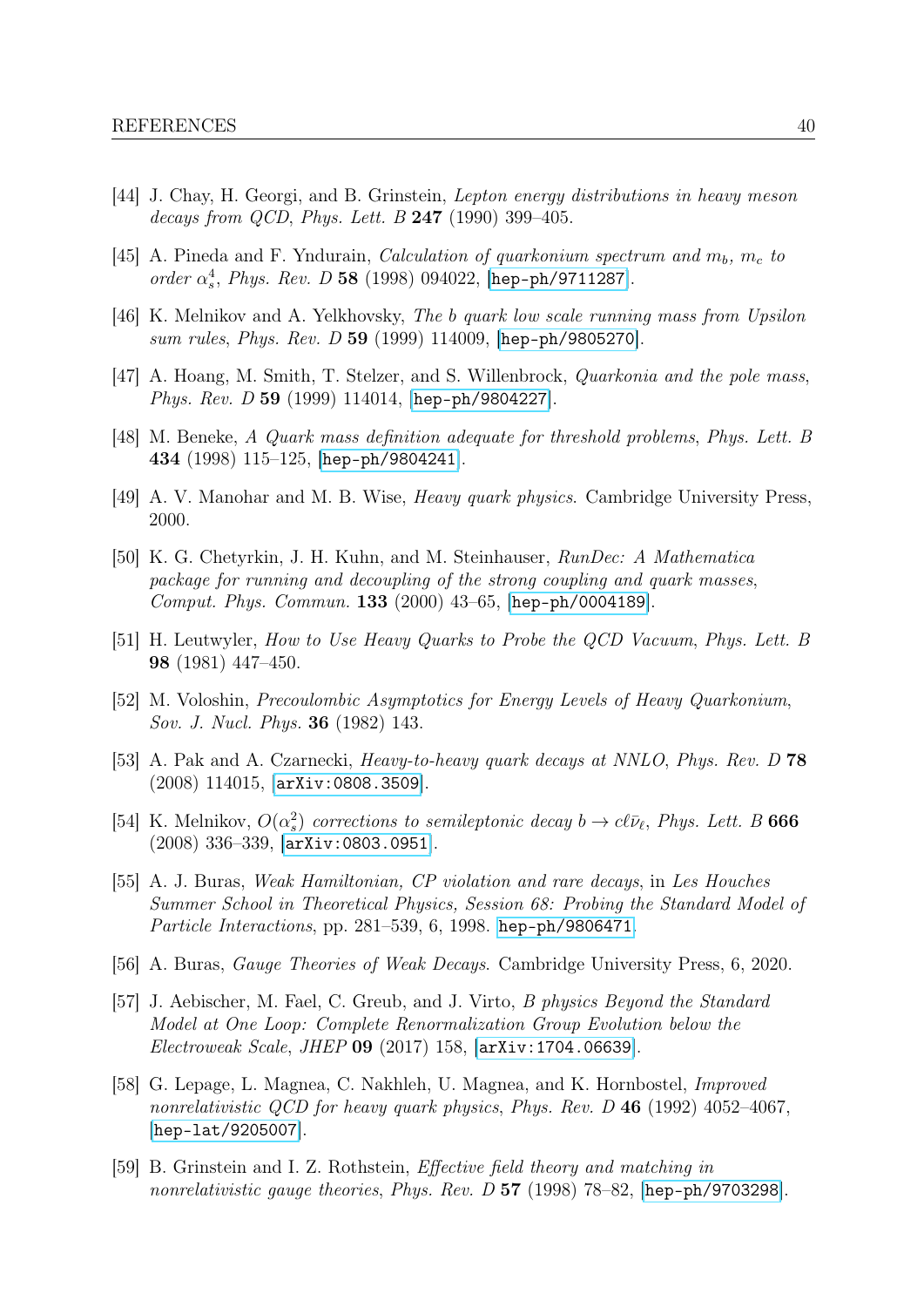- <span id="page-40-0"></span>[44] J. Chay, H. Georgi, and B. Grinstein, Lepton energy distributions in heavy meson decays from QCD, Phys. Lett.  $B$  247 (1990) 399-405.
- <span id="page-40-1"></span>[45] A. Pineda and F. Yndurain, *Calculation of quarkonium spectrum and*  $m_b$ ,  $m_c$  to order  $\alpha_s^4$ , Phys. Rev. D 58 (1998) 094022, [[hep-ph/9711287](http://arxiv.org/abs/hep-ph/9711287)].
- <span id="page-40-2"></span>[46] K. Melnikov and A. Yelkhovsky, The b quark low scale running mass from Upsilon sum rules, Phys. Rev. D 59 (1999) 114009, [[hep-ph/9805270](http://arxiv.org/abs/hep-ph/9805270)].
- <span id="page-40-3"></span>[47] A. Hoang, M. Smith, T. Stelzer, and S. Willenbrock, Quarkonia and the pole mass, Phys. Rev. D 59 (1999) 114014, [[hep-ph/9804227](http://arxiv.org/abs/hep-ph/9804227)].
- <span id="page-40-4"></span>[48] M. Beneke, A Quark mass definition adequate for threshold problems, Phys. Lett. B 434 (1998) 115–125, [[hep-ph/9804241](http://arxiv.org/abs/hep-ph/9804241)].
- <span id="page-40-5"></span>[49] A. V. Manohar and M. B. Wise, Heavy quark physics. Cambridge University Press, 2000.
- <span id="page-40-6"></span>[50] K. G. Chetyrkin, J. H. Kuhn, and M. Steinhauser, RunDec: A Mathematica package for running and decoupling of the strong coupling and quark masses, Comput. Phys. Commun. 133 (2000) 43–65, [[hep-ph/0004189](http://arxiv.org/abs/hep-ph/0004189)].
- <span id="page-40-7"></span>[51] H. Leutwyler, How to Use Heavy Quarks to Probe the QCD Vacuum, Phys. Lett. B 98 (1981) 447–450.
- <span id="page-40-8"></span>[52] M. Voloshin, Precoulombic Asymptotics for Energy Levels of Heavy Quarkonium, Sov. J. Nucl. Phys. 36 (1982) 143.
- <span id="page-40-9"></span>[53] A. Pak and A. Czarnecki, Heavy-to-heavy quark decays at NNLO, Phys. Rev. D 78 (2008) 114015, [[arXiv:0808.3509](http://arxiv.org/abs/0808.3509)].
- <span id="page-40-10"></span>[54] K. Melnikov,  $O(\alpha_s^2)$  corrections to semileptonic decay  $b \to c\ell\bar{\nu}_{\ell}$ , Phys. Lett. B 666 (2008) 336–339, [[arXiv:0803.0951](http://arxiv.org/abs/0803.0951)].
- <span id="page-40-11"></span>[55] A. J. Buras, Weak Hamiltonian, CP violation and rare decays, in Les Houches Summer School in Theoretical Physics, Session 68: Probing the Standard Model of Particle Interactions, pp. 281–539, 6, 1998. [hep-ph/9806471](http://arxiv.org/abs/hep-ph/9806471).
- <span id="page-40-12"></span>[56] A. Buras, Gauge Theories of Weak Decays. Cambridge University Press, 6, 2020.
- <span id="page-40-13"></span>[57] J. Aebischer, M. Fael, C. Greub, and J. Virto, B physics Beyond the Standard Model at One Loop: Complete Renormalization Group Evolution below the Electroweak Scale, JHEP 09 (2017) 158, [[arXiv:1704.06639](http://arxiv.org/abs/1704.06639)].
- <span id="page-40-14"></span>[58] G. Lepage, L. Magnea, C. Nakhleh, U. Magnea, and K. Hornbostel, Improved nonrelativistic QCD for heavy quark physics, Phys. Rev. D  $46$  (1992) 4052–4067, [[hep-lat/9205007](http://arxiv.org/abs/hep-lat/9205007)].
- <span id="page-40-15"></span>[59] B. Grinstein and I. Z. Rothstein, Effective field theory and matching in nonrelativistic gauge theories, Phys. Rev. D 57 (1998) 78–82, [[hep-ph/9703298](http://arxiv.org/abs/hep-ph/9703298)].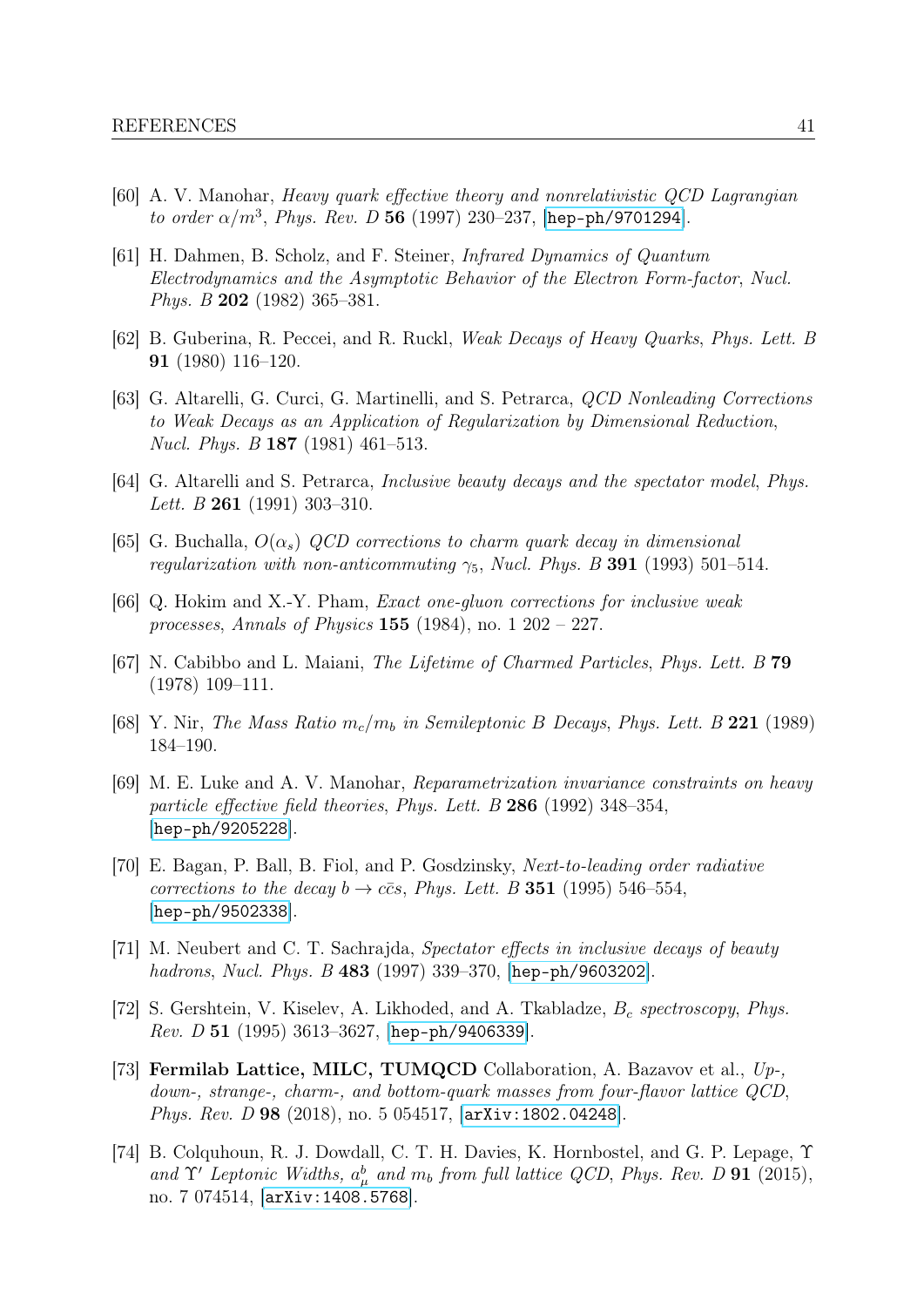- <span id="page-41-0"></span>[60] A. V. Manohar, Heavy quark effective theory and nonrelativistic QCD Lagrangian to order  $\alpha/m^3$ , Phys. Rev. D 56 (1997) 230-237, [[hep-ph/9701294](http://arxiv.org/abs/hep-ph/9701294)].
- <span id="page-41-1"></span>[61] H. Dahmen, B. Scholz, and F. Steiner, Infrared Dynamics of Quantum Electrodynamics and the Asymptotic Behavior of the Electron Form-factor, Nucl. Phys. B 202 (1982) 365–381.
- <span id="page-41-2"></span>[62] B. Guberina, R. Peccei, and R. Ruckl, Weak Decays of Heavy Quarks, Phys. Lett. B 91 (1980) 116–120.
- <span id="page-41-3"></span>[63] G. Altarelli, G. Curci, G. Martinelli, and S. Petrarca, QCD Nonleading Corrections to Weak Decays as an Application of Regularization by Dimensional Reduction, Nucl. Phys. B 187 (1981) 461–513.
- <span id="page-41-4"></span>[64] G. Altarelli and S. Petrarca, Inclusive beauty decays and the spectator model, Phys. Lett. B 261 (1991) 303-310.
- <span id="page-41-5"></span>[65] G. Buchalla,  $O(\alpha_s)$  QCD corrections to charm quark decay in dimensional regularization with non-anticommuting  $\gamma_5$ , Nucl. Phys. B 391 (1993) 501–514.
- <span id="page-41-6"></span> $[66]$  Q. Hokim and X.-Y. Pham, *Exact one-gluon corrections for inclusive weak* processes, Annals of Physics 155 (1984), no.  $1\ 202 - 227$ .
- <span id="page-41-7"></span>[67] N. Cabibbo and L. Maiani, The Lifetime of Charmed Particles, Phys. Lett. B 79 (1978) 109–111.
- <span id="page-41-8"></span>[68] Y. Nir, The Mass Ratio  $m_c/m_b$  in Semileptonic B Decays, Phys. Lett. B 221 (1989) 184–190.
- <span id="page-41-9"></span>[69] M. E. Luke and A. V. Manohar, Reparametrization invariance constraints on heavy particle effective field theories, Phys. Lett. B 286 (1992) 348–354, [[hep-ph/9205228](http://arxiv.org/abs/hep-ph/9205228)].
- <span id="page-41-10"></span>[70] E. Bagan, P. Ball, B. Fiol, and P. Gosdzinsky, Next-to-leading order radiative corrections to the decay  $b \rightarrow c\bar{c}s$ , Phys. Lett. B 351 (1995) 546–554, [[hep-ph/9502338](http://arxiv.org/abs/hep-ph/9502338)].
- <span id="page-41-11"></span>[71] M. Neubert and C. T. Sachrajda, Spectator effects in inclusive decays of beauty hadrons, Nucl. Phys. B 483 (1997) 339–370, [[hep-ph/9603202](http://arxiv.org/abs/hep-ph/9603202)].
- <span id="page-41-12"></span>[72] S. Gershtein, V. Kiselev, A. Likhoded, and A. Tkabladze,  $B_c$  spectroscopy, Phys. Rev. D 51 (1995) 3613–3627, [[hep-ph/9406339](http://arxiv.org/abs/hep-ph/9406339)].
- <span id="page-41-13"></span>[73] Fermilab Lattice, MILC, TUMQCD Collaboration, A. Bazavov et al., Up-, down-, strange-, charm-, and bottom-quark masses from four-flavor lattice QCD, Phys. Rev. D 98 (2018), no. 5 054517, [[arXiv:1802.04248](http://arxiv.org/abs/1802.04248)].
- <span id="page-41-14"></span>[74] B. Colquhoun, R. J. Dowdall, C. T. H. Davies, K. Hornbostel, and G. P. Lepage,  $\Upsilon$ and  $\Upsilon'$  Leptonic Widths,  $a^b_\mu$  and  $m_b$  from full lattice QCD, Phys. Rev. D 91 (2015), no. 7 074514, [[arXiv:1408.5768](http://arxiv.org/abs/1408.5768)].